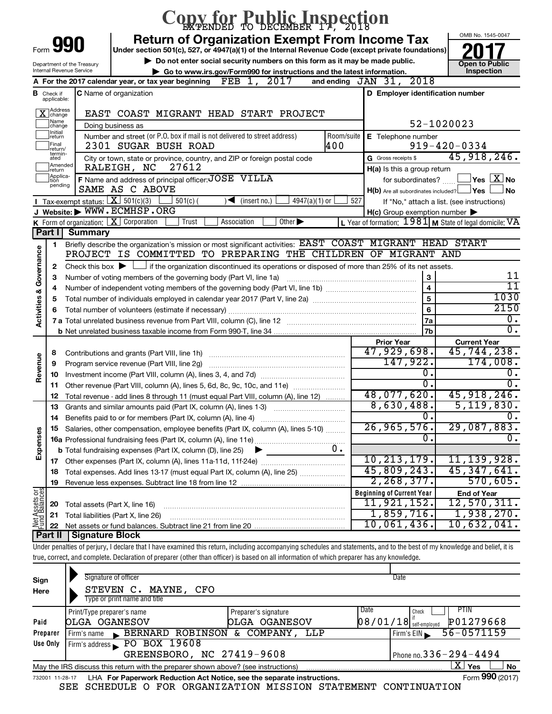|                         |                                  |                                             | Opy for Public Inspection                                                                                                                                                  |            |                                                                                                   |                                                                        |
|-------------------------|----------------------------------|---------------------------------------------|----------------------------------------------------------------------------------------------------------------------------------------------------------------------------|------------|---------------------------------------------------------------------------------------------------|------------------------------------------------------------------------|
|                         |                                  |                                             | <b>Return of Organization Exempt From Income Tax</b>                                                                                                                       |            |                                                                                                   | OMB No. 1545-0047                                                      |
| Form                    |                                  | 990                                         | Under section 501(c), 527, or 4947(a)(1) of the Internal Revenue Code (except private foundations)                                                                         |            |                                                                                                   |                                                                        |
|                         |                                  | Department of the Treasury                  | Do not enter social security numbers on this form as it may be made public.                                                                                                |            |                                                                                                   | <b>Open to Public</b>                                                  |
|                         |                                  | Internal Revenue Service                    | Go to www.irs.gov/Form990 for instructions and the latest information.<br>2017                                                                                             |            | 2018<br>and ending $JAN$ $31$ ,                                                                   | Inspection                                                             |
|                         |                                  |                                             | A For the 2017 calendar year, or tax year beginning $\mathbf{FEB}$ 1,                                                                                                      |            |                                                                                                   |                                                                        |
|                         | <b>B</b> Check if<br>applicable: |                                             | <b>C</b> Name of organization                                                                                                                                              |            | D Employer identification number                                                                  |                                                                        |
|                         | X Address                        |                                             | EAST COAST MIGRANT HEAD START PROJECT                                                                                                                                      |            |                                                                                                   |                                                                        |
|                         | Name<br>change                   |                                             | Doing business as                                                                                                                                                          |            | 52-1020023                                                                                        |                                                                        |
|                         | Initial<br>return                |                                             | Number and street (or P.O. box if mail is not delivered to street address)                                                                                                 | Room/suite | E Telephone number                                                                                |                                                                        |
|                         | Final<br>return/<br>termin-      |                                             | 400<br>2301 SUGAR BUSH ROAD                                                                                                                                                |            |                                                                                                   | $919 - 420 - 0334$                                                     |
|                         | ated<br>Amended                  |                                             | City or town, state or province, country, and ZIP or foreign postal code                                                                                                   |            | G Gross receipts \$                                                                               | 45,918,246.                                                            |
|                         | Ireturn<br> Applica-             |                                             | 27612<br>RALEIGH, NC                                                                                                                                                       |            | H(a) Is this a group return                                                                       |                                                                        |
|                         | tion<br>pending                  |                                             | F Name and address of principal officer: JOSE VILLA<br>SAME AS C ABOVE                                                                                                     |            |                                                                                                   | for subordinates? $\begin{array}{c} \boxed{\mathbf{X}} \end{array}$ No |
|                         |                                  | <b>I</b> Tax-exempt status: $X \ 501(c)(3)$ | $4947(a)(1)$ or<br>$501(c)$ (<br>$\sqrt{\frac{1}{1}}$ (insert no.)                                                                                                         | 527        | $H(b)$ Are all subordinates included? $\Box$ Yes                                                  | <b>No</b>                                                              |
|                         |                                  |                                             | J Website: WWW.ECMHSP.ORG                                                                                                                                                  |            | If "No," attach a list. (see instructions)<br>$H(c)$ Group exemption number $\blacktriangleright$ |                                                                        |
|                         |                                  | K Form of organization: $X$ Corporation     | Association<br>Other $\blacktriangleright$<br>Trust                                                                                                                        |            | L Year of formation: $1981$ M State of legal domicile: VA                                         |                                                                        |
|                         | Part I                           | <b>Summary</b>                              |                                                                                                                                                                            |            |                                                                                                   |                                                                        |
|                         | 1                                |                                             | Briefly describe the organization's mission or most significant activities: EAST COAST MIGRANT HEAD START                                                                  |            |                                                                                                   |                                                                        |
| Governance              |                                  |                                             | PROJECT IS COMMITTED TO PREPARING THE CHILDREN                                                                                                                             |            | OF MIGRANT AND                                                                                    |                                                                        |
|                         | 2                                |                                             | Check this box $\blacktriangleright$ $\Box$ if the organization discontinued its operations or disposed of more than 25% of its net assets.                                |            |                                                                                                   |                                                                        |
|                         | З                                |                                             | Number of voting members of the governing body (Part VI, line 1a)                                                                                                          |            | 3                                                                                                 | 11                                                                     |
|                         | 4                                |                                             |                                                                                                                                                                            |            | $\overline{\mathbf{4}}$                                                                           | 11                                                                     |
|                         | 5                                |                                             |                                                                                                                                                                            |            | 5                                                                                                 | 1030                                                                   |
| <b>Activities &amp;</b> | 6                                |                                             |                                                                                                                                                                            |            | 6                                                                                                 | 2150                                                                   |
|                         |                                  |                                             |                                                                                                                                                                            |            | 7a                                                                                                | σ.<br>σ.                                                               |
|                         |                                  |                                             |                                                                                                                                                                            |            | 7b                                                                                                |                                                                        |
|                         | 8                                |                                             |                                                                                                                                                                            |            | <b>Prior Year</b><br>47,929,698.                                                                  | <b>Current Year</b><br>45,744,238.                                     |
| Revenue                 | 9                                |                                             | Program service revenue (Part VIII, line 2g)                                                                                                                               |            | 147,922.                                                                                          | 174,008.                                                               |
|                         | 10                               |                                             |                                                                                                                                                                            |            | 0.                                                                                                | 0.                                                                     |
|                         | 11                               |                                             | Other revenue (Part VIII, column (A), lines 5, 6d, 8c, 9c, 10c, and 11e)                                                                                                   |            | $\overline{0}$ .                                                                                  | Ω.                                                                     |
|                         | 12                               |                                             | Total revenue - add lines 8 through 11 (must equal Part VIII, column (A), line 12)                                                                                         |            | 48,077,620.                                                                                       | 45,918,246.                                                            |
|                         | 13                               |                                             | Grants and similar amounts paid (Part IX, column (A), lines 1-3)                                                                                                           |            | 8,630,488.                                                                                        | 5, 119, 830.                                                           |
|                         | 14                               |                                             | Benefits paid to or for members (Part IX, column (A), line 4)                                                                                                              |            |                                                                                                   |                                                                        |
|                         | 15                               |                                             | Salaries, other compensation, employee benefits (Part IX, column (A), lines 5-10)                                                                                          |            | 26, 965, 576.                                                                                     | 29,087,883.                                                            |
|                         |                                  |                                             |                                                                                                                                                                            |            | 0.                                                                                                | О.                                                                     |
| Expenses                |                                  |                                             | 0.<br><b>b</b> Total fundraising expenses (Part IX, column (D), line 25)                                                                                                   |            |                                                                                                   |                                                                        |
|                         |                                  |                                             |                                                                                                                                                                            |            | 10, 213, 179.                                                                                     | 11,139,928.                                                            |
|                         | 18                               |                                             | Total expenses. Add lines 13-17 (must equal Part IX, column (A), line 25)                                                                                                  |            | 45,809,243.<br>2, 268, 377.                                                                       | 45,347,641.<br>570,605.                                                |
|                         | 19                               |                                             |                                                                                                                                                                            |            | <b>Beginning of Current Year</b>                                                                  |                                                                        |
|                         | 20                               | Total assets (Part X, line 16)              |                                                                                                                                                                            |            | 11,921,152.                                                                                       | <b>End of Year</b><br>12,570,311.                                      |
|                         | 21                               |                                             | Total liabilities (Part X, line 26)                                                                                                                                        |            | 1,859,716.                                                                                        | 1,938,270.                                                             |
| Net Assets or           | 22                               |                                             |                                                                                                                                                                            |            | 10,061,436.                                                                                       | $10,632,041$ .                                                         |
|                         | Part II                          | <b>Signature Block</b>                      |                                                                                                                                                                            |            |                                                                                                   |                                                                        |
|                         |                                  |                                             | Under penalties of perjury, I declare that I have examined this return, including accompanying schedules and statements, and to the best of my knowledge and belief, it is |            |                                                                                                   |                                                                        |
|                         |                                  |                                             | true, correct, and complete. Declaration of preparer (other than officer) is based on all information of which preparer has any knowledge.                                 |            |                                                                                                   |                                                                        |
|                         |                                  |                                             |                                                                                                                                                                            |            |                                                                                                   |                                                                        |

| Sign<br>Here | Signature of officer<br>MAYNE,<br>STEVEN C.<br>CFO<br>Type or print name and title                           |                      | Date                           |           |  |  |  |  |  |
|--------------|--------------------------------------------------------------------------------------------------------------|----------------------|--------------------------------|-----------|--|--|--|--|--|
|              | Print/Type preparer's name                                                                                   | Preparer's signature | Date<br>PTIN<br>Check          |           |  |  |  |  |  |
| Paid         | OLGA OGANESOV                                                                                                | OGANESOV<br>OLGA     | $08/01/18$ self-employed       | P01279668 |  |  |  |  |  |
| Preparer     | BERNARD ROBINSON &<br>Firm's name                                                                            | COMPANY, LLP         | $56 - 0571159$<br>Firm's $EIN$ |           |  |  |  |  |  |
| Use Only     | Firm's address PO BOX 19608                                                                                  |                      |                                |           |  |  |  |  |  |
|              | GREENSBORO, NC 27419-9608<br>Phone no. $336 - 294 - 4494$                                                    |                      |                                |           |  |  |  |  |  |
|              | X.<br>Yes<br><b>No</b><br>May the IRS discuss this return with the preparer shown above? (see instructions)  |                      |                                |           |  |  |  |  |  |
|              | Form 990 (2017)<br>LHA For Paperwork Reduction Act Notice, see the separate instructions.<br>732001 11-28-17 |                      |                                |           |  |  |  |  |  |

SEE SCHEDULE O FOR ORGANIZATION MISSION STATEMENT CONTINUATION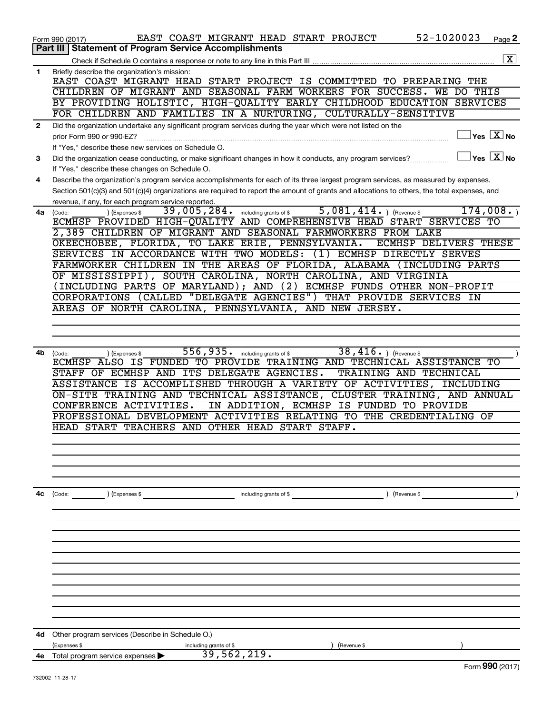|              | 52-1020023<br>EAST COAST MIGRANT HEAD START PROJECT<br>Page 2<br>Form 990 (2017)                                                                              |  |
|--------------|---------------------------------------------------------------------------------------------------------------------------------------------------------------|--|
|              | Part III   Statement of Program Service Accomplishments                                                                                                       |  |
|              | $\boxed{\text{X}}$                                                                                                                                            |  |
| 1.           | Briefly describe the organization's mission:                                                                                                                  |  |
|              | EAST COAST MIGRANT HEAD START PROJECT IS COMMITTED TO PREPARING THE                                                                                           |  |
|              | CHILDREN OF MIGRANT AND SEASONAL FARM WORKERS FOR SUCCESS. WE DO THIS                                                                                         |  |
|              | BY PROVIDING HOLISTIC, HIGH-QUALITY EARLY CHILDHOOD EDUCATION SERVICES                                                                                        |  |
|              | FOR CHILDREN AND FAMILIES IN A NURTURING, CULTURALLY-SENSITIVE                                                                                                |  |
| $\mathbf{2}$ | Did the organization undertake any significant program services during the year which were not listed on the<br>$\sqrt{}$ Yes $\sqrt{}$ $\overline{\rm X}$ No |  |
|              | prior Form 990 or 990-EZ?                                                                                                                                     |  |
|              | If "Yes," describe these new services on Schedule O.<br>$\mathsf{Yes}\ \overline{\mathbf{X}}\mathsf{No}$                                                      |  |
| 3            | Did the organization cease conducting, or make significant changes in how it conducts, any program services?                                                  |  |
|              | If "Yes," describe these changes on Schedule O.                                                                                                               |  |
| 4            | Describe the organization's program service accomplishments for each of its three largest program services, as measured by expenses.                          |  |
|              | Section 501(c)(3) and 501(c)(4) organizations are required to report the amount of grants and allocations to others, the total expenses, and                  |  |
|              | revenue, if any, for each program service reported.<br>5,081,414.<br>174,008.<br>39,005,284. including grants of \$<br>(Revenue \$                            |  |
| 4a           | ) (Expenses \$<br>(Code:<br>ECMHSP PROVIDED HIGH-QUALITY AND COMPREHENSIVE HEAD START SERVICES TO                                                             |  |
|              | 2,389 CHILDREN OF MIGRANT AND SEASONAL FARMWORKERS FROM LAKE                                                                                                  |  |
|              | OKEECHOBEE, FLORIDA, TO LAKE ERIE, PENNSYLVANIA.<br>ECMHSP DELIVERS THESE                                                                                     |  |
|              | SERVICES IN ACCORDANCE WITH TWO MODELS: (1) ECMHSP DIRECTLY SERVES                                                                                            |  |
|              | FARMWORKER CHILDREN IN THE AREAS OF FLORIDA, ALABAMA (INCLUDING PARTS                                                                                         |  |
|              | OF MISSISSIPPI), SOUTH CAROLINA, NORTH CAROLINA, AND VIRGINIA                                                                                                 |  |
|              | (INCLUDING PARTS OF MARYLAND); AND (2) ECMHSP FUNDS OTHER NON-PROFIT                                                                                          |  |
|              | CORPORATIONS (CALLED "DELEGATE AGENCIES") THAT PROVIDE SERVICES IN                                                                                            |  |
|              | AREAS OF NORTH CAROLINA, PENNSYLVANIA, AND NEW JERSEY.                                                                                                        |  |
|              |                                                                                                                                                               |  |
|              |                                                                                                                                                               |  |
|              |                                                                                                                                                               |  |
| 4b           | 556,935. including grants of \$<br>38, $416.$ ) (Revenue \$<br>(Expenses \$<br>(Code:                                                                         |  |
|              | ECMHSP ALSO IS FUNDED TO PROVIDE TRAINING AND TECHNICAL ASSISTANCE TO                                                                                         |  |
|              | STAFF OF ECMHSP AND ITS DELEGATE AGENCIES.<br>TRAINING AND TECHNICAL                                                                                          |  |
|              | ASSISTANCE IS ACCOMPLISHED THROUGH A VARIETY OF ACTIVITIES, INCLUDING                                                                                         |  |
|              | ON-SITE TRAINING AND TECHNICAL ASSISTANCE, CLUSTER TRAINING, AND ANNUAL                                                                                       |  |
|              | CONFERENCE ACTIVITIES.<br>IN ADDITION, ECMHSP IS FUNDED TO PROVIDE                                                                                            |  |
|              | PROFESSIONAL DEVELOPMENT ACTIVITIES RELATING TO THE CREDENTIALING OF                                                                                          |  |
|              | HEAD START TEACHERS AND OTHER HEAD START STAFF.                                                                                                               |  |
|              |                                                                                                                                                               |  |
|              |                                                                                                                                                               |  |
|              |                                                                                                                                                               |  |
|              |                                                                                                                                                               |  |
| 4c           |                                                                                                                                                               |  |
|              | ) (Revenue \$<br>(Code: ) (Expenses \$<br><u> 1990 - Johann Barbara, martin d</u><br>including grants of $$$                                                  |  |
|              |                                                                                                                                                               |  |
|              |                                                                                                                                                               |  |
|              |                                                                                                                                                               |  |
|              |                                                                                                                                                               |  |
|              |                                                                                                                                                               |  |
|              |                                                                                                                                                               |  |
|              |                                                                                                                                                               |  |
|              |                                                                                                                                                               |  |
|              |                                                                                                                                                               |  |
|              |                                                                                                                                                               |  |
|              |                                                                                                                                                               |  |
| 4d           | Other program services (Describe in Schedule O.)                                                                                                              |  |
|              | (Expenses \$<br>including grants of \$<br>(Revenue \$                                                                                                         |  |
| 4e           | 39,562,219.<br>Total program service expenses                                                                                                                 |  |
|              | Eorm $990(2017)$                                                                                                                                              |  |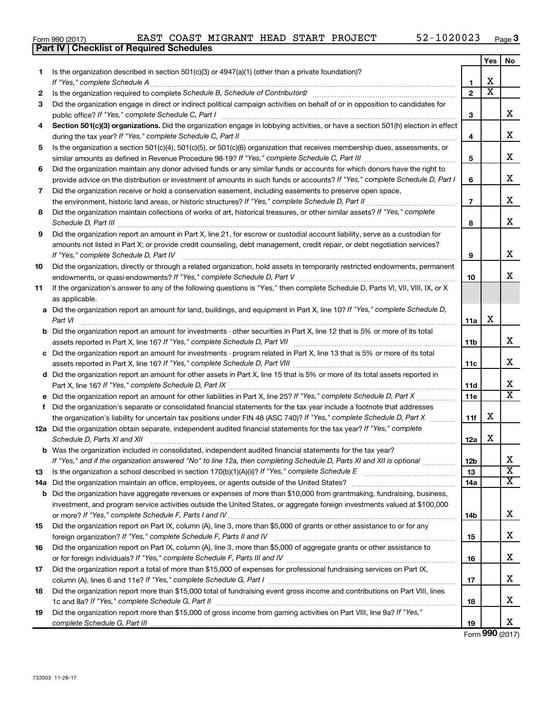732003 11-28-17

| Form 990 (2017) |  | EAST COAST MIGRANT HEAD START PROJECT |  |  | 52-1020023 | Page |
|-----------------|--|---------------------------------------|--|--|------------|------|
|-----------------|--|---------------------------------------|--|--|------------|------|

|    | Part IV   Checklist of Required Schedules                                                                                            |                |                         |                         |
|----|--------------------------------------------------------------------------------------------------------------------------------------|----------------|-------------------------|-------------------------|
|    |                                                                                                                                      |                | Yes                     | No.                     |
| 1  | Is the organization described in section 501(c)(3) or $4947(a)(1)$ (other than a private foundation)?                                |                |                         |                         |
|    |                                                                                                                                      | 1.             | х                       |                         |
| 2  |                                                                                                                                      | $\overline{2}$ | $\overline{\textbf{x}}$ |                         |
| 3  | Did the organization engage in direct or indirect political campaign activities on behalf of or in opposition to candidates for      |                |                         |                         |
|    |                                                                                                                                      | 3              |                         | x                       |
| 4  | Section 501(c)(3) organizations. Did the organization engage in lobbying activities, or have a section 501(h) election in effect     |                |                         |                         |
|    |                                                                                                                                      | 4              |                         | x                       |
| 5  | Is the organization a section 501(c)(4), 501(c)(5), or 501(c)(6) organization that receives membership dues, assessments, or         |                |                         |                         |
|    |                                                                                                                                      | 5              |                         | x                       |
| 6  | Did the organization maintain any donor advised funds or any similar funds or accounts for which donors have the right to            |                |                         |                         |
|    | provide advice on the distribution or investment of amounts in such funds or accounts? If "Yes," complete Schedule D, Part I         | 6              |                         | x                       |
|    |                                                                                                                                      |                |                         |                         |
| 7  | Did the organization receive or hold a conservation easement, including easements to preserve open space,                            | $\overline{7}$ |                         | X                       |
|    | the environment, historic land areas, or historic structures? If "Yes," complete Schedule D, Part II                                 |                |                         |                         |
| 8  | Did the organization maintain collections of works of art, historical treasures, or other similar assets? If "Yes," complete         |                |                         | x                       |
|    |                                                                                                                                      | 8              |                         |                         |
| 9  | Did the organization report an amount in Part X, line 21, for escrow or custodial account liability, serve as a custodian for        |                |                         |                         |
|    | amounts not listed in Part X; or provide credit counseling, debt management, credit repair, or debt negotiation services?            |                |                         |                         |
|    | If "Yes," complete Schedule D, Part IV                                                                                               | 9              |                         | x                       |
| 10 | Did the organization, directly or through a related organization, hold assets in temporarily restricted endowments, permanent        |                |                         |                         |
|    |                                                                                                                                      | 10             |                         | x                       |
| 11 | If the organization's answer to any of the following questions is "Yes," then complete Schedule D, Parts VI, VII, VIII, IX, or X     |                |                         |                         |
|    | as applicable.                                                                                                                       |                |                         |                         |
|    | a Did the organization report an amount for land, buildings, and equipment in Part X, line 10? If "Yes," complete Schedule D,        |                |                         |                         |
|    | Part VI                                                                                                                              | 11a            | x                       |                         |
|    | <b>b</b> Did the organization report an amount for investments - other securities in Part X, line 12 that is 5% or more of its total |                |                         |                         |
|    |                                                                                                                                      | 11b            |                         | x                       |
|    | c Did the organization report an amount for investments - program related in Part X, line 13 that is 5% or more of its total         |                |                         |                         |
|    |                                                                                                                                      | 11c            |                         | x                       |
|    | d Did the organization report an amount for other assets in Part X, line 15 that is 5% or more of its total assets reported in       |                |                         |                         |
|    |                                                                                                                                      | 11d            |                         | x                       |
|    | e Did the organization report an amount for other liabilities in Part X, line 25? If "Yes," complete Schedule D, Part X              | 11e            |                         | $\overline{\text{X}}$   |
| f. | Did the organization's separate or consolidated financial statements for the tax year include a footnote that addresses              |                |                         |                         |
|    | the organization's liability for uncertain tax positions under FIN 48 (ASC 740)? If "Yes," complete Schedule D, Part X               | 11f            | х                       |                         |
|    | 12a Did the organization obtain separate, independent audited financial statements for the tax year? If "Yes," complete              |                |                         |                         |
|    | Schedule D, Parts XI and XII                                                                                                         | 12a            | х                       |                         |
|    | b Was the organization included in consolidated, independent audited financial statements for the tax year?                          |                |                         |                         |
|    | If "Yes," and if the organization answered "No" to line 12a, then completing Schedule D, Parts XI and XII is optional                | 12b            |                         | х                       |
| 13 | Is the organization a school described in section 170(b)(1)(A)(ii)? If "Yes," complete Schedule E [[[[[[[[[[[[                       | 13             |                         | $\overline{\texttt{x}}$ |
|    |                                                                                                                                      | 14a            |                         | х                       |
|    | <b>b</b> Did the organization have aggregate revenues or expenses of more than \$10,000 from grantmaking, fundraising, business,     |                |                         |                         |
|    | investment, and program service activities outside the United States, or aggregate foreign investments valued at \$100,000           |                |                         |                         |
|    |                                                                                                                                      | 14b            |                         | x                       |
| 15 | Did the organization report on Part IX, column (A), line 3, more than \$5,000 of grants or other assistance to or for any            |                |                         |                         |
|    |                                                                                                                                      | 15             |                         | x                       |
| 16 | Did the organization report on Part IX, column (A), line 3, more than \$5,000 of aggregate grants or other assistance to             |                |                         |                         |
|    |                                                                                                                                      | 16             |                         | x                       |
| 17 | Did the organization report a total of more than \$15,000 of expenses for professional fundraising services on Part IX,              |                |                         |                         |
|    |                                                                                                                                      | 17             |                         | x                       |
|    |                                                                                                                                      |                |                         |                         |
| 18 | Did the organization report more than \$15,000 total of fundraising event gross income and contributions on Part VIII, lines         |                |                         | x                       |
|    |                                                                                                                                      | 18             |                         |                         |
| 19 | Did the organization report more than \$15,000 of gross income from gaming activities on Part VIII, line 9a? If "Yes,"               |                |                         | X                       |
|    |                                                                                                                                      | 19             |                         |                         |

|  | Form 990 (2017) |
|--|-----------------|
|  |                 |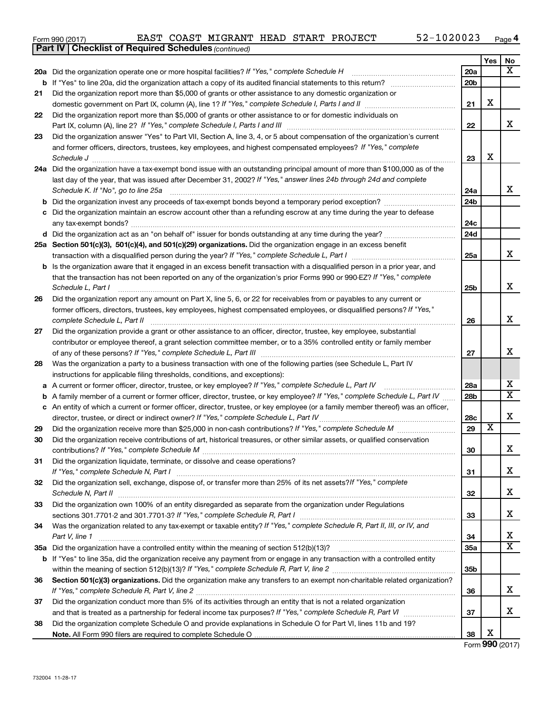| Form 990 (2017) |  |  |  |  |  | EAST COAST MIGRANT HEAD START PROJECT | 52-1020023 | Page |
|-----------------|--|--|--|--|--|---------------------------------------|------------|------|
|-----------------|--|--|--|--|--|---------------------------------------|------------|------|

|    | <b>Part IV   Checklist of Required Schedules (continued)</b>                                                                                                                                                                                                 |                 |                         |                         |
|----|--------------------------------------------------------------------------------------------------------------------------------------------------------------------------------------------------------------------------------------------------------------|-----------------|-------------------------|-------------------------|
|    |                                                                                                                                                                                                                                                              |                 | Yes                     | No                      |
|    | 20a Did the organization operate one or more hospital facilities? If "Yes," complete Schedule H                                                                                                                                                              | <b>20a</b>      |                         | $\overline{\mathbf{X}}$ |
| b  | If "Yes" to line 20a, did the organization attach a copy of its audited financial statements to this return?                                                                                                                                                 | 20 <sub>b</sub> |                         |                         |
| 21 | Did the organization report more than \$5,000 of grants or other assistance to any domestic organization or                                                                                                                                                  |                 |                         |                         |
|    |                                                                                                                                                                                                                                                              | 21              | X                       |                         |
| 22 | Did the organization report more than \$5,000 of grants or other assistance to or for domestic individuals on                                                                                                                                                |                 |                         |                         |
|    |                                                                                                                                                                                                                                                              | 22              |                         | x                       |
| 23 | Did the organization answer "Yes" to Part VII, Section A, line 3, 4, or 5 about compensation of the organization's current                                                                                                                                   |                 |                         |                         |
|    | and former officers, directors, trustees, key employees, and highest compensated employees? If "Yes," complete                                                                                                                                               |                 |                         |                         |
|    |                                                                                                                                                                                                                                                              | 23              | X                       |                         |
|    | 24a Did the organization have a tax-exempt bond issue with an outstanding principal amount of more than \$100,000 as of the                                                                                                                                  |                 |                         |                         |
|    | last day of the year, that was issued after December 31, 2002? If "Yes," answer lines 24b through 24d and complete                                                                                                                                           |                 |                         |                         |
|    | Schedule K. If "No", go to line 25a                                                                                                                                                                                                                          | 24a             |                         | x                       |
| b  |                                                                                                                                                                                                                                                              | 24 <sub>b</sub> |                         |                         |
|    | Did the organization maintain an escrow account other than a refunding escrow at any time during the year to defease                                                                                                                                         |                 |                         |                         |
|    |                                                                                                                                                                                                                                                              | 24c             |                         |                         |
|    | d Did the organization act as an "on behalf of" issuer for bonds outstanding at any time during the year?                                                                                                                                                    | 24d             |                         |                         |
|    | 25a Section 501(c)(3), 501(c)(4), and 501(c)(29) organizations. Did the organization engage in an excess benefit                                                                                                                                             |                 |                         | x                       |
|    |                                                                                                                                                                                                                                                              | 25a             |                         |                         |
|    | <b>b</b> Is the organization aware that it engaged in an excess benefit transaction with a disqualified person in a prior year, and<br>that the transaction has not been reported on any of the organization's prior Forms 990 or 990-EZ? If "Yes," complete |                 |                         |                         |
|    | Schedule L, Part I                                                                                                                                                                                                                                           | 25b             |                         | x                       |
| 26 | Did the organization report any amount on Part X, line 5, 6, or 22 for receivables from or payables to any current or                                                                                                                                        |                 |                         |                         |
|    | former officers, directors, trustees, key employees, highest compensated employees, or disqualified persons? If "Yes,"                                                                                                                                       |                 |                         |                         |
|    | complete Schedule L, Part II                                                                                                                                                                                                                                 | 26              |                         | X                       |
| 27 | Did the organization provide a grant or other assistance to an officer, director, trustee, key employee, substantial                                                                                                                                         |                 |                         |                         |
|    | contributor or employee thereof, a grant selection committee member, or to a 35% controlled entity or family member                                                                                                                                          |                 |                         |                         |
|    |                                                                                                                                                                                                                                                              | 27              |                         | X                       |
| 28 | Was the organization a party to a business transaction with one of the following parties (see Schedule L, Part IV                                                                                                                                            |                 |                         |                         |
|    | instructions for applicable filing thresholds, conditions, and exceptions):                                                                                                                                                                                  |                 |                         |                         |
| а  | A current or former officer, director, trustee, or key employee? If "Yes," complete Schedule L, Part IV                                                                                                                                                      | 28a             |                         | х                       |
| b  | A family member of a current or former officer, director, trustee, or key employee? If "Yes," complete Schedule L, Part IV                                                                                                                                   | 28 <sub>b</sub> |                         | $\overline{\textbf{x}}$ |
| с  | An entity of which a current or former officer, director, trustee, or key employee (or a family member thereof) was an officer,                                                                                                                              |                 |                         |                         |
|    | director, trustee, or direct or indirect owner? If "Yes," complete Schedule L, Part IV                                                                                                                                                                       | 28c             |                         | X                       |
| 29 |                                                                                                                                                                                                                                                              | 29              | $\overline{\textbf{x}}$ |                         |
| 30 | Did the organization receive contributions of art, historical treasures, or other similar assets, or qualified conservation                                                                                                                                  |                 |                         |                         |
|    |                                                                                                                                                                                                                                                              | 30              |                         | ▵                       |
| 31 | Did the organization liquidate, terminate, or dissolve and cease operations?                                                                                                                                                                                 |                 |                         |                         |
|    |                                                                                                                                                                                                                                                              | 31              |                         | x                       |
| 32 | Did the organization sell, exchange, dispose of, or transfer more than 25% of its net assets? If "Yes," complete                                                                                                                                             |                 |                         |                         |
|    | Schedule N, Part II                                                                                                                                                                                                                                          | 32              |                         | X                       |
| 33 | Did the organization own 100% of an entity disregarded as separate from the organization under Regulations                                                                                                                                                   |                 |                         | X                       |
|    |                                                                                                                                                                                                                                                              | 33              |                         |                         |
| 34 | Was the organization related to any tax-exempt or taxable entity? If "Yes," complete Schedule R, Part II, III, or IV, and                                                                                                                                    |                 |                         | х                       |
|    | Part V, line 1                                                                                                                                                                                                                                               | 34<br>35a       |                         | $\overline{\mathbf{x}}$ |
|    | b If "Yes" to line 35a, did the organization receive any payment from or engage in any transaction with a controlled entity                                                                                                                                  |                 |                         |                         |
|    |                                                                                                                                                                                                                                                              | 35b             |                         |                         |
| 36 | Section 501(c)(3) organizations. Did the organization make any transfers to an exempt non-charitable related organization?                                                                                                                                   |                 |                         |                         |
|    |                                                                                                                                                                                                                                                              | 36              |                         | x                       |
| 37 | Did the organization conduct more than 5% of its activities through an entity that is not a related organization                                                                                                                                             |                 |                         |                         |
|    |                                                                                                                                                                                                                                                              | 37              |                         | x                       |
| 38 | Did the organization complete Schedule O and provide explanations in Schedule O for Part VI, lines 11b and 19?                                                                                                                                               |                 |                         |                         |
|    |                                                                                                                                                                                                                                                              | 38              | X                       |                         |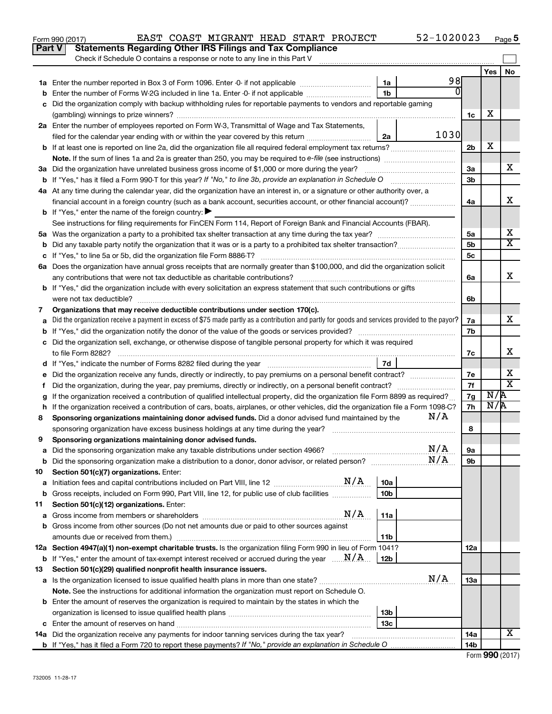|    | Part V<br><b>Statements Regarding Other IRS Filings and Tax Compliance</b><br>Check if Schedule O contains a response or note to any line in this Part V                                |                 |          |                |     |                              |
|----|-----------------------------------------------------------------------------------------------------------------------------------------------------------------------------------------|-----------------|----------|----------------|-----|------------------------------|
|    |                                                                                                                                                                                         |                 |          |                | Yes | No.                          |
|    |                                                                                                                                                                                         | 1a              | 98       |                |     |                              |
|    | Enter the number of Forms W-2G included in line 1a. Enter -0- if not applicable                                                                                                         | 1 <sub>b</sub>  | $\Omega$ |                |     |                              |
|    | Did the organization comply with backup withholding rules for reportable payments to vendors and reportable gaming                                                                      |                 |          |                |     |                              |
|    |                                                                                                                                                                                         |                 |          | 1c             | х   |                              |
|    | 2a Enter the number of employees reported on Form W-3, Transmittal of Wage and Tax Statements,                                                                                          |                 |          |                |     |                              |
|    | filed for the calendar year ending with or within the year covered by this return                                                                                                       | 2a              | 1030     |                |     |                              |
|    | b If at least one is reported on line 2a, did the organization file all required federal employment tax returns?                                                                        |                 |          | 2 <sub>b</sub> | X   |                              |
|    |                                                                                                                                                                                         |                 |          |                |     |                              |
|    | 3a Did the organization have unrelated business gross income of \$1,000 or more during the year?                                                                                        |                 |          | За             |     | х                            |
|    |                                                                                                                                                                                         |                 |          | 3b             |     |                              |
|    | 4a At any time during the calendar year, did the organization have an interest in, or a signature or other authority over, a                                                            |                 |          |                |     |                              |
|    | financial account in a foreign country (such as a bank account, securities account, or other financial account)?                                                                        |                 |          | 4a             |     | x                            |
|    | <b>b</b> If "Yes," enter the name of the foreign country: $\blacktriangleright$                                                                                                         |                 |          |                |     |                              |
|    | See instructions for filing requirements for FinCEN Form 114, Report of Foreign Bank and Financial Accounts (FBAR).                                                                     |                 |          |                |     |                              |
|    |                                                                                                                                                                                         |                 |          | 5a             |     | х                            |
| b  |                                                                                                                                                                                         |                 |          | 5 <sub>b</sub> |     | $\overline{\textbf{X}}$      |
|    |                                                                                                                                                                                         |                 |          | <b>5c</b>      |     |                              |
|    | 6a Does the organization have annual gross receipts that are normally greater than \$100,000, and did the organization solicit                                                          |                 |          |                |     |                              |
|    |                                                                                                                                                                                         |                 |          | 6a             |     | x                            |
|    | <b>b</b> If "Yes," did the organization include with every solicitation an express statement that such contributions or gifts                                                           |                 |          |                |     |                              |
|    | were not tax deductible?                                                                                                                                                                |                 |          | 6b             |     |                              |
| 7  | Organizations that may receive deductible contributions under section 170(c).                                                                                                           |                 |          |                |     |                              |
|    | Did the organization receive a payment in excess of \$75 made partly as a contribution and partly for goods and services provided to the payor?                                         |                 |          | 7a             |     | х                            |
|    |                                                                                                                                                                                         |                 |          | 7b             |     |                              |
|    | c Did the organization sell, exchange, or otherwise dispose of tangible personal property for which it was required                                                                     |                 |          |                |     |                              |
|    |                                                                                                                                                                                         |                 |          | 7c             |     | х                            |
|    |                                                                                                                                                                                         | 7d              |          |                |     |                              |
| е  | Did the organization receive any funds, directly or indirectly, to pay premiums on a personal benefit contract?                                                                         |                 |          | 7е             |     | x<br>$\overline{\texttt{x}}$ |
| f. | Did the organization, during the year, pay premiums, directly or indirectly, on a personal benefit contract?                                                                            |                 |          | 7f             |     |                              |
|    | If the organization received a contribution of qualified intellectual property, did the organization file Form 8899 as required?                                                        |                 |          | 7g             | N/R |                              |
|    | h If the organization received a contribution of cars, boats, airplanes, or other vehicles, did the organization file a Form 1098-C?                                                    |                 |          | 7h             | N/R |                              |
| 8  | Sponsoring organizations maintaining donor advised funds. Did a donor advised fund maintained by the                                                                                    |                 | N/A      |                |     |                              |
|    |                                                                                                                                                                                         |                 |          | 8              |     |                              |
| 9  | Sponsoring organizations maintaining donor advised funds.                                                                                                                               |                 |          |                |     |                              |
|    |                                                                                                                                                                                         |                 | N/A      | 9а             |     |                              |
|    | <b>b</b> Did the sponsoring organization make a distribution to a donor, donor advisor, or related person?                                                                              |                 | N/A      | 9b             |     |                              |
| 10 | Section 501(c)(7) organizations. Enter:                                                                                                                                                 |                 |          |                |     |                              |
| а  | N/A<br>Initiation fees and capital contributions included on Part VIII, line 12 [111] [12] [12] [12] [13] [13] Initiation fees and capital contributions included on Part VIII, line 12 | 10a             |          |                |     |                              |
| b  | Gross receipts, included on Form 990, Part VIII, line 12, for public use of club facilities                                                                                             | 10 <sub>b</sub> |          |                |     |                              |
| 11 | Section 501(c)(12) organizations. Enter:<br>N/A                                                                                                                                         |                 |          |                |     |                              |
| а  |                                                                                                                                                                                         | 11a             |          |                |     |                              |
|    | <b>b</b> Gross income from other sources (Do not net amounts due or paid to other sources against                                                                                       |                 |          |                |     |                              |
|    | 12a Section 4947(a)(1) non-exempt charitable trusts. Is the organization filing Form 990 in lieu of Form 1041?                                                                          | 11b             |          |                |     |                              |
|    | <b>b</b> If "Yes," enter the amount of tax-exempt interest received or accrued during the year $\ldots$ $M/A$ .                                                                         | 12b             |          | 12a            |     |                              |
|    |                                                                                                                                                                                         |                 |          |                |     |                              |
| 13 | Section 501(c)(29) qualified nonprofit health insurance issuers.                                                                                                                        |                 | N/A      | 1За            |     |                              |
|    |                                                                                                                                                                                         |                 |          |                |     |                              |
|    | Note. See the instructions for additional information the organization must report on Schedule O.                                                                                       |                 |          |                |     |                              |
|    | <b>b</b> Enter the amount of reserves the organization is required to maintain by the states in which the                                                                               | 13 <sub>b</sub> |          |                |     |                              |
|    |                                                                                                                                                                                         | 13c             |          |                |     |                              |
|    | 14a Did the organization receive any payments for indoor tanning services during the tax year?                                                                                          |                 |          | 14a            |     | x                            |
|    |                                                                                                                                                                                         |                 |          | 14b            |     |                              |

Form 990 (2017) Page EAST COAST MIGRANT HEAD START PROJECT 52-1020023

|  |  | Form 990 (2017) |
|--|--|-----------------|
|--|--|-----------------|

**5**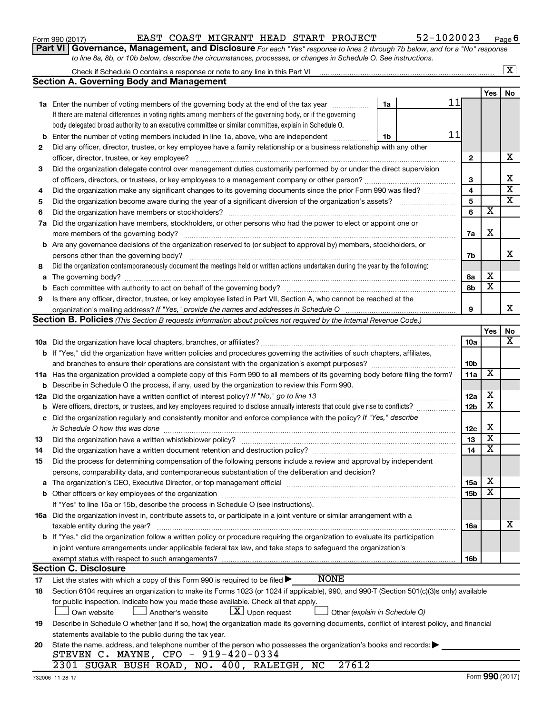| Form 990 (2017) |  |  |  |  |  |  | EAST COAST MIGRANT HEAD START PROJECT | 52-1020023 | Page |  |
|-----------------|--|--|--|--|--|--|---------------------------------------|------------|------|--|
|-----------------|--|--|--|--|--|--|---------------------------------------|------------|------|--|

| Form 990 (2017)                                                                                                                    |  |  | EAST COAST MIGRANT HEAD START PROJECT                                                                            | 52-1020023 | Pag |
|------------------------------------------------------------------------------------------------------------------------------------|--|--|------------------------------------------------------------------------------------------------------------------|------------|-----|
| <b>Part VI Governance, Management, and Disclosure</b> For each "Yes" response to lines 2 through 7b below, and for a "No" response |  |  |                                                                                                                  |            |     |
|                                                                                                                                    |  |  | to line 8a, 8b, or 10b below, describe the circumstances, processes, or changes in Schedule O. See instructions. |            |     |

|    |                                                                                                                                              |                         |                         | $\overline{\mathbf{x}}$ |
|----|----------------------------------------------------------------------------------------------------------------------------------------------|-------------------------|-------------------------|-------------------------|
|    | <b>Section A. Governing Body and Management</b>                                                                                              |                         |                         |                         |
|    |                                                                                                                                              |                         | <b>Yes</b>              | No                      |
|    | 11<br>1a Enter the number of voting members of the governing body at the end of the tax year<br>1a                                           |                         |                         |                         |
|    | If there are material differences in voting rights among members of the governing body, or if the governing                                  |                         |                         |                         |
|    | body delegated broad authority to an executive committee or similar committee, explain in Schedule O.                                        |                         |                         |                         |
| b  | 11<br>Enter the number of voting members included in line 1a, above, who are independent<br>1b                                               |                         |                         |                         |
| 2  | Did any officer, director, trustee, or key employee have a family relationship or a business relationship with any other                     |                         |                         |                         |
|    |                                                                                                                                              | $\mathbf{2}$            |                         | x                       |
| 3  | Did the organization delegate control over management duties customarily performed by or under the direct supervision                        |                         |                         |                         |
|    |                                                                                                                                              | 3                       |                         | х                       |
| 4  | Did the organization make any significant changes to its governing documents since the prior Form 990 was filed?                             | $\overline{\mathbf{4}}$ |                         | $\overline{\mathbf{x}}$ |
| 5  |                                                                                                                                              | 5                       |                         | $\overline{\texttt{x}}$ |
| 6  |                                                                                                                                              | 6                       | $\overline{\mathbf{x}}$ |                         |
|    | 7a Did the organization have members, stockholders, or other persons who had the power to elect or appoint one or                            |                         |                         |                         |
|    |                                                                                                                                              | 7a                      | х                       |                         |
|    | <b>b</b> Are any governance decisions of the organization reserved to (or subject to approval by) members, stockholders, or                  |                         |                         |                         |
|    | persons other than the governing body?                                                                                                       | 7b                      |                         | x                       |
| 8  | Did the organization contemporaneously document the meetings held or written actions undertaken during the year by the following:            |                         |                         |                         |
|    |                                                                                                                                              | 8а                      | x                       |                         |
| b  |                                                                                                                                              | 8b                      | $\overline{\textbf{x}}$ |                         |
| 9  | Is there any officer, director, trustee, or key employee listed in Part VII, Section A, who cannot be reached at the                         |                         |                         |                         |
|    |                                                                                                                                              | 9                       |                         | x                       |
|    | Section B. Policies (This Section B requests information about policies not required by the Internal Revenue Code.)                          |                         |                         |                         |
|    |                                                                                                                                              |                         | Yes                     | No                      |
|    |                                                                                                                                              | <b>10a</b>              |                         | $\overline{\mathbf{X}}$ |
|    | b If "Yes," did the organization have written policies and procedures governing the activities of such chapters, affiliates,                 |                         |                         |                         |
|    | and branches to ensure their operations are consistent with the organization's exempt purposes?                                              | 10b                     |                         |                         |
|    | 11a Has the organization provided a complete copy of this Form 990 to all members of its governing body before filing the form?              | 11a                     | X                       |                         |
|    | <b>b</b> Describe in Schedule O the process, if any, used by the organization to review this Form 990.                                       |                         |                         |                         |
|    | 12a Did the organization have a written conflict of interest policy? If "No," go to line 13                                                  | 12a                     | х                       |                         |
|    | <b>b</b> Were officers, directors, or trustees, and key employees required to disclose annually interests that could give rise to conflicts? | 12 <sub>b</sub>         | $\overline{\text{x}}$   |                         |
|    | c Did the organization regularly and consistently monitor and enforce compliance with the policy? If "Yes," describe                         |                         |                         |                         |
|    | in Schedule O how this was done manufactured and continuum and contact the was done manufactured and contact t                               | 12c                     | х                       |                         |
| 13 |                                                                                                                                              | 13                      | $\overline{\textbf{x}}$ |                         |
| 14 | Did the organization have a written document retention and destruction policy? [11] manufaction manufaction in                               | 14                      | $\overline{\text{x}}$   |                         |
| 15 | Did the process for determining compensation of the following persons include a review and approval by independent                           |                         |                         |                         |
|    | persons, comparability data, and contemporaneous substantiation of the deliberation and decision?                                            |                         |                         |                         |
|    |                                                                                                                                              | 15a                     | x                       |                         |
|    |                                                                                                                                              | 15b                     | $\overline{\textbf{x}}$ |                         |
|    | If "Yes" to line 15a or 15b, describe the process in Schedule O (see instructions).                                                          |                         |                         |                         |
|    | 16a Did the organization invest in, contribute assets to, or participate in a joint venture or similar arrangement with a                    |                         |                         |                         |
|    | taxable entity during the year?                                                                                                              | 16a                     |                         | x                       |
|    | b If "Yes," did the organization follow a written policy or procedure requiring the organization to evaluate its participation               |                         |                         |                         |
|    | in joint venture arrangements under applicable federal tax law, and take steps to safeguard the organization's                               |                         |                         |                         |
|    | exempt status with respect to such arrangements?                                                                                             | 16b                     |                         |                         |
|    | <b>Section C. Disclosure</b>                                                                                                                 |                         |                         |                         |
| 17 | <b>NONE</b><br>List the states with which a copy of this Form 990 is required to be filed >                                                  |                         |                         |                         |
| 18 | Section 6104 requires an organization to make its Forms 1023 (or 1024 if applicable), 990, and 990-T (Section 501(c)(3)s only) available     |                         |                         |                         |
|    | for public inspection. Indicate how you made these available. Check all that apply.                                                          |                         |                         |                         |
|    | $ \underline{X} $ Upon request<br>Own website<br>Another's website<br>Other (explain in Schedule O)                                          |                         |                         |                         |
| 19 | Describe in Schedule O whether (and if so, how) the organization made its governing documents, conflict of interest policy, and financial    |                         |                         |                         |
|    | statements available to the public during the tax year.                                                                                      |                         |                         |                         |
| 20 | State the name, address, and telephone number of the person who possesses the organization's books and records:                              |                         |                         |                         |
|    | STEVEN C. MAYNE, CFO - 919-420-0334                                                                                                          |                         |                         |                         |
|    | 2301 SUGAR BUSH ROAD, NO. 400, RALEIGH, NC<br>27612                                                                                          |                         |                         |                         |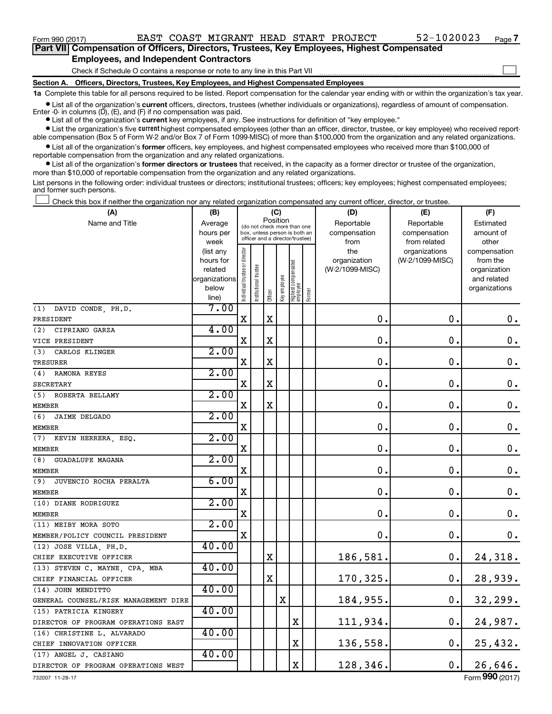$\Box$ 

| Part VII Compensation of Officers, Directors, Trustees, Key Employees, Highest Compensated |
|--------------------------------------------------------------------------------------------|
| <b>Employees, and Independent Contractors</b>                                              |

Check if Schedule O contains a response or note to any line in this Part VII

**Section A. Officers, Directors, Trustees, Key Employees, and Highest Compensated Employees**

**1a**  Complete this table for all persons required to be listed. Report compensation for the calendar year ending with or within the organization's tax year.

**•** List all of the organization's current officers, directors, trustees (whether individuals or organizations), regardless of amount of compensation. Enter  $-0$ - in columns  $(D)$ ,  $(E)$ , and  $(F)$  if no compensation was paid.

**•** List all of the organization's **current** key employees, if any. See instructions for definition of "key employee."

**•** List the organization's five current highest compensated employees (other than an officer, director, trustee, or key employee) who received reportable compensation (Box 5 of Form W-2 and/or Box 7 of Form 1099-MISC) of more than \$100,000 from the organization and any related organizations.

**•** List all of the organization's former officers, key employees, and highest compensated employees who received more than \$100,000 of reportable compensation from the organization and any related organizations.

**•** List all of the organization's former directors or trustees that received, in the capacity as a former director or trustee of the organization, more than \$10,000 of reportable compensation from the organization and any related organizations.

List persons in the following order: individual trustees or directors; institutional trustees; officers; key employees; highest compensated employees; and former such persons.

Check this box if neither the organization nor any related organization compensated any current officer, director, or trustee.  $\Box$ 

| (A)                                  | (B)                    |                                |                                                                  |             | (C)          |                                 |        | (D)             | (E)                              | (F)                      |
|--------------------------------------|------------------------|--------------------------------|------------------------------------------------------------------|-------------|--------------|---------------------------------|--------|-----------------|----------------------------------|--------------------------|
| Name and Title                       | Average                |                                | (do not check more than one                                      | Position    |              |                                 |        | Reportable      | Reportable                       | Estimated                |
|                                      | hours per              |                                | box, unless person is both an<br>officer and a director/trustee) |             |              |                                 |        | compensation    | compensation                     | amount of                |
|                                      | week                   |                                |                                                                  |             |              |                                 |        | from<br>the     | from related                     | other                    |
|                                      | (list any<br>hours for |                                |                                                                  |             |              |                                 |        | organization    | organizations<br>(W-2/1099-MISC) | compensation<br>from the |
|                                      | related                |                                |                                                                  |             |              |                                 |        | (W-2/1099-MISC) |                                  | organization             |
|                                      | organizations          |                                |                                                                  |             |              |                                 |        |                 |                                  | and related              |
|                                      | below                  | Individual trustee or director | $onal$                                                           |             | Key employee | Highest compensated<br>employee |        |                 |                                  | organizations            |
|                                      | line)                  |                                | Institutio                                                       | Officer     |              |                                 | Former |                 |                                  |                          |
| (1) DAVID CONDE, PH.D.               | 7.00                   |                                |                                                                  |             |              |                                 |        |                 |                                  |                          |
| PRESIDENT                            |                        | $\mathbf X$                    |                                                                  | $\mathbf X$ |              |                                 |        | $\mathbf 0$ .   | $\mathbf 0$ .                    | $\boldsymbol{0}$ .       |
| (2)<br>CIPRIANO GARZA                | 4.00                   |                                |                                                                  |             |              |                                 |        |                 |                                  |                          |
| VICE PRESIDENT                       |                        | $\mathbf X$                    |                                                                  | $\mathbf X$ |              |                                 |        | $\mathbf 0$     | $\mathbf 0$ .                    | $\mathbf 0$ .            |
| (3)<br>CARLOS KLINGER                | 2.00                   |                                |                                                                  |             |              |                                 |        |                 |                                  |                          |
| <b>TRESURER</b>                      |                        | X                              |                                                                  | $\mathbf X$ |              |                                 |        | $\mathbf 0$     | $\mathbf 0$ .                    | $\boldsymbol{0}$ .       |
| RAMONA REYES<br>(4)                  | 2.00                   |                                |                                                                  |             |              |                                 |        |                 |                                  |                          |
| <b>SECRETARY</b>                     |                        | X                              |                                                                  | $\mathbf X$ |              |                                 |        | 0.              | $\mathbf 0$ .                    | $\boldsymbol{0}$ .       |
| (5) ROBERTA BELLAMY                  | 2.00                   |                                |                                                                  |             |              |                                 |        |                 |                                  |                          |
| <b>MEMBER</b>                        |                        | X                              |                                                                  | $\mathbf X$ |              |                                 |        | 0.              | $\mathbf 0$ .                    | $\boldsymbol{0}$ .       |
| (6)<br><b>JAIME DELGADO</b>          | 2.00                   |                                |                                                                  |             |              |                                 |        |                 |                                  |                          |
| <b>MEMBER</b>                        |                        | X                              |                                                                  |             |              |                                 |        | 0               | $\mathbf 0$ .                    | $\mathbf 0$ .            |
| (7)<br>KEVIN HERRERA, ESQ.           | 2.00                   |                                |                                                                  |             |              |                                 |        |                 |                                  |                          |
| <b>MEMBER</b>                        |                        | X                              |                                                                  |             |              |                                 |        | $\mathbf 0$     | $\mathbf 0$ .                    | $\mathbf 0$ .            |
| (8)<br><b>GUADALUPE MAGANA</b>       | 2.00                   |                                |                                                                  |             |              |                                 |        |                 |                                  |                          |
| <b>MEMBER</b>                        |                        | $\mathbf X$                    |                                                                  |             |              |                                 |        | $\mathbf 0$     | $\mathbf 0$ .                    | $\mathbf 0$ .            |
| (9)<br>JUVENCIO ROCHA PERALTA        | 6.00                   |                                |                                                                  |             |              |                                 |        |                 |                                  |                          |
| <b>MEMBER</b>                        |                        | X                              |                                                                  |             |              |                                 |        | $\mathbf 0$     | О.                               | $\mathbf 0$ .            |
| (10) DIANE RODRIGUEZ                 | 2.00                   |                                |                                                                  |             |              |                                 |        |                 |                                  |                          |
| <b>MEMBER</b>                        |                        | $\mathbf X$                    |                                                                  |             |              |                                 |        | $\mathbf 0$     | $\mathbf 0$ .                    | $\mathbf 0$ .            |
| (11) MEIBY MORA SOTO                 | 2.00                   |                                |                                                                  |             |              |                                 |        |                 |                                  |                          |
| MEMBER/POLICY COUNCIL PRESIDENT      |                        | $\mathbf X$                    |                                                                  |             |              |                                 |        | 0               | $\mathbf 0$ .                    | 0.                       |
| (12) JOSE VILLA, PH.D.               | 40.00                  |                                |                                                                  |             |              |                                 |        |                 |                                  |                          |
| CHIEF EXECUTIVE OFFICER              |                        |                                |                                                                  | X           |              |                                 |        | 186,581         | $\mathbf 0$ .                    | 24,318.                  |
| (13) STEVEN C. MAYNE, CPA, MBA       | 40.00                  |                                |                                                                  |             |              |                                 |        |                 |                                  |                          |
| CHIEF FINANCIAL OFFICER              |                        |                                |                                                                  | $\mathbf X$ |              |                                 |        | 170,325.        | $\mathbf 0$ .                    | 28,939.                  |
| (14) JOHN MENDITTO                   | 40.00                  |                                |                                                                  |             |              |                                 |        |                 |                                  |                          |
| GENERAL COUNSEL/RISK MANAGEMENT DIRE |                        |                                |                                                                  |             | X            |                                 |        | 184,955.        | 0.                               | 32,299.                  |
| (15) PATRICIA KINGERY                | 40.00                  |                                |                                                                  |             |              |                                 |        |                 |                                  |                          |
| DIRECTOR OF PROGRAM OPERATIONS EAST  |                        |                                |                                                                  |             |              | $\mathbf X$                     |        | 111,934.        | $\mathbf 0$ .                    | 24,987.                  |
| (16) CHRISTINE L. ALVARADO           | 40.00                  |                                |                                                                  |             |              |                                 |        |                 |                                  |                          |
| CHIEF INNOVATION OFFICER             |                        |                                |                                                                  |             |              | $\mathbf X$                     |        | 136,558.        | 0.                               | 25,432.                  |
| (17) ANGEL J. CASIANO                | 40.00                  |                                |                                                                  |             |              |                                 |        |                 |                                  |                          |
| DIRECTOR OF PROGRAM OPERATIONS WEST  |                        |                                |                                                                  |             |              | $\mathbf X$                     |        | 128,346.        | $\mathbf 0$ .                    | 26,646.                  |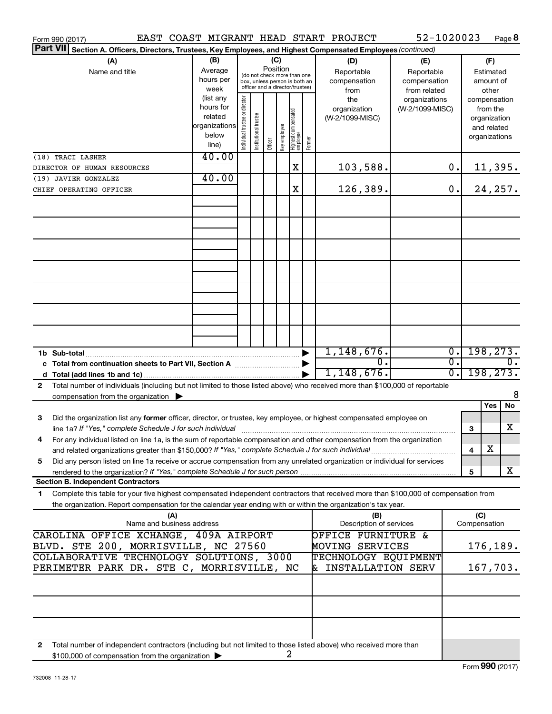| Form 990 (2017)                                                                                                                            |                          |                                         |                       |                                 |              |                                   |        | EAST COAST MIGRANT HEAD START PROJECT | 52-1020023      |                             |               |              | Page 8           |
|--------------------------------------------------------------------------------------------------------------------------------------------|--------------------------|-----------------------------------------|-----------------------|---------------------------------|--------------|-----------------------------------|--------|---------------------------------------|-----------------|-----------------------------|---------------|--------------|------------------|
| <b>Part VII</b><br>Section A. Officers, Directors, Trustees, Key Employees, and Highest Compensated Employees (continued)                  |                          |                                         |                       |                                 |              |                                   |        |                                       |                 |                             |               |              |                  |
| (A)                                                                                                                                        | (B)                      |                                         |                       | (C)                             |              |                                   |        | (D)                                   | (E)             |                             |               | (F)          |                  |
| Name and title                                                                                                                             | Average                  | Position<br>(do not check more than one |                       |                                 |              |                                   |        | Reportable                            | Reportable      |                             |               | Estimated    |                  |
|                                                                                                                                            | hours per                |                                         |                       | box, unless person is both an   |              |                                   |        | compensation                          | compensation    |                             |               | amount of    |                  |
|                                                                                                                                            | week                     |                                         |                       | officer and a director/trustee) |              |                                   |        | from                                  | from related    |                             |               | other        |                  |
|                                                                                                                                            | (list any                |                                         |                       |                                 |              |                                   |        | the                                   | organizations   |                             | compensation  |              |                  |
|                                                                                                                                            | hours for                |                                         |                       |                                 |              |                                   |        | organization                          | (W-2/1099-MISC) |                             |               | from the     |                  |
|                                                                                                                                            | related<br>organizations |                                         |                       |                                 |              |                                   |        | (W-2/1099-MISC)                       |                 |                             |               | organization |                  |
|                                                                                                                                            | below                    |                                         |                       |                                 |              |                                   |        |                                       |                 |                             |               | and related  |                  |
|                                                                                                                                            | line)                    | Individual trustee or director          | Institutional trustee | Officer                         | Key employee | Highest compensated<br>  employee | Former |                                       |                 |                             | organizations |              |                  |
| (18) TRACI LASHER                                                                                                                          | 40.00                    |                                         |                       |                                 |              |                                   |        |                                       |                 |                             |               |              |                  |
| DIRECTOR OF HUMAN RESOURCES                                                                                                                |                          |                                         |                       |                                 |              | X                                 |        | 103,588.                              |                 | 0.                          |               |              | 11,395.          |
| (19) JAVIER GONZALEZ                                                                                                                       | 40.00                    |                                         |                       |                                 |              |                                   |        |                                       |                 |                             |               |              |                  |
| CHIEF OPERATING OFFICER                                                                                                                    |                          |                                         |                       |                                 |              | X                                 |        | 126,389.                              |                 | 0.                          |               |              | 24, 257.         |
|                                                                                                                                            |                          |                                         |                       |                                 |              |                                   |        |                                       |                 |                             |               |              |                  |
|                                                                                                                                            |                          |                                         |                       |                                 |              |                                   |        |                                       |                 |                             |               |              |                  |
|                                                                                                                                            |                          |                                         |                       |                                 |              |                                   |        |                                       |                 |                             |               |              |                  |
|                                                                                                                                            |                          |                                         |                       |                                 |              |                                   |        |                                       |                 |                             |               |              |                  |
|                                                                                                                                            |                          |                                         |                       |                                 |              |                                   |        |                                       |                 |                             |               |              |                  |
|                                                                                                                                            |                          |                                         |                       |                                 |              |                                   |        |                                       |                 |                             |               |              |                  |
|                                                                                                                                            |                          |                                         |                       |                                 |              |                                   |        |                                       |                 |                             |               |              |                  |
|                                                                                                                                            |                          |                                         |                       |                                 |              |                                   |        |                                       |                 |                             |               |              |                  |
|                                                                                                                                            |                          |                                         |                       |                                 |              |                                   |        |                                       |                 |                             |               |              |                  |
|                                                                                                                                            |                          |                                         |                       |                                 |              |                                   |        |                                       |                 |                             |               |              |                  |
|                                                                                                                                            |                          |                                         |                       |                                 |              |                                   |        |                                       |                 |                             |               |              |                  |
|                                                                                                                                            |                          |                                         |                       |                                 |              |                                   |        |                                       |                 |                             |               |              |                  |
|                                                                                                                                            |                          |                                         |                       |                                 |              |                                   |        |                                       |                 |                             |               |              |                  |
|                                                                                                                                            |                          |                                         |                       |                                 |              |                                   |        |                                       |                 |                             |               |              |                  |
|                                                                                                                                            |                          |                                         |                       |                                 |              |                                   |        |                                       |                 |                             |               |              |                  |
| 1b Sub-total                                                                                                                               |                          |                                         |                       |                                 |              |                                   |        | 1,148,676.                            |                 | $\overline{\mathfrak{o}}$ . | 198, 273.     |              |                  |
| c Total from continuation sheets to Part VII, Section A manufactured by                                                                    |                          |                                         |                       |                                 |              |                                   |        | $\overline{0}$ .                      |                 | σ.                          |               |              | $\overline{0}$ . |
|                                                                                                                                            |                          |                                         |                       |                                 |              |                                   |        | 1,148,676.                            |                 | $\overline{0}$ .            | 198, 273.     |              |                  |
| Total number of individuals (including but not limited to those listed above) who received more than \$100,000 of reportable<br>2          |                          |                                         |                       |                                 |              |                                   |        |                                       |                 |                             |               |              |                  |
| compensation from the organization $\blacktriangleright$                                                                                   |                          |                                         |                       |                                 |              |                                   |        |                                       |                 |                             |               |              | 8                |
|                                                                                                                                            |                          |                                         |                       |                                 |              |                                   |        |                                       |                 |                             |               | Yes          | No               |
| 3<br>Did the organization list any former officer, director, or trustee, key employee, or highest compensated employee on                  |                          |                                         |                       |                                 |              |                                   |        |                                       |                 |                             |               |              |                  |
|                                                                                                                                            |                          |                                         |                       |                                 |              |                                   |        |                                       |                 |                             | 3             |              | x                |
| For any individual listed on line 1a, is the sum of reportable compensation and other compensation from the organization                   |                          |                                         |                       |                                 |              |                                   |        |                                       |                 |                             |               |              |                  |
| and related organizations greater than \$150,000? If "Yes," complete Schedule J for such individual                                        |                          |                                         |                       |                                 |              |                                   |        |                                       |                 |                             | 4             | х            |                  |
| Did any person listed on line 1a receive or accrue compensation from any unrelated organization or individual for services<br>5            |                          |                                         |                       |                                 |              |                                   |        |                                       |                 |                             |               |              |                  |
|                                                                                                                                            |                          |                                         |                       |                                 |              |                                   |        |                                       |                 |                             | 5             |              | x                |
| <b>Section B. Independent Contractors</b>                                                                                                  |                          |                                         |                       |                                 |              |                                   |        |                                       |                 |                             |               |              |                  |
| Complete this table for your five highest compensated independent contractors that received more than \$100,000 of compensation from<br>1. |                          |                                         |                       |                                 |              |                                   |        |                                       |                 |                             |               |              |                  |
| the organization. Report compensation for the calendar year ending with or within the organization's tax year.                             |                          |                                         |                       |                                 |              |                                   |        |                                       |                 |                             |               |              |                  |
| (A)                                                                                                                                        |                          |                                         |                       |                                 |              |                                   |        | (B)                                   |                 |                             | (C)           |              |                  |
| Name and business address                                                                                                                  |                          |                                         |                       |                                 |              |                                   |        | Description of services               |                 |                             | Compensation  |              |                  |
| CAROLINA OFFICE XCHANGE, 409A AIRPORT                                                                                                      |                          |                                         |                       |                                 |              |                                   |        | <b>OFFICE FURNITURE &amp;</b>         |                 |                             |               |              |                  |
| BLVD. STE 200, MORRISVILLE, NC 27560                                                                                                       |                          |                                         |                       |                                 |              |                                   |        | MOVING SERVICES                       |                 |                             |               |              | 176,189.         |
| COLLABORATIVE TECHNOLOGY SOLUTIONS, 3000                                                                                                   |                          |                                         |                       |                                 |              |                                   |        | TECHNOLOGY EQUIPMENT                  |                 |                             |               |              |                  |
| PERIMETER PARK DR. STE C, MORRISVILLE, NC                                                                                                  |                          |                                         |                       |                                 |              |                                   |        | INSTALLATION SERV                     |                 |                             | 167,703.      |              |                  |
|                                                                                                                                            |                          |                                         |                       |                                 |              |                                   |        |                                       |                 |                             |               |              |                  |
|                                                                                                                                            |                          |                                         |                       |                                 |              |                                   |        |                                       |                 |                             |               |              |                  |
|                                                                                                                                            |                          |                                         |                       |                                 |              |                                   |        |                                       |                 |                             |               |              |                  |
|                                                                                                                                            |                          |                                         |                       |                                 |              |                                   |        |                                       |                 |                             |               |              |                  |
|                                                                                                                                            |                          |                                         |                       |                                 |              |                                   |        |                                       |                 |                             |               |              |                  |
|                                                                                                                                            |                          |                                         |                       |                                 |              |                                   |        |                                       |                 |                             |               |              |                  |
| Total number of independent contractors (including but not limited to those listed above) who received more than<br>2                      |                          |                                         |                       |                                 |              |                                   |        |                                       |                 |                             |               |              |                  |
| \$100,000 of compensation from the organization                                                                                            |                          |                                         |                       |                                 |              | 2                                 |        |                                       |                 |                             |               |              |                  |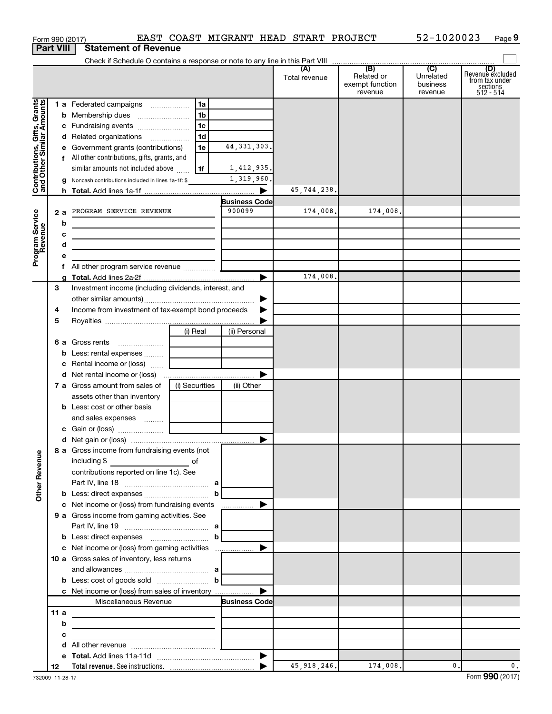|                                                                                         | <b>Part VIII</b> | <b>Statement of Revenue</b>                                                                                                                                                                                                                                                                                                                                                                                                                                                               |                                  |                                                                             |                         |                                          |                                  |                                                                    |
|-----------------------------------------------------------------------------------------|------------------|-------------------------------------------------------------------------------------------------------------------------------------------------------------------------------------------------------------------------------------------------------------------------------------------------------------------------------------------------------------------------------------------------------------------------------------------------------------------------------------------|----------------------------------|-----------------------------------------------------------------------------|-------------------------|------------------------------------------|----------------------------------|--------------------------------------------------------------------|
|                                                                                         |                  |                                                                                                                                                                                                                                                                                                                                                                                                                                                                                           |                                  |                                                                             |                         |                                          |                                  |                                                                    |
|                                                                                         |                  |                                                                                                                                                                                                                                                                                                                                                                                                                                                                                           |                                  |                                                                             | Total revenue           | Related or<br>exempt function<br>revenue | Unrelated<br>business<br>revenue | (D)<br>Revenue excluded<br>from tax under<br>sections<br>512 - 514 |
| Contributions, Gifts, Grants<br>and Other Similar Amounts<br>Program Service<br>Revenue | 2a<br>b<br>с     | 1 a Federated campaigns<br><b>b</b> Membership dues<br>c Fundraising events<br>d Related organizations<br>e Government grants (contributions)<br>f All other contributions, gifts, grants, and<br>similar amounts not included above<br>g Noncash contributions included in lines 1a-1f: \$<br>PROGRAM SERVICE REVENUE<br><u> 1989 - Johann John Stein, markin fan it ferskearre fan it ferskearre fan it ferskearre fan it ferskearre fan</u><br><u> 1989 - Johann Barbara, martin a</u> | 1a<br>1b<br>1c<br>1d<br>1e<br>1f | 44, 331, 303.<br>1,412,935.<br>1,319,960.<br><b>Business Code</b><br>900099 | 45,744,238.<br>174,008. | 174,008.                                 |                                  |                                                                    |
|                                                                                         | f.               |                                                                                                                                                                                                                                                                                                                                                                                                                                                                                           |                                  | ►                                                                           | 174,008.                |                                          |                                  |                                                                    |
|                                                                                         | З<br>4<br>5      | Investment income (including dividends, interest, and<br>Income from investment of tax-exempt bond proceeds                                                                                                                                                                                                                                                                                                                                                                               |                                  | ▶                                                                           |                         |                                          |                                  |                                                                    |
|                                                                                         | b                | <b>6 a</b> Gross rents<br>$\ldots \ldots \ldots \ldots \ldots$<br>Less: rental expenses<br>c Rental income or (loss)                                                                                                                                                                                                                                                                                                                                                                      | (i) Real                         | (ii) Personal                                                               |                         |                                          |                                  |                                                                    |
|                                                                                         |                  | 7 a Gross amount from sales of<br>assets other than inventory<br><b>b</b> Less: cost or other basis<br>and sales expenses                                                                                                                                                                                                                                                                                                                                                                 | (i) Securities                   | (ii) Other                                                                  |                         |                                          |                                  |                                                                    |
|                                                                                         |                  | 8 a Gross income from fundraising events (not<br>including \$                                                                                                                                                                                                                                                                                                                                                                                                                             | of                               |                                                                             |                         |                                          |                                  |                                                                    |
| <b>Other Revenue</b>                                                                    |                  | <u> 1990 - John Barn Barn, amerikan ba</u><br>contributions reported on line 1c). See<br><b>b</b> Less: direct expenses <b>contained b</b>                                                                                                                                                                                                                                                                                                                                                |                                  |                                                                             |                         |                                          |                                  |                                                                    |
|                                                                                         |                  | 9 a Gross income from gaming activities. See                                                                                                                                                                                                                                                                                                                                                                                                                                              |                                  |                                                                             |                         |                                          |                                  |                                                                    |
|                                                                                         |                  | 10 a Gross sales of inventory, less returns<br>and allowances $\ldots$ , $\ldots$ , $\ldots$ , $\ldots$ , $\ldots$ , $\ldots$ , $\ldots$<br><b>b</b> Less: cost of goods sold $\ldots$ $\ldots$ $\ldots$ <b>b</b>                                                                                                                                                                                                                                                                         |                                  |                                                                             |                         |                                          |                                  |                                                                    |
|                                                                                         |                  | Miscellaneous Revenue                                                                                                                                                                                                                                                                                                                                                                                                                                                                     |                                  | <b>Business Code</b>                                                        |                         |                                          |                                  |                                                                    |
|                                                                                         | 11 a<br>b<br>с   | <u> 1989 - Johann John Stein, mars an deus Amerikaansk kommunister (</u><br><u> 1989 - Johann Barbara, martxa alemaniar a</u>                                                                                                                                                                                                                                                                                                                                                             |                                  |                                                                             |                         |                                          |                                  |                                                                    |
|                                                                                         | 12               | d                                                                                                                                                                                                                                                                                                                                                                                                                                                                                         |                                  |                                                                             | 45, 918, 246.           | 174,008.                                 | $\mathbf{0}$ .                   | 0.                                                                 |

Form 990 (2017) EAST COAST MIGRANT HEAD START PROJECT 52-1020023 Page

**9**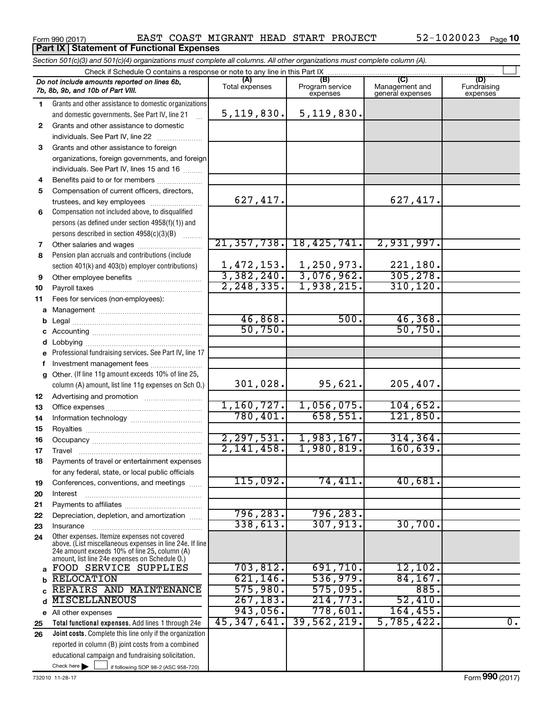**Part IX Statement of Functional Expenses** 

## Form 990 (2017) Page EAST COAST MIGRANT HEAD START PROJECT 52-1020023

|    | Section 501(c)(3) and 501(c)(4) organizations must complete all columns. All other organizations must complete column (A).                                                                                  |                |                                                                                            |                                           |                                |  |  |  |  |
|----|-------------------------------------------------------------------------------------------------------------------------------------------------------------------------------------------------------------|----------------|--------------------------------------------------------------------------------------------|-------------------------------------------|--------------------------------|--|--|--|--|
|    | Check if Schedule O contains a response or note to any line in this Part IX.                                                                                                                                |                |                                                                                            |                                           |                                |  |  |  |  |
|    | Do not include amounts reported on lines 6b,<br>7b, 8b, 9b, and 10b of Part VIII.                                                                                                                           | Total expenses | (B)<br>Program service<br>expenses                                                         | (C)<br>Management and<br>general expenses | (D)<br>Fundraising<br>expenses |  |  |  |  |
| 1. | Grants and other assistance to domestic organizations                                                                                                                                                       |                |                                                                                            |                                           |                                |  |  |  |  |
|    | and domestic governments. See Part IV, line 21                                                                                                                                                              | 5, 119, 830.   | 5,119,830.                                                                                 |                                           |                                |  |  |  |  |
| 2  | Grants and other assistance to domestic                                                                                                                                                                     |                |                                                                                            |                                           |                                |  |  |  |  |
|    | individuals. See Part IV, line 22                                                                                                                                                                           |                |                                                                                            |                                           |                                |  |  |  |  |
| 3  | Grants and other assistance to foreign                                                                                                                                                                      |                |                                                                                            |                                           |                                |  |  |  |  |
|    | organizations, foreign governments, and foreign                                                                                                                                                             |                |                                                                                            |                                           |                                |  |  |  |  |
|    | individuals. See Part IV, lines 15 and 16                                                                                                                                                                   |                |                                                                                            |                                           |                                |  |  |  |  |
| 4  | Benefits paid to or for members                                                                                                                                                                             |                |                                                                                            |                                           |                                |  |  |  |  |
| 5  | Compensation of current officers, directors,                                                                                                                                                                |                |                                                                                            |                                           |                                |  |  |  |  |
|    | trustees, and key employees                                                                                                                                                                                 | 627, 417.      |                                                                                            | 627,417.                                  |                                |  |  |  |  |
| 6  | Compensation not included above, to disqualified                                                                                                                                                            |                |                                                                                            |                                           |                                |  |  |  |  |
|    | persons (as defined under section 4958(f)(1)) and                                                                                                                                                           |                |                                                                                            |                                           |                                |  |  |  |  |
|    | persons described in section 4958(c)(3)(B)                                                                                                                                                                  |                |                                                                                            |                                           |                                |  |  |  |  |
| 7  | Other salaries and wages                                                                                                                                                                                    |                | 21, 357, 738. 18, 425, 741.                                                                | 2,931,997.                                |                                |  |  |  |  |
| 8  | Pension plan accruals and contributions (include                                                                                                                                                            |                |                                                                                            |                                           |                                |  |  |  |  |
|    | section 401(k) and 403(b) employer contributions)                                                                                                                                                           |                | $\frac{1,472,153.}{}$ $\frac{1,250,973.}{}$<br>$\frac{3,382,240.}{}$ $\frac{3,076,962.}{}$ | 221,180.                                  |                                |  |  |  |  |
| 9  |                                                                                                                                                                                                             |                |                                                                                            | 305, 278.                                 |                                |  |  |  |  |
| 10 |                                                                                                                                                                                                             | 2, 248, 335.   | 1,938,215.                                                                                 | 310, 120.                                 |                                |  |  |  |  |
| 11 | Fees for services (non-employees):                                                                                                                                                                          |                |                                                                                            |                                           |                                |  |  |  |  |
| а  |                                                                                                                                                                                                             | 46,868.        | 500.                                                                                       |                                           |                                |  |  |  |  |
|    |                                                                                                                                                                                                             | 50,750.        |                                                                                            | 46,368.<br>50,750.                        |                                |  |  |  |  |
|    |                                                                                                                                                                                                             |                |                                                                                            |                                           |                                |  |  |  |  |
|    |                                                                                                                                                                                                             |                |                                                                                            |                                           |                                |  |  |  |  |
|    | Professional fundraising services. See Part IV, line 17                                                                                                                                                     |                |                                                                                            |                                           |                                |  |  |  |  |
| f  | Investment management fees<br>Other. (If line 11g amount exceeds 10% of line 25,                                                                                                                            |                |                                                                                            |                                           |                                |  |  |  |  |
| g  | column (A) amount, list line 11g expenses on Sch O.)                                                                                                                                                        | 301,028.       | 95,621.                                                                                    | 205, 407.                                 |                                |  |  |  |  |
| 12 |                                                                                                                                                                                                             |                |                                                                                            |                                           |                                |  |  |  |  |
| 13 |                                                                                                                                                                                                             | 1,160,727.     | 1,056,075.                                                                                 | 104,652.                                  |                                |  |  |  |  |
| 14 |                                                                                                                                                                                                             | 780,401.       | 658,551.                                                                                   | 121,850.                                  |                                |  |  |  |  |
| 15 |                                                                                                                                                                                                             |                |                                                                                            |                                           |                                |  |  |  |  |
| 16 |                                                                                                                                                                                                             | 2, 297, 531.   | 1,983,167.                                                                                 | 314, 364.                                 |                                |  |  |  |  |
| 17 |                                                                                                                                                                                                             | 2,141,458.     | 1,980,819.                                                                                 | 160,639.                                  |                                |  |  |  |  |
| 18 | Payments of travel or entertainment expenses                                                                                                                                                                |                |                                                                                            |                                           |                                |  |  |  |  |
|    | for any federal, state, or local public officials                                                                                                                                                           |                |                                                                                            |                                           |                                |  |  |  |  |
| 19 | Conferences, conventions, and meetings                                                                                                                                                                      | 115,092.       | 74,411.                                                                                    | 40,681.                                   |                                |  |  |  |  |
| 20 | Interest                                                                                                                                                                                                    |                |                                                                                            |                                           |                                |  |  |  |  |
| 21 |                                                                                                                                                                                                             |                |                                                                                            |                                           |                                |  |  |  |  |
| 22 | Depreciation, depletion, and amortization                                                                                                                                                                   | 796, 283.      | 796,283.                                                                                   |                                           |                                |  |  |  |  |
| 23 | Insurance                                                                                                                                                                                                   | 338,613.       | 307,913.                                                                                   | 30,700.                                   |                                |  |  |  |  |
| 24 | Other expenses. Itemize expenses not covered<br>above. (List miscellaneous expenses in line 24e. If line<br>24e amount exceeds 10% of line 25, column (A)<br>amount, list line 24e expenses on Schedule O.) |                |                                                                                            |                                           |                                |  |  |  |  |
| a  | FOOD SERVICE SUPPLIES                                                                                                                                                                                       | 703, 812.      | 691,710.                                                                                   | 12, 102.                                  |                                |  |  |  |  |
|    | <b>RELOCATION</b>                                                                                                                                                                                           | 621, 146.      | 536,979.                                                                                   | 84, 167.                                  |                                |  |  |  |  |
|    | REPAIRS AND MAINTENANCE                                                                                                                                                                                     | 575,980.       | 575,095.                                                                                   | 885.                                      |                                |  |  |  |  |
| d  | <b>MISCELLANEOUS</b>                                                                                                                                                                                        | 267, 183.      | 214,773.                                                                                   | 52,410.                                   |                                |  |  |  |  |
|    | e All other expenses                                                                                                                                                                                        | 943,056.       | 778,601.                                                                                   | 164, 455.                                 |                                |  |  |  |  |
| 25 | Total functional expenses. Add lines 1 through 24e                                                                                                                                                          | 45,347,641.    | 39,562,219.                                                                                | 5,785,422.                                | $\overline{0}$ .               |  |  |  |  |
| 26 | Joint costs. Complete this line only if the organization                                                                                                                                                    |                |                                                                                            |                                           |                                |  |  |  |  |
|    | reported in column (B) joint costs from a combined                                                                                                                                                          |                |                                                                                            |                                           |                                |  |  |  |  |
|    | educational campaign and fundraising solicitation.                                                                                                                                                          |                |                                                                                            |                                           |                                |  |  |  |  |
|    | Check here $\blacktriangleright$<br>if following SOP 98-2 (ASC 958-720)                                                                                                                                     |                |                                                                                            |                                           |                                |  |  |  |  |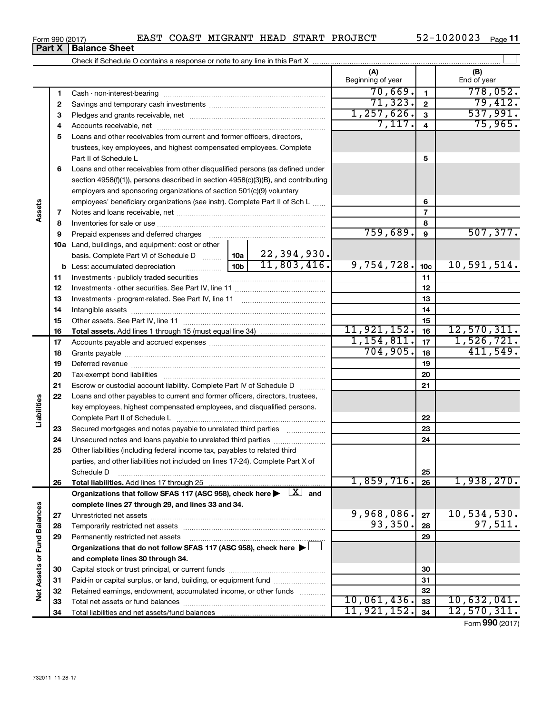| Form 990 (2017) | EAST | COAST | <b>MIGRANT</b> |  |  | ' HEAD START PROJECT | 1020023<br>$52 -$ | Page |
|-----------------|------|-------|----------------|--|--|----------------------|-------------------|------|
|-----------------|------|-------|----------------|--|--|----------------------|-------------------|------|

|                             |              |                                                                                                                         |            |                 | (A)<br>Beginning of year |                         | (B)<br>End of year     |
|-----------------------------|--------------|-------------------------------------------------------------------------------------------------------------------------|------------|-----------------|--------------------------|-------------------------|------------------------|
|                             | 1            |                                                                                                                         |            |                 | 70,669.                  | $\mathbf{1}$            | 778,052.               |
|                             | $\mathbf{2}$ |                                                                                                                         |            |                 | 71, 323.                 | $\overline{2}$          | 79,412.                |
|                             | 3            |                                                                                                                         |            |                 | 1, 257, 626.             | $\mathbf{3}$            | 537,991.               |
|                             | 4            |                                                                                                                         |            |                 | 7,117.                   | $\overline{\mathbf{4}}$ | 75,965.                |
|                             | 5            | Loans and other receivables from current and former officers, directors,                                                |            |                 |                          |                         |                        |
|                             |              | trustees, key employees, and highest compensated employees. Complete                                                    |            |                 |                          |                         |                        |
|                             |              | Part II of Schedule L                                                                                                   |            |                 |                          | 5                       |                        |
|                             | 6            | Loans and other receivables from other disqualified persons (as defined under                                           |            |                 |                          |                         |                        |
|                             |              | section 4958(f)(1)), persons described in section 4958(c)(3)(B), and contributing                                       |            |                 |                          |                         |                        |
|                             |              | employers and sponsoring organizations of section 501(c)(9) voluntary                                                   |            |                 |                          |                         |                        |
|                             |              | employees' beneficiary organizations (see instr). Complete Part II of Sch L                                             |            |                 |                          | 6                       |                        |
| Assets                      | 7            |                                                                                                                         |            |                 |                          | $\overline{7}$          |                        |
|                             | 8            |                                                                                                                         |            |                 |                          | 8                       |                        |
|                             | 9            | Prepaid expenses and deferred charges                                                                                   |            |                 | 759,689.                 | 9                       | 507, 377.              |
|                             |              | <b>10a</b> Land, buildings, and equipment: cost or other                                                                |            |                 |                          |                         |                        |
|                             |              |                                                                                                                         |            |                 |                          |                         |                        |
|                             |              |                                                                                                                         | 9,754,728. | 10 <sub>c</sub> | 10,591,514.              |                         |                        |
|                             | 11           |                                                                                                                         |            | 11              |                          |                         |                        |
|                             | 12           |                                                                                                                         |            | 12              |                          |                         |                        |
|                             | 13           |                                                                                                                         |            | 13              |                          |                         |                        |
|                             | 14           |                                                                                                                         |            | 14              |                          |                         |                        |
|                             | 15           |                                                                                                                         |            | 15              |                          |                         |                        |
|                             | 16           |                                                                                                                         |            |                 | 11, 921, 152.            | 16                      | 12,570,311.            |
|                             | 17           |                                                                                                                         |            |                 | 1, 154, 811.             | 17                      | 1,526,721.             |
|                             | 18           |                                                                                                                         |            | 704,905.        | 18                       | 411,549.                |                        |
|                             | 19           |                                                                                                                         |            |                 |                          | 19                      |                        |
|                             | 20           |                                                                                                                         |            |                 |                          | 20                      |                        |
|                             | 21           | Escrow or custodial account liability. Complete Part IV of Schedule D                                                   |            |                 |                          | 21                      |                        |
|                             | 22           | Loans and other payables to current and former officers, directors, trustees,                                           |            |                 |                          |                         |                        |
|                             |              | key employees, highest compensated employees, and disqualified persons.                                                 |            |                 |                          |                         |                        |
| Liabilities                 |              |                                                                                                                         |            |                 |                          | 22                      |                        |
|                             | 23           | Secured mortgages and notes payable to unrelated third parties                                                          |            |                 |                          | 23                      |                        |
|                             | 24           | Unsecured notes and loans payable to unrelated third parties                                                            |            |                 |                          | 24                      |                        |
|                             | 25           | Other liabilities (including federal income tax, payables to related third                                              |            |                 |                          |                         |                        |
|                             |              | parties, and other liabilities not included on lines 17-24). Complete Part X of                                         |            |                 |                          |                         |                        |
|                             |              | Schedule D                                                                                                              |            |                 |                          | 25                      |                        |
|                             | 26           |                                                                                                                         |            |                 | 1,859,716.               | 26                      | 1,938,270.             |
|                             |              | Organizations that follow SFAS 117 (ASC 958), check here $\blacktriangleright \begin{array}{c} \perp X \end{array}$ and |            |                 |                          |                         |                        |
|                             |              | complete lines 27 through 29, and lines 33 and 34.                                                                      |            |                 | 9,968,086.               |                         |                        |
|                             | 27           |                                                                                                                         |            |                 | 93,350.                  | 27                      | 10,534,530.<br>97,511. |
|                             | 28           |                                                                                                                         |            |                 |                          | 28                      |                        |
|                             | 29           | Permanently restricted net assets                                                                                       |            |                 |                          | 29                      |                        |
|                             |              | Organizations that do not follow SFAS 117 (ASC 958), check here ▶                                                       |            |                 |                          |                         |                        |
|                             |              | and complete lines 30 through 34.                                                                                       |            |                 |                          |                         |                        |
|                             | 30           |                                                                                                                         |            |                 |                          | 30                      |                        |
| Net Assets or Fund Balances | 31           | Paid-in or capital surplus, or land, building, or equipment fund                                                        |            |                 |                          | 31                      |                        |
|                             | 32           | Retained earnings, endowment, accumulated income, or other funds                                                        |            |                 | 10,061,436.              | 32<br>33                | 10,632,041.            |
|                             | 33<br>34     |                                                                                                                         |            |                 | 11,921,152.              | 34                      | 12,570,311.            |
|                             |              |                                                                                                                         |            |                 |                          |                         |                        |

Form (2017) **990**

## **Part X Balance Sheet**

|  | Form 990 (2017) |
|--|-----------------|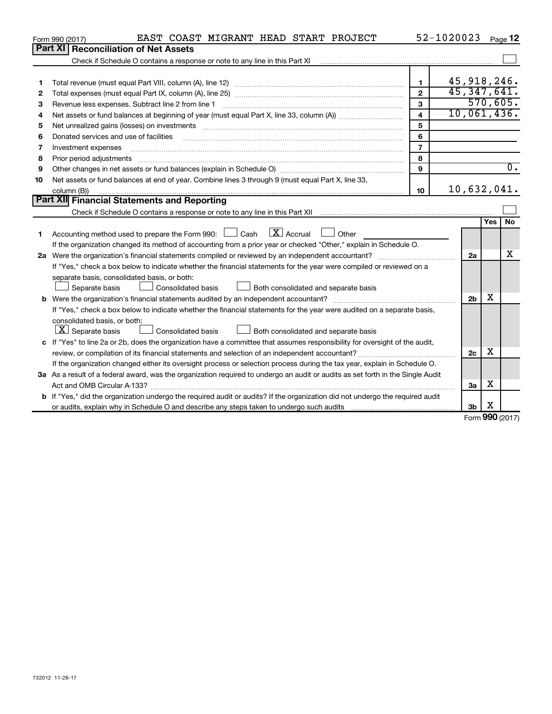|         | EAST COAST MIGRANT HEAD START PROJECT<br>Form 990 (2017)                                                                                                                                                                       |                         | 52-1020023 |                |     | Page 12          |
|---------|--------------------------------------------------------------------------------------------------------------------------------------------------------------------------------------------------------------------------------|-------------------------|------------|----------------|-----|------------------|
| Part XI | <b>Reconciliation of Net Assets</b>                                                                                                                                                                                            |                         |            |                |     |                  |
|         |                                                                                                                                                                                                                                |                         |            |                |     |                  |
|         |                                                                                                                                                                                                                                |                         |            |                |     |                  |
| 1       |                                                                                                                                                                                                                                | 1                       |            | 45,918,246.    |     |                  |
| 2       |                                                                                                                                                                                                                                | $\mathbf{2}$            |            | 45,347,641.    |     |                  |
| 3       | Revenue less expenses. Subtract line 2 from line 1                                                                                                                                                                             | 3                       |            |                |     | 570,605.         |
| 4       |                                                                                                                                                                                                                                | $\overline{\mathbf{4}}$ |            |                |     | 10,061,436.      |
| 5       | Net unrealized gains (losses) on investments [111] matter in the contract of the contract of the contract of the contract of the contract of the contract of the contract of the contract of the contract of the contract of t | 5                       |            |                |     |                  |
| 6       | Donated services and use of facilities                                                                                                                                                                                         | 6                       |            |                |     |                  |
| 7       | Investment expenses                                                                                                                                                                                                            | $\overline{7}$          |            |                |     |                  |
| 8       | Prior period adjustments www.communication.communication.communication.com/news/                                                                                                                                               | 8                       |            |                |     |                  |
| 9       |                                                                                                                                                                                                                                | 9                       |            |                |     | $\overline{0}$ . |
| 10      | Net assets or fund balances at end of year. Combine lines 3 through 9 (must equal Part X, line 33,                                                                                                                             |                         |            |                |     |                  |
|         | column (B))                                                                                                                                                                                                                    | 10                      |            | 10,632,041.    |     |                  |
|         | Part XII Financial Statements and Reporting                                                                                                                                                                                    |                         |            |                |     |                  |
|         | Check if Schedule O contains a response or note to any line in this Part XII [11] [11] [11] [11] [11] [11] Check if Schedule O contains a response or note to any line in this Part XII                                        |                         |            |                |     |                  |
|         |                                                                                                                                                                                                                                |                         |            |                | Yes | No               |
| 1       | $\lfloor x \rfloor$ Accrual<br>Accounting method used to prepare the Form 990: [130] Cash<br>$\Box$ Other                                                                                                                      |                         |            |                |     |                  |
|         | If the organization changed its method of accounting from a prior year or checked "Other," explain in Schedule O.                                                                                                              |                         |            |                |     |                  |
|         |                                                                                                                                                                                                                                |                         |            | 2a             |     | х                |
|         | If "Yes," check a box below to indicate whether the financial statements for the year were compiled or reviewed on a                                                                                                           |                         |            |                |     |                  |
|         | separate basis, consolidated basis, or both:                                                                                                                                                                                   |                         |            |                |     |                  |
|         | Consolidated basis<br>Both consolidated and separate basis<br>Separate basis                                                                                                                                                   |                         |            |                |     |                  |
|         |                                                                                                                                                                                                                                |                         |            | 2 <sub>b</sub> | x   |                  |
|         | If "Yes," check a box below to indicate whether the financial statements for the year were audited on a separate basis,                                                                                                        |                         |            |                |     |                  |
|         | consolidated basis, or both:                                                                                                                                                                                                   |                         |            |                |     |                  |
|         | $ \mathbf{X} $ Separate basis<br>Consolidated basis<br>Both consolidated and separate basis                                                                                                                                    |                         |            |                |     |                  |
|         | c If "Yes" to line 2a or 2b, does the organization have a committee that assumes responsibility for oversight of the audit,                                                                                                    |                         |            |                |     |                  |
|         |                                                                                                                                                                                                                                |                         |            | 2c             | x   |                  |
|         | If the organization changed either its oversight process or selection process during the tax year, explain in Schedule O.                                                                                                      |                         |            |                |     |                  |
|         | 3a As a result of a federal award, was the organization required to undergo an audit or audits as set forth in the Single Audit                                                                                                |                         |            |                |     |                  |
|         | Act and OMB Circular A-133?                                                                                                                                                                                                    |                         |            | 3a             | х   |                  |
|         | <b>b</b> If "Yes," did the organization undergo the required audit or audits? If the organization did not undergo the required audit                                                                                           |                         |            |                |     |                  |
|         |                                                                                                                                                                                                                                |                         |            | 3 <sub>b</sub> | X   |                  |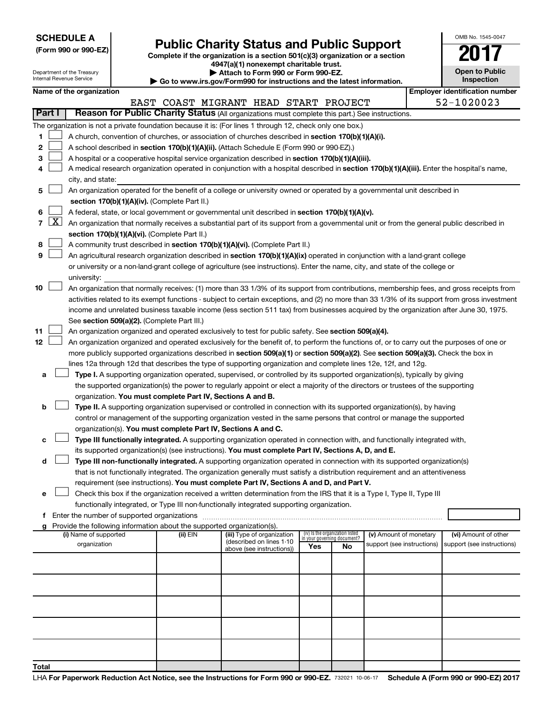| <b>SCHEDULE A</b> |  |
|-------------------|--|
|-------------------|--|

| (Form 990 or 990-EZ) |  |  |
|----------------------|--|--|
|                      |  |  |

# Form 990 or 990-EZ)<br>
Complete if the organization is a section 501(c)(3) organization or a section<br> **Public Charity Status and Public Support**

**4947(a)(1) nonexempt charitable trust.**

| OMB No. 1545-0047             |
|-------------------------------|
| T                             |
| <b>Open to Public</b><br>---- |

 $\Box$ 

|                |                                                                                                                                                                                                                 | Department of the Treasury<br>Internal Revenue Service |  |                                                            | Attach to Form 990 or Form 990-EZ.                                                                                                            |     |                                 |                            |  | <b>Open to Public</b><br>Inspection                |
|----------------|-----------------------------------------------------------------------------------------------------------------------------------------------------------------------------------------------------------------|--------------------------------------------------------|--|------------------------------------------------------------|-----------------------------------------------------------------------------------------------------------------------------------------------|-----|---------------------------------|----------------------------|--|----------------------------------------------------|
|                | Go to www.irs.gov/Form990 for instructions and the latest information.<br><b>Employer identification number</b><br>Name of the organization                                                                     |                                                        |  |                                                            |                                                                                                                                               |     |                                 |                            |  |                                                    |
|                | 52-1020023<br>EAST COAST MIGRANT HEAD START PROJECT                                                                                                                                                             |                                                        |  |                                                            |                                                                                                                                               |     |                                 |                            |  |                                                    |
|                | Part I<br>Reason for Public Charity Status (All organizations must complete this part.) See instructions.                                                                                                       |                                                        |  |                                                            |                                                                                                                                               |     |                                 |                            |  |                                                    |
|                |                                                                                                                                                                                                                 |                                                        |  |                                                            |                                                                                                                                               |     |                                 |                            |  |                                                    |
| 1              | The organization is not a private foundation because it is: (For lines 1 through 12, check only one box.)<br>A church, convention of churches, or association of churches described in section 170(b)(1)(A)(i). |                                                        |  |                                                            |                                                                                                                                               |     |                                 |                            |  |                                                    |
| 2              |                                                                                                                                                                                                                 |                                                        |  |                                                            | A school described in section 170(b)(1)(A)(ii). (Attach Schedule E (Form 990 or 990-EZ).)                                                     |     |                                 |                            |  |                                                    |
| 3              |                                                                                                                                                                                                                 |                                                        |  |                                                            | A hospital or a cooperative hospital service organization described in section 170(b)(1)(A)(iii).                                             |     |                                 |                            |  |                                                    |
| 4              |                                                                                                                                                                                                                 |                                                        |  |                                                            | A medical research organization operated in conjunction with a hospital described in section 170(b)(1)(A)(iii). Enter the hospital's name,    |     |                                 |                            |  |                                                    |
|                |                                                                                                                                                                                                                 | city, and state:                                       |  |                                                            |                                                                                                                                               |     |                                 |                            |  |                                                    |
| 5              |                                                                                                                                                                                                                 |                                                        |  |                                                            | An organization operated for the benefit of a college or university owned or operated by a governmental unit described in                     |     |                                 |                            |  |                                                    |
|                |                                                                                                                                                                                                                 |                                                        |  | section 170(b)(1)(A)(iv). (Complete Part II.)              |                                                                                                                                               |     |                                 |                            |  |                                                    |
| 6              |                                                                                                                                                                                                                 |                                                        |  |                                                            | A federal, state, or local government or governmental unit described in section 170(b)(1)(A)(v).                                              |     |                                 |                            |  |                                                    |
| $\overline{7}$ | $\lfloor x \rfloor$                                                                                                                                                                                             |                                                        |  |                                                            | An organization that normally receives a substantial part of its support from a governmental unit or from the general public described in     |     |                                 |                            |  |                                                    |
|                |                                                                                                                                                                                                                 |                                                        |  | section 170(b)(1)(A)(vi). (Complete Part II.)              |                                                                                                                                               |     |                                 |                            |  |                                                    |
| 8              |                                                                                                                                                                                                                 |                                                        |  |                                                            | A community trust described in section 170(b)(1)(A)(vi). (Complete Part II.)                                                                  |     |                                 |                            |  |                                                    |
| 9              |                                                                                                                                                                                                                 |                                                        |  |                                                            | An agricultural research organization described in section 170(b)(1)(A)(ix) operated in conjunction with a land-grant college                 |     |                                 |                            |  |                                                    |
|                |                                                                                                                                                                                                                 |                                                        |  |                                                            | or university or a non-land-grant college of agriculture (see instructions). Enter the name, city, and state of the college or                |     |                                 |                            |  |                                                    |
|                |                                                                                                                                                                                                                 | university:                                            |  |                                                            |                                                                                                                                               |     |                                 |                            |  |                                                    |
| 10             |                                                                                                                                                                                                                 |                                                        |  |                                                            | An organization that normally receives: (1) more than 33 1/3% of its support from contributions, membership fees, and gross receipts from     |     |                                 |                            |  |                                                    |
|                |                                                                                                                                                                                                                 |                                                        |  |                                                            | activities related to its exempt functions - subject to certain exceptions, and (2) no more than 33 1/3% of its support from gross investment |     |                                 |                            |  |                                                    |
|                |                                                                                                                                                                                                                 |                                                        |  |                                                            | income and unrelated business taxable income (less section 511 tax) from businesses acquired by the organization after June 30, 1975.         |     |                                 |                            |  |                                                    |
|                |                                                                                                                                                                                                                 |                                                        |  | See section 509(a)(2). (Complete Part III.)                |                                                                                                                                               |     |                                 |                            |  |                                                    |
| 11             |                                                                                                                                                                                                                 |                                                        |  |                                                            | An organization organized and operated exclusively to test for public safety. See section 509(a)(4).                                          |     |                                 |                            |  |                                                    |
| 12             |                                                                                                                                                                                                                 |                                                        |  |                                                            | An organization organized and operated exclusively for the benefit of, to perform the functions of, or to carry out the purposes of one or    |     |                                 |                            |  |                                                    |
|                |                                                                                                                                                                                                                 |                                                        |  |                                                            | more publicly supported organizations described in section 509(a)(1) or section 509(a)(2). See section 509(a)(3). Check the box in            |     |                                 |                            |  |                                                    |
|                |                                                                                                                                                                                                                 |                                                        |  |                                                            | lines 12a through 12d that describes the type of supporting organization and complete lines 12e, 12f, and 12g.                                |     |                                 |                            |  |                                                    |
| а              |                                                                                                                                                                                                                 |                                                        |  |                                                            | Type I. A supporting organization operated, supervised, or controlled by its supported organization(s), typically by giving                   |     |                                 |                            |  |                                                    |
|                |                                                                                                                                                                                                                 |                                                        |  |                                                            | the supported organization(s) the power to regularly appoint or elect a majority of the directors or trustees of the supporting               |     |                                 |                            |  |                                                    |
|                |                                                                                                                                                                                                                 |                                                        |  | organization. You must complete Part IV, Sections A and B. |                                                                                                                                               |     |                                 |                            |  |                                                    |
| b              |                                                                                                                                                                                                                 |                                                        |  |                                                            | Type II. A supporting organization supervised or controlled in connection with its supported organization(s), by having                       |     |                                 |                            |  |                                                    |
|                |                                                                                                                                                                                                                 |                                                        |  |                                                            | control or management of the supporting organization vested in the same persons that control or manage the supported                          |     |                                 |                            |  |                                                    |
|                |                                                                                                                                                                                                                 |                                                        |  |                                                            | organization(s). You must complete Part IV, Sections A and C.                                                                                 |     |                                 |                            |  |                                                    |
| с              |                                                                                                                                                                                                                 |                                                        |  |                                                            | Type III functionally integrated. A supporting organization operated in connection with, and functionally integrated with,                    |     |                                 |                            |  |                                                    |
|                |                                                                                                                                                                                                                 |                                                        |  |                                                            | its supported organization(s) (see instructions). You must complete Part IV, Sections A, D, and E.                                            |     |                                 |                            |  |                                                    |
| d              |                                                                                                                                                                                                                 |                                                        |  |                                                            | Type III non-functionally integrated. A supporting organization operated in connection with its supported organization(s)                     |     |                                 |                            |  |                                                    |
|                |                                                                                                                                                                                                                 |                                                        |  |                                                            | that is not functionally integrated. The organization generally must satisfy a distribution requirement and an attentiveness                  |     |                                 |                            |  |                                                    |
|                |                                                                                                                                                                                                                 |                                                        |  |                                                            | requirement (see instructions). You must complete Part IV, Sections A and D, and Part V.                                                      |     |                                 |                            |  |                                                    |
| е              |                                                                                                                                                                                                                 |                                                        |  |                                                            | Check this box if the organization received a written determination from the IRS that it is a Type I, Type II, Type III                       |     |                                 |                            |  |                                                    |
|                |                                                                                                                                                                                                                 |                                                        |  |                                                            | functionally integrated, or Type III non-functionally integrated supporting organization.                                                     |     |                                 |                            |  |                                                    |
|                |                                                                                                                                                                                                                 |                                                        |  |                                                            |                                                                                                                                               |     |                                 |                            |  |                                                    |
| g              |                                                                                                                                                                                                                 |                                                        |  | (ii) EIN                                                   | Provide the following information about the supported organization(s).                                                                        |     | (iv) Is the organization listed | (v) Amount of monetary     |  |                                                    |
|                |                                                                                                                                                                                                                 | (i) Name of supported<br>organization                  |  |                                                            | (iii) Type of organization<br>(described on lines 1-10                                                                                        |     | in your governing document?     | support (see instructions) |  | (vi) Amount of other<br>support (see instructions) |
|                |                                                                                                                                                                                                                 |                                                        |  |                                                            | above (see instructions))                                                                                                                     | Yes | No                              |                            |  |                                                    |
|                |                                                                                                                                                                                                                 |                                                        |  |                                                            |                                                                                                                                               |     |                                 |                            |  |                                                    |
|                |                                                                                                                                                                                                                 |                                                        |  |                                                            |                                                                                                                                               |     |                                 |                            |  |                                                    |
|                |                                                                                                                                                                                                                 |                                                        |  |                                                            |                                                                                                                                               |     |                                 |                            |  |                                                    |
|                |                                                                                                                                                                                                                 |                                                        |  |                                                            |                                                                                                                                               |     |                                 |                            |  |                                                    |
|                |                                                                                                                                                                                                                 |                                                        |  |                                                            |                                                                                                                                               |     |                                 |                            |  |                                                    |
|                |                                                                                                                                                                                                                 |                                                        |  |                                                            |                                                                                                                                               |     |                                 |                            |  |                                                    |
|                |                                                                                                                                                                                                                 |                                                        |  |                                                            |                                                                                                                                               |     |                                 |                            |  |                                                    |
|                |                                                                                                                                                                                                                 |                                                        |  |                                                            |                                                                                                                                               |     |                                 |                            |  |                                                    |
|                |                                                                                                                                                                                                                 |                                                        |  |                                                            |                                                                                                                                               |     |                                 |                            |  |                                                    |
|                |                                                                                                                                                                                                                 |                                                        |  |                                                            |                                                                                                                                               |     |                                 |                            |  |                                                    |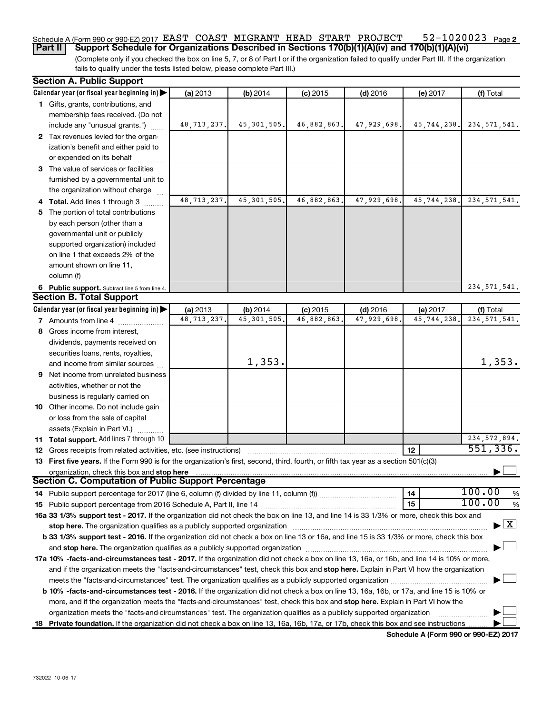#### 52-1020023 Page 2 Schedule A (Form 990 or 990-EZ) 2017 EAST COAST MIGRANT HEAD START PROJECT 52-1020023 Page **Part II** | Support Schedule for Organizations Described in Sections 170(b)(1)(A)(iv) and 170(b)(1)(A)(vi)

(Complete only if you checked the box on line 5, 7, or 8 of Part I or if the organization failed to qualify under Part III. If the organization fails to qualify under the tests listed below, please complete Part III.)

| <b>Section A. Public Support</b>                                                                                                                                                                                               |                           |                          |                          |                           |                        |                                          |
|--------------------------------------------------------------------------------------------------------------------------------------------------------------------------------------------------------------------------------|---------------------------|--------------------------|--------------------------|---------------------------|------------------------|------------------------------------------|
| Calendar year (or fiscal year beginning in)                                                                                                                                                                                    | (a) 2013                  | (b) 2014                 | $(c)$ 2015               | $(d)$ 2016                | (e) 2017               | (f) Total                                |
| 1 Gifts, grants, contributions, and                                                                                                                                                                                            |                           |                          |                          |                           |                        |                                          |
| membership fees received. (Do not                                                                                                                                                                                              |                           |                          |                          |                           |                        |                                          |
| include any "unusual grants.")                                                                                                                                                                                                 | 48, 713, 237.             | 45, 301, 505.            | 46,882,863.              | 47,929,698.               | 45,744,238.            | 234, 571, 541.                           |
| 2 Tax revenues levied for the organ-                                                                                                                                                                                           |                           |                          |                          |                           |                        |                                          |
| ization's benefit and either paid to                                                                                                                                                                                           |                           |                          |                          |                           |                        |                                          |
| or expended on its behalf                                                                                                                                                                                                      |                           |                          |                          |                           |                        |                                          |
| 3 The value of services or facilities                                                                                                                                                                                          |                           |                          |                          |                           |                        |                                          |
| furnished by a governmental unit to                                                                                                                                                                                            |                           |                          |                          |                           |                        |                                          |
| the organization without charge                                                                                                                                                                                                |                           |                          |                          |                           |                        |                                          |
| 4 Total. Add lines 1 through 3                                                                                                                                                                                                 | 48, 713, 237.             | 45, 301, 505.            | 46,882,863               | 47,929,698.               | 45,744,238.            | 234, 571, 541.                           |
| 5 The portion of total contributions                                                                                                                                                                                           |                           |                          |                          |                           |                        |                                          |
| by each person (other than a                                                                                                                                                                                                   |                           |                          |                          |                           |                        |                                          |
| governmental unit or publicly                                                                                                                                                                                                  |                           |                          |                          |                           |                        |                                          |
| supported organization) included                                                                                                                                                                                               |                           |                          |                          |                           |                        |                                          |
| on line 1 that exceeds 2% of the                                                                                                                                                                                               |                           |                          |                          |                           |                        |                                          |
| amount shown on line 11,                                                                                                                                                                                                       |                           |                          |                          |                           |                        |                                          |
| column (f)                                                                                                                                                                                                                     |                           |                          |                          |                           |                        |                                          |
|                                                                                                                                                                                                                                |                           |                          |                          |                           |                        |                                          |
| 6 Public support. Subtract line 5 from line 4.<br><b>Section B. Total Support</b>                                                                                                                                              |                           |                          |                          |                           |                        | 234, 571, 541.                           |
| Calendar year (or fiscal year beginning in)                                                                                                                                                                                    |                           |                          |                          |                           |                        |                                          |
| <b>7</b> Amounts from line 4                                                                                                                                                                                                   | (a) 2013<br>48, 713, 237. | (b) 2014<br>45, 301, 505 | $(c)$ 2015<br>46,882,863 | $(d)$ 2016<br>47,929,698. | (e) 2017<br>45,744,238 | (f) Total<br>234, 571, 541.              |
|                                                                                                                                                                                                                                |                           |                          |                          |                           |                        |                                          |
| 8 Gross income from interest,                                                                                                                                                                                                  |                           |                          |                          |                           |                        |                                          |
| dividends, payments received on                                                                                                                                                                                                |                           |                          |                          |                           |                        |                                          |
| securities loans, rents, royalties,                                                                                                                                                                                            |                           | 1,353.                   |                          |                           |                        | 1,353.                                   |
| and income from similar sources                                                                                                                                                                                                |                           |                          |                          |                           |                        |                                          |
| 9 Net income from unrelated business                                                                                                                                                                                           |                           |                          |                          |                           |                        |                                          |
| activities, whether or not the                                                                                                                                                                                                 |                           |                          |                          |                           |                        |                                          |
| business is regularly carried on                                                                                                                                                                                               |                           |                          |                          |                           |                        |                                          |
| 10 Other income. Do not include gain                                                                                                                                                                                           |                           |                          |                          |                           |                        |                                          |
| or loss from the sale of capital                                                                                                                                                                                               |                           |                          |                          |                           |                        |                                          |
| assets (Explain in Part VI.)                                                                                                                                                                                                   |                           |                          |                          |                           |                        |                                          |
| 11 Total support. Add lines 7 through 10                                                                                                                                                                                       |                           |                          |                          |                           |                        | 234, 572, 894.                           |
| <b>12</b> Gross receipts from related activities, etc. (see instructions)                                                                                                                                                      |                           |                          |                          |                           | 12                     | 551, 336.                                |
| 13 First five years. If the Form 990 is for the organization's first, second, third, fourth, or fifth tax year as a section 501(c)(3)                                                                                          |                           |                          |                          |                           |                        |                                          |
| organization, check this box and stop here                                                                                                                                                                                     |                           |                          |                          |                           |                        |                                          |
| <b>Section C. Computation of Public Support Percentage</b>                                                                                                                                                                     |                           |                          |                          |                           |                        |                                          |
|                                                                                                                                                                                                                                |                           |                          |                          |                           | 14                     | 100.00<br>%                              |
|                                                                                                                                                                                                                                |                           |                          |                          |                           | 15                     | 100.00<br>%                              |
| 16a 33 1/3% support test - 2017. If the organization did not check the box on line 13, and line 14 is 33 1/3% or more, check this box and                                                                                      |                           |                          |                          |                           |                        |                                          |
| stop here. The organization qualifies as a publicly supported organization                                                                                                                                                     |                           |                          |                          |                           |                        | $\blacktriangleright$ $\boxed{\text{X}}$ |
| b 33 1/3% support test - 2016. If the organization did not check a box on line 13 or 16a, and line 15 is 33 1/3% or more, check this box                                                                                       |                           |                          |                          |                           |                        |                                          |
| and stop here. The organization qualifies as a publicly supported organization [11] manuscription [11] and stop here. The organization [11] and stop here. The organization [11] and stop here. The organization [11] and stop |                           |                          |                          |                           |                        |                                          |
| 17a 10% -facts-and-circumstances test - 2017. If the organization did not check a box on line 13, 16a, or 16b, and line 14 is 10% or more,                                                                                     |                           |                          |                          |                           |                        |                                          |
| and if the organization meets the "facts-and-circumstances" test, check this box and stop here. Explain in Part VI how the organization                                                                                        |                           |                          |                          |                           |                        |                                          |
|                                                                                                                                                                                                                                |                           |                          |                          |                           |                        |                                          |
| b 10% -facts-and-circumstances test - 2016. If the organization did not check a box on line 13, 16a, 16b, or 17a, and line 15 is 10% or                                                                                        |                           |                          |                          |                           |                        |                                          |
| more, and if the organization meets the "facts-and-circumstances" test, check this box and stop here. Explain in Part VI how the                                                                                               |                           |                          |                          |                           |                        |                                          |
| organization meets the "facts-and-circumstances" test. The organization qualifies as a publicly supported organization                                                                                                         |                           |                          |                          |                           |                        |                                          |
| 18 Private foundation. If the organization did not check a box on line 13, 16a, 16b, 17a, or 17b, check this box and see instructions                                                                                          |                           |                          |                          |                           |                        |                                          |

**Schedule A (Form 990 or 990-EZ) 2017**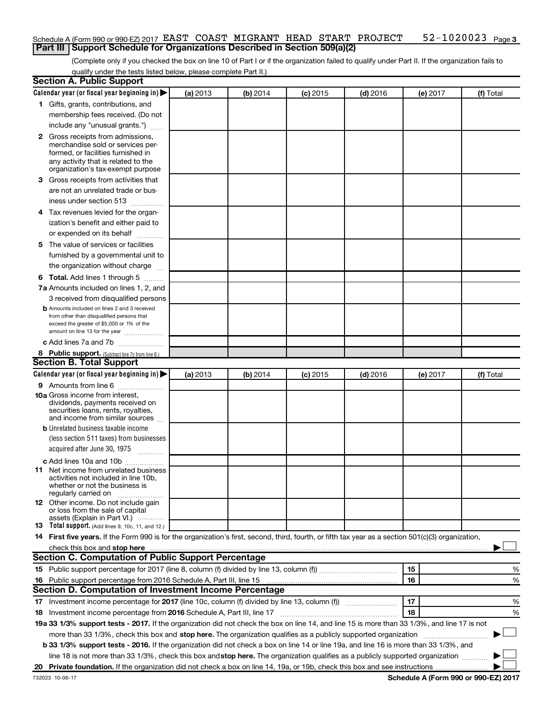#### 52-1020023 Page 3 Schedule A (Form 990 or 990-EZ) 2017 EAST COAST MIGRANT HEAD START PROJECT 52-1020023 Page **Part III | Support Schedule for Organizations Described in Section 509(a)(2)**

(Complete only if you checked the box on line 10 of Part I or if the organization failed to qualify under Part II. If the organization fails to qualify under the tests listed below, please complete Part II.)

| <b>Section A. Public Support</b>                                                                                                                                                                                                                                       |          |          |          |            |          |           |
|------------------------------------------------------------------------------------------------------------------------------------------------------------------------------------------------------------------------------------------------------------------------|----------|----------|----------|------------|----------|-----------|
| Calendar year (or fiscal year beginning in)                                                                                                                                                                                                                            | (a) 2013 | (b) 2014 | (c) 2015 | $(d)$ 2016 | (e) 2017 | (f) Total |
| 1 Gifts, grants, contributions, and                                                                                                                                                                                                                                    |          |          |          |            |          |           |
| membership fees received. (Do not                                                                                                                                                                                                                                      |          |          |          |            |          |           |
| include any "unusual grants.")                                                                                                                                                                                                                                         |          |          |          |            |          |           |
| <b>2</b> Gross receipts from admissions,                                                                                                                                                                                                                               |          |          |          |            |          |           |
| merchandise sold or services per-                                                                                                                                                                                                                                      |          |          |          |            |          |           |
| formed, or facilities furnished in<br>any activity that is related to the                                                                                                                                                                                              |          |          |          |            |          |           |
| organization's tax-exempt purpose                                                                                                                                                                                                                                      |          |          |          |            |          |           |
| 3 Gross receipts from activities that                                                                                                                                                                                                                                  |          |          |          |            |          |           |
| are not an unrelated trade or bus-                                                                                                                                                                                                                                     |          |          |          |            |          |           |
| iness under section 513                                                                                                                                                                                                                                                |          |          |          |            |          |           |
| 4 Tax revenues levied for the organ-                                                                                                                                                                                                                                   |          |          |          |            |          |           |
| ization's benefit and either paid to                                                                                                                                                                                                                                   |          |          |          |            |          |           |
| or expended on its behalf<br>.                                                                                                                                                                                                                                         |          |          |          |            |          |           |
| 5 The value of services or facilities                                                                                                                                                                                                                                  |          |          |          |            |          |           |
| furnished by a governmental unit to                                                                                                                                                                                                                                    |          |          |          |            |          |           |
| the organization without charge                                                                                                                                                                                                                                        |          |          |          |            |          |           |
| <b>6 Total.</b> Add lines 1 through 5                                                                                                                                                                                                                                  |          |          |          |            |          |           |
| 7a Amounts included on lines 1, 2, and                                                                                                                                                                                                                                 |          |          |          |            |          |           |
| 3 received from disqualified persons                                                                                                                                                                                                                                   |          |          |          |            |          |           |
| <b>b</b> Amounts included on lines 2 and 3 received                                                                                                                                                                                                                    |          |          |          |            |          |           |
| from other than disqualified persons that                                                                                                                                                                                                                              |          |          |          |            |          |           |
| exceed the greater of \$5,000 or 1% of the<br>amount on line 13 for the year                                                                                                                                                                                           |          |          |          |            |          |           |
| c Add lines 7a and 7b                                                                                                                                                                                                                                                  |          |          |          |            |          |           |
| 8 Public support. (Subtract line 7c from line 6.)                                                                                                                                                                                                                      |          |          |          |            |          |           |
| <b>Section B. Total Support</b>                                                                                                                                                                                                                                        |          |          |          |            |          |           |
| Calendar year (or fiscal year beginning in)                                                                                                                                                                                                                            | (a) 2013 | (b) 2014 | (c) 2015 | $(d)$ 2016 | (e) 2017 | (f) Total |
| <b>9</b> Amounts from line 6                                                                                                                                                                                                                                           |          |          |          |            |          |           |
| <b>10a</b> Gross income from interest,                                                                                                                                                                                                                                 |          |          |          |            |          |           |
| dividends, payments received on                                                                                                                                                                                                                                        |          |          |          |            |          |           |
| securities loans, rents, royalties,<br>and income from similar sources                                                                                                                                                                                                 |          |          |          |            |          |           |
| <b>b</b> Unrelated business taxable income                                                                                                                                                                                                                             |          |          |          |            |          |           |
| (less section 511 taxes) from businesses                                                                                                                                                                                                                               |          |          |          |            |          |           |
| acquired after June 30, 1975                                                                                                                                                                                                                                           |          |          |          |            |          |           |
| c Add lines 10a and 10b                                                                                                                                                                                                                                                |          |          |          |            |          |           |
| <b>11</b> Net income from unrelated business                                                                                                                                                                                                                           |          |          |          |            |          |           |
| activities not included in line 10b.                                                                                                                                                                                                                                   |          |          |          |            |          |           |
| whether or not the business is<br>regularly carried on                                                                                                                                                                                                                 |          |          |          |            |          |           |
| 12 Other income. Do not include gain                                                                                                                                                                                                                                   |          |          |          |            |          |           |
| or loss from the sale of capital                                                                                                                                                                                                                                       |          |          |          |            |          |           |
| assets (Explain in Part VI.)<br><b>13</b> Total support. (Add lines 9, 10c, 11, and 12.)                                                                                                                                                                               |          |          |          |            |          |           |
| 14 First five years. If the Form 990 is for the organization's first, second, third, fourth, or fifth tax year as a section 501(c)(3) organization,                                                                                                                    |          |          |          |            |          |           |
| check this box and stop here <b>construction and construction</b> and stop here <b>constructed</b> and stop here <b>constructed</b> and stop here <b>constructed</b> and <b>construction</b> and <b>construction</b> and <b>construction</b> and <b>construction</b> a |          |          |          |            |          |           |
| Section C. Computation of Public Support Percentage                                                                                                                                                                                                                    |          |          |          |            |          |           |
|                                                                                                                                                                                                                                                                        |          |          |          |            | 15       | %         |
| 16 Public support percentage from 2016 Schedule A, Part III, line 15                                                                                                                                                                                                   |          |          |          |            | 16       | %         |
| <b>Section D. Computation of Investment Income Percentage</b>                                                                                                                                                                                                          |          |          |          |            |          |           |
| 17 Investment income percentage for 2017 (line 10c, column (f) divided by line 13, column (f))                                                                                                                                                                         |          |          |          |            | 17       | %         |
| 18 Investment income percentage from 2016 Schedule A, Part III, line 17                                                                                                                                                                                                |          |          |          |            | 18       | %         |
| 19a 33 1/3% support tests - 2017. If the organization did not check the box on line 14, and line 15 is more than 33 1/3%, and line 17 is not                                                                                                                           |          |          |          |            |          |           |
| more than 33 1/3%, check this box and stop here. The organization qualifies as a publicly supported organization                                                                                                                                                       |          |          |          |            |          |           |
| b 33 1/3% support tests - 2016. If the organization did not check a box on line 14 or line 19a, and line 16 is more than 33 1/3%, and                                                                                                                                  |          |          |          |            |          |           |
| line 18 is not more than 33 1/3%, check this box and stop here. The organization qualifies as a publicly supported organization                                                                                                                                        |          |          |          |            |          |           |
|                                                                                                                                                                                                                                                                        |          |          |          |            |          |           |
|                                                                                                                                                                                                                                                                        |          |          |          |            |          |           |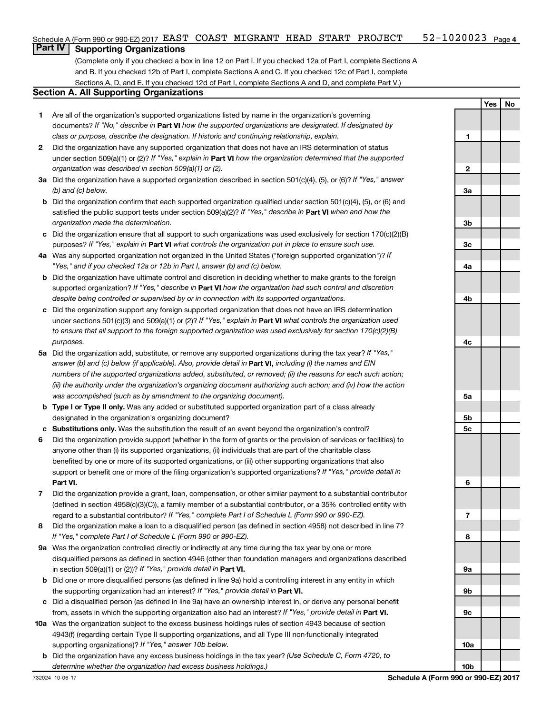## **Part IV Supporting Organizations**

(Complete only if you checked a box in line 12 on Part I. If you checked 12a of Part I, complete Sections A and B. If you checked 12b of Part I, complete Sections A and C. If you checked 12c of Part I, complete Sections A, D, and E. If you checked 12d of Part I, complete Sections A and D, and complete Part V.)

### **Section A. All Supporting Organizations**

- **1** Are all of the organization's supported organizations listed by name in the organization's governing documents? If "No," describe in Part VI how the supported organizations are designated. If designated by *class or purpose, describe the designation. If historic and continuing relationship, explain.*
- **2** Did the organization have any supported organization that does not have an IRS determination of status under section 509(a)(1) or (2)? If "Yes," explain in Part **VI** how the organization determined that the supported *organization was described in section 509(a)(1) or (2).*
- **3a** Did the organization have a supported organization described in section 501(c)(4), (5), or (6)? If "Yes," answer *(b) and (c) below.*
- **b** Did the organization confirm that each supported organization qualified under section 501(c)(4), (5), or (6) and satisfied the public support tests under section 509(a)(2)? If "Yes," describe in Part VI when and how the *organization made the determination.*
- **c** Did the organization ensure that all support to such organizations was used exclusively for section 170(c)(2)(B) purposes? If "Yes," explain in Part VI what controls the organization put in place to ensure such use.
- **4 a** *If* Was any supported organization not organized in the United States ("foreign supported organization")? *"Yes," and if you checked 12a or 12b in Part I, answer (b) and (c) below.*
- **b** Did the organization have ultimate control and discretion in deciding whether to make grants to the foreign supported organization? If "Yes," describe in Part VI how the organization had such control and discretion *despite being controlled or supervised by or in connection with its supported organizations.*
- **c** Did the organization support any foreign supported organization that does not have an IRS determination under sections 501(c)(3) and 509(a)(1) or (2)? If "Yes," explain in Part VI what controls the organization used *to ensure that all support to the foreign supported organization was used exclusively for section 170(c)(2)(B) purposes.*
- **5a** Did the organization add, substitute, or remove any supported organizations during the tax year? If "Yes," answer (b) and (c) below (if applicable). Also, provide detail in **Part VI,** including (i) the names and EIN *numbers of the supported organizations added, substituted, or removed; (ii) the reasons for each such action; (iii) the authority under the organization's organizing document authorizing such action; and (iv) how the action was accomplished (such as by amendment to the organizing document).*
- **b Type I or Type II only.** Was any added or substituted supported organization part of a class already designated in the organization's organizing document?
- **c Substitutions only.**  Was the substitution the result of an event beyond the organization's control?
- **6** Did the organization provide support (whether in the form of grants or the provision of services or facilities) to **Part VI.** support or benefit one or more of the filing organization's supported organizations? If "Yes," provide detail in anyone other than (i) its supported organizations, (ii) individuals that are part of the charitable class benefited by one or more of its supported organizations, or (iii) other supporting organizations that also
- **7** Did the organization provide a grant, loan, compensation, or other similar payment to a substantial contributor regard to a substantial contributor? If "Yes," complete Part I of Schedule L (Form 990 or 990-EZ). (defined in section 4958(c)(3)(C)), a family member of a substantial contributor, or a 35% controlled entity with
- **8** Did the organization make a loan to a disqualified person (as defined in section 4958) not described in line 7? *If "Yes," complete Part I of Schedule L (Form 990 or 990-EZ).*
- **9 a** Was the organization controlled directly or indirectly at any time during the tax year by one or more in section 509(a)(1) or (2))? If "Yes," provide detail in **Part VI.** disqualified persons as defined in section 4946 (other than foundation managers and organizations described
- **b** Did one or more disqualified persons (as defined in line 9a) hold a controlling interest in any entity in which the supporting organization had an interest? If "Yes," provide detail in Part VI.
- **c** Did a disqualified person (as defined in line 9a) have an ownership interest in, or derive any personal benefit from, assets in which the supporting organization also had an interest? If "Yes," provide detail in Part VI.
- **10 a** Was the organization subject to the excess business holdings rules of section 4943 because of section supporting organizations)? If "Yes," answer 10b below. 4943(f) (regarding certain Type II supporting organizations, and all Type III non-functionally integrated
	- **b** Did the organization have any excess business holdings in the tax year? (Use Schedule C, Form 4720, to *determine whether the organization had excess business holdings.)*

**1 2 3a 3b 3c 4a 4b 4c 5a 5b 5c 6 7 8 9a 9b 9c 10a**

**Yes No**

**10b**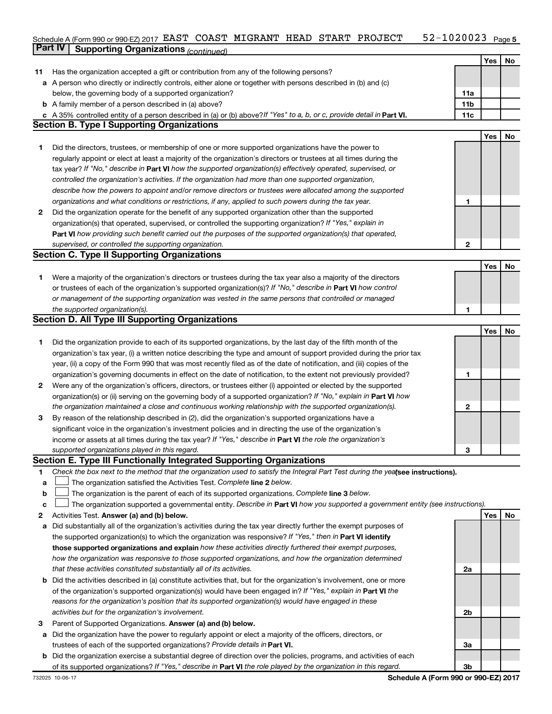#### 52-1020023 Page 5  $S$ chedule A (Form 990 or 990-EZ) 2017 EAST COAST MIGRANT HEAD START PROJECT  $52-1020023$  Page **Part IV Supporting Organizations** *(continued)* EAST COAST MIGRANT HEAD START PROJECT 52-1020023

|              |                                                                                                                                                                                                                                          |              | Yes | No |
|--------------|------------------------------------------------------------------------------------------------------------------------------------------------------------------------------------------------------------------------------------------|--------------|-----|----|
| 11           | Has the organization accepted a gift or contribution from any of the following persons?                                                                                                                                                  |              |     |    |
|              | a A person who directly or indirectly controls, either alone or together with persons described in (b) and (c)                                                                                                                           |              |     |    |
|              | below, the governing body of a supported organization?                                                                                                                                                                                   | 11a          |     |    |
|              | <b>b</b> A family member of a person described in (a) above?                                                                                                                                                                             | 11b          |     |    |
|              | c A 35% controlled entity of a person described in (a) or (b) above? If "Yes" to a, b, or c, provide detail in Part VI.                                                                                                                  | 11c          |     |    |
|              | <b>Section B. Type I Supporting Organizations</b>                                                                                                                                                                                        |              | Yes | No |
|              | Did the directors, trustees, or membership of one or more supported organizations have the power to                                                                                                                                      |              |     |    |
| 1            | regularly appoint or elect at least a majority of the organization's directors or trustees at all times during the                                                                                                                       |              |     |    |
|              |                                                                                                                                                                                                                                          |              |     |    |
|              | tax year? If "No," describe in Part VI how the supported organization(s) effectively operated, supervised, or<br>controlled the organization's activities. If the organization had more than one supported organization,                 |              |     |    |
|              |                                                                                                                                                                                                                                          |              |     |    |
|              | describe how the powers to appoint and/or remove directors or trustees were allocated among the supported                                                                                                                                |              |     |    |
|              | organizations and what conditions or restrictions, if any, applied to such powers during the tax year.                                                                                                                                   | 1            |     |    |
| $\mathbf{2}$ | Did the organization operate for the benefit of any supported organization other than the supported                                                                                                                                      |              |     |    |
|              | organization(s) that operated, supervised, or controlled the supporting organization? If "Yes," explain in                                                                                                                               |              |     |    |
|              | Part VI how providing such benefit carried out the purposes of the supported organization(s) that operated,                                                                                                                              |              |     |    |
|              | supervised, or controlled the supporting organization.                                                                                                                                                                                   | $\mathbf{2}$ |     |    |
|              | <b>Section C. Type II Supporting Organizations</b>                                                                                                                                                                                       |              | Yes |    |
|              |                                                                                                                                                                                                                                          |              |     | No |
| 1.           | Were a majority of the organization's directors or trustees during the tax year also a majority of the directors                                                                                                                         |              |     |    |
|              | or trustees of each of the organization's supported organization(s)? If "No," describe in Part VI how control                                                                                                                            |              |     |    |
|              | or management of the supporting organization was vested in the same persons that controlled or managed                                                                                                                                   |              |     |    |
|              | the supported organization(s).<br><b>Section D. All Type III Supporting Organizations</b>                                                                                                                                                | 1            |     |    |
|              |                                                                                                                                                                                                                                          |              | Yes | No |
| 1.           | Did the organization provide to each of its supported organizations, by the last day of the fifth month of the                                                                                                                           |              |     |    |
|              | organization's tax year, (i) a written notice describing the type and amount of support provided during the prior tax                                                                                                                    |              |     |    |
|              | year, (ii) a copy of the Form 990 that was most recently filed as of the date of notification, and (iii) copies of the                                                                                                                   |              |     |    |
|              | organization's governing documents in effect on the date of notification, to the extent not previously provided?                                                                                                                         | 1            |     |    |
| 2            | Were any of the organization's officers, directors, or trustees either (i) appointed or elected by the supported                                                                                                                         |              |     |    |
|              |                                                                                                                                                                                                                                          |              |     |    |
|              | organization(s) or (ii) serving on the governing body of a supported organization? If "No," explain in <b>Part VI</b> how<br>the organization maintained a close and continuous working relationship with the supported organization(s). | $\mathbf{2}$ |     |    |
| 3            | By reason of the relationship described in (2), did the organization's supported organizations have a                                                                                                                                    |              |     |    |
|              |                                                                                                                                                                                                                                          |              |     |    |
|              | significant voice in the organization's investment policies and in directing the use of the organization's<br>income or assets at all times during the tax year? If "Yes," describe in <b>Part VI</b> the role the organization's        |              |     |    |
|              | supported organizations played in this regard.                                                                                                                                                                                           | 3            |     |    |
|              | Section E. Type III Functionally Integrated Supporting Organizations                                                                                                                                                                     |              |     |    |
| 1            | Check the box next to the method that the organization used to satisfy the Integral Part Test during the yealsee instructions).                                                                                                          |              |     |    |
| а            | The organization satisfied the Activities Test. Complete line 2 below.                                                                                                                                                                   |              |     |    |
| b            | The organization is the parent of each of its supported organizations. Complete line 3 below.                                                                                                                                            |              |     |    |
| c            | The organization supported a governmental entity. Describe in Part VI how you supported a government entity (see instructions).                                                                                                          |              |     |    |
| 2            | Activities Test. Answer (a) and (b) below.                                                                                                                                                                                               |              | Yes | No |
| а            | Did substantially all of the organization's activities during the tax year directly further the exempt purposes of                                                                                                                       |              |     |    |
|              | the supported organization(s) to which the organization was responsive? If "Yes," then in Part VI identify                                                                                                                               |              |     |    |
|              | those supported organizations and explain how these activities directly furthered their exempt purposes,                                                                                                                                 |              |     |    |
|              | how the organization was responsive to those supported organizations, and how the organization determined                                                                                                                                |              |     |    |
|              | that these activities constituted substantially all of its activities.                                                                                                                                                                   | 2a           |     |    |
|              | <b>b</b> Did the activities described in (a) constitute activities that, but for the organization's involvement, one or more                                                                                                             |              |     |    |
|              | of the organization's supported organization(s) would have been engaged in? If "Yes," explain in Part VI the                                                                                                                             |              |     |    |
|              |                                                                                                                                                                                                                                          |              |     |    |
|              | reasons for the organization's position that its supported organization(s) would have engaged in these                                                                                                                                   |              |     |    |
|              | activities but for the organization's involvement.                                                                                                                                                                                       | 2b           |     |    |
| З            | Parent of Supported Organizations. Answer (a) and (b) below.                                                                                                                                                                             |              |     |    |
|              | a Did the organization have the power to regularly appoint or elect a majority of the officers, directors, or                                                                                                                            |              |     |    |
|              | trustees of each of the supported organizations? Provide details in Part VI.                                                                                                                                                             | За           |     |    |
|              | <b>b</b> Did the organization exercise a substantial degree of direction over the policies, programs, and activities of each                                                                                                             |              |     |    |
|              | of its supported organizations? If "Yes," describe in Part VI the role played by the organization in this regard.                                                                                                                        | Зb           |     |    |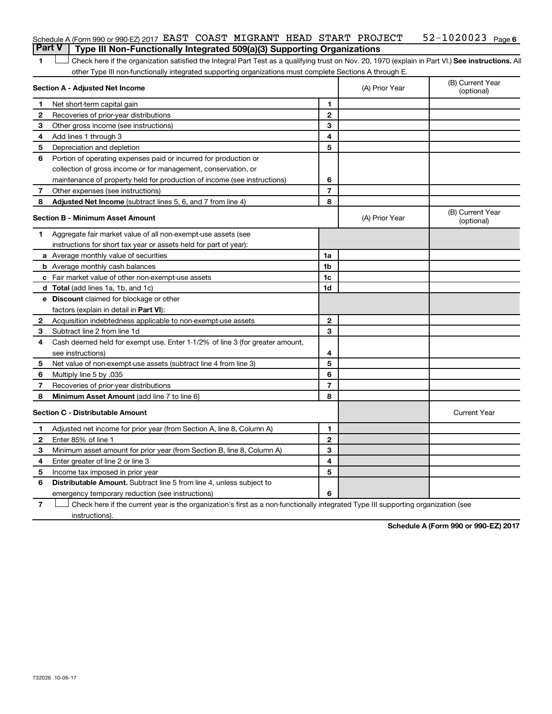|   | Schedule A (Form 990 or 990-EZ) 2017 EAST COAST MIGRANT HEAD START PROJECT                                                                         |                |                | $52 - 1020023$ Page 6          |
|---|----------------------------------------------------------------------------------------------------------------------------------------------------|----------------|----------------|--------------------------------|
|   | <b>Part V</b><br>Type III Non-Functionally Integrated 509(a)(3) Supporting Organizations                                                           |                |                |                                |
| 1 | Check here if the organization satisfied the Integral Part Test as a qualifying trust on Nov. 20, 1970 (explain in Part VI.) See instructions. All |                |                |                                |
|   | other Type III non-functionally integrated supporting organizations must complete Sections A through E.                                            |                |                |                                |
|   | Section A - Adjusted Net Income                                                                                                                    |                | (A) Prior Year | (B) Current Year<br>(optional) |
| 1 | Net short-term capital gain                                                                                                                        | 1              |                |                                |
| 2 | Recoveries of prior-year distributions                                                                                                             | $\mathbf{2}$   |                |                                |
| З | Other gross income (see instructions)                                                                                                              | 3              |                |                                |
| 4 | Add lines 1 through 3                                                                                                                              | 4              |                |                                |
| 5 | Depreciation and depletion                                                                                                                         | 5              |                |                                |
| 6 | Portion of operating expenses paid or incurred for production or                                                                                   |                |                |                                |
|   | collection of gross income or for management, conservation, or                                                                                     |                |                |                                |
|   | maintenance of property held for production of income (see instructions)                                                                           | 6              |                |                                |
| 7 | Other expenses (see instructions)                                                                                                                  | $\overline{7}$ |                |                                |
| 8 | Adjusted Net Income (subtract lines 5, 6, and 7 from line 4)                                                                                       | 8              |                |                                |
|   | Section B - Minimum Asset Amount                                                                                                                   |                | (A) Prior Year | (B) Current Year<br>(optional) |
| 1 | Aggregate fair market value of all non-exempt-use assets (see                                                                                      |                |                |                                |
|   | instructions for short tax year or assets held for part of year):                                                                                  |                |                |                                |
|   | a Average monthly value of securities                                                                                                              | 1a             |                |                                |
|   | <b>b</b> Average monthly cash balances                                                                                                             | 1b             |                |                                |
|   | c Fair market value of other non-exempt-use assets                                                                                                 | 1c             |                |                                |
|   | <b>d</b> Total (add lines 1a, 1b, and 1c)                                                                                                          | 1d             |                |                                |
|   | e Discount claimed for blockage or other                                                                                                           |                |                |                                |
|   | factors (explain in detail in Part VI):                                                                                                            |                |                |                                |
| 2 | Acquisition indebtedness applicable to non-exempt-use assets                                                                                       | $\mathbf{2}$   |                |                                |
| 3 | Subtract line 2 from line 1d                                                                                                                       | 3              |                |                                |
| 4 | Cash deemed held for exempt use. Enter 1-1/2% of line 3 (for greater amount,                                                                       |                |                |                                |
|   | see instructions)                                                                                                                                  | 4              |                |                                |
| 5 | Net value of non-exempt-use assets (subtract line 4 from line 3)                                                                                   | 5              |                |                                |
| 6 | Multiply line 5 by .035                                                                                                                            | 6              |                |                                |
| 7 | Recoveries of prior-year distributions                                                                                                             | $\overline{7}$ |                |                                |
| 8 | Minimum Asset Amount (add line 7 to line 6)                                                                                                        | 8              |                |                                |
|   | <b>Section C - Distributable Amount</b>                                                                                                            |                |                | <b>Current Year</b>            |
| 1 | Adjusted net income for prior year (from Section A, line 8, Column A)                                                                              | 1              |                |                                |
| 2 | Enter 85% of line 1                                                                                                                                | $\overline{2}$ |                |                                |
| 3 | Minimum asset amount for prior year (from Section B, line 8, Column A)                                                                             | 3              |                |                                |
| 4 | Enter greater of line 2 or line 3                                                                                                                  | 4              |                |                                |
| 5 | Income tax imposed in prior year                                                                                                                   | 5              |                |                                |
| 6 | <b>Distributable Amount.</b> Subtract line 5 from line 4, unless subject to                                                                        |                |                |                                |
|   | emergency temporary reduction (see instructions)                                                                                                   | 6              |                |                                |
|   |                                                                                                                                                    |                |                |                                |

**7** Let Check here if the current year is the organization's first as a non-functionally integrated Type III supporting organization (see instructions).

**Schedule A (Form 990 or 990-EZ) 2017**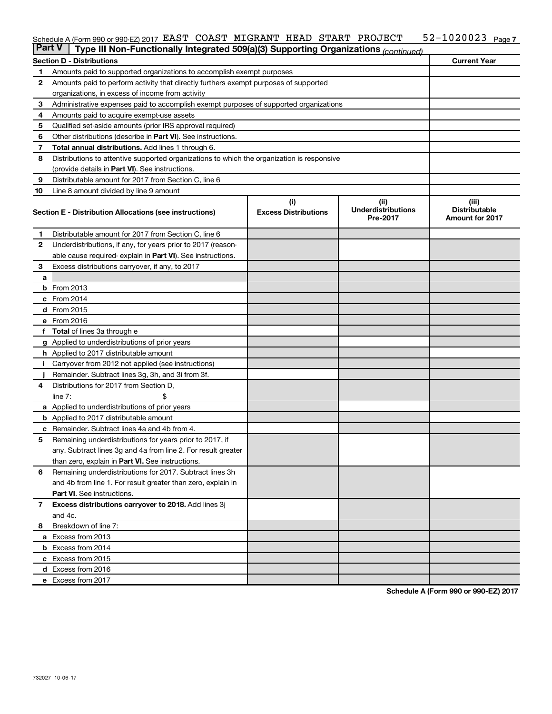#### 52-1020023 Page 7  $S$ chedule A (Form 990 or 990-EZ) 2017 EAST COAST MIGRANT HEAD START PROJECT  $52-1020023$  Page EAST COAST MIGRANT HEAD START PROJECT 52-1020023

| <b>Part V</b> | Type III Non-Functionally Integrated 509(a)(3) Supporting Organizations (continued)        |                             |                                       |                                                |
|---------------|--------------------------------------------------------------------------------------------|-----------------------------|---------------------------------------|------------------------------------------------|
|               | <b>Section D - Distributions</b>                                                           |                             |                                       | <b>Current Year</b>                            |
| 1             | Amounts paid to supported organizations to accomplish exempt purposes                      |                             |                                       |                                                |
| 2             | Amounts paid to perform activity that directly furthers exempt purposes of supported       |                             |                                       |                                                |
|               | organizations, in excess of income from activity                                           |                             |                                       |                                                |
| 3             | Administrative expenses paid to accomplish exempt purposes of supported organizations      |                             |                                       |                                                |
| 4             | Amounts paid to acquire exempt-use assets                                                  |                             |                                       |                                                |
| 5             | Qualified set-aside amounts (prior IRS approval required)                                  |                             |                                       |                                                |
| 6             | Other distributions (describe in <b>Part VI</b> ). See instructions.                       |                             |                                       |                                                |
| 7             | Total annual distributions. Add lines 1 through 6.                                         |                             |                                       |                                                |
| 8             | Distributions to attentive supported organizations to which the organization is responsive |                             |                                       |                                                |
|               | (provide details in Part VI). See instructions.                                            |                             |                                       |                                                |
| 9             | Distributable amount for 2017 from Section C, line 6                                       |                             |                                       |                                                |
| 10            | Line 8 amount divided by line 9 amount                                                     |                             |                                       |                                                |
|               |                                                                                            | (i)                         | (ii)                                  | (iii)                                          |
|               | Section E - Distribution Allocations (see instructions)                                    | <b>Excess Distributions</b> | <b>Underdistributions</b><br>Pre-2017 | <b>Distributable</b><br><b>Amount for 2017</b> |
| 1             | Distributable amount for 2017 from Section C, line 6                                       |                             |                                       |                                                |
| $\mathbf{2}$  | Underdistributions, if any, for years prior to 2017 (reason-                               |                             |                                       |                                                |
|               | able cause required- explain in Part VI). See instructions.                                |                             |                                       |                                                |
| 3             | Excess distributions carryover, if any, to 2017                                            |                             |                                       |                                                |
| a             |                                                                                            |                             |                                       |                                                |
|               | <b>b</b> From 2013                                                                         |                             |                                       |                                                |
|               | c From 2014                                                                                |                             |                                       |                                                |
|               | d From 2015                                                                                |                             |                                       |                                                |
|               | e From 2016                                                                                |                             |                                       |                                                |
|               | <b>Total</b> of lines 3a through e                                                         |                             |                                       |                                                |
|               | <b>g</b> Applied to underdistributions of prior years                                      |                             |                                       |                                                |
|               | <b>h</b> Applied to 2017 distributable amount                                              |                             |                                       |                                                |
|               | Carryover from 2012 not applied (see instructions)                                         |                             |                                       |                                                |
|               | Remainder. Subtract lines 3g, 3h, and 3i from 3f.                                          |                             |                                       |                                                |
| 4             | Distributions for 2017 from Section D,                                                     |                             |                                       |                                                |
|               | $line 7$ :                                                                                 |                             |                                       |                                                |
|               | <b>a</b> Applied to underdistributions of prior years                                      |                             |                                       |                                                |
|               | <b>b</b> Applied to 2017 distributable amount                                              |                             |                                       |                                                |
| с             | Remainder. Subtract lines 4a and 4b from 4.                                                |                             |                                       |                                                |
| 5             | Remaining underdistributions for years prior to 2017, if                                   |                             |                                       |                                                |
|               | any. Subtract lines 3g and 4a from line 2. For result greater                              |                             |                                       |                                                |
|               | than zero, explain in Part VI. See instructions.                                           |                             |                                       |                                                |
| 6             | Remaining underdistributions for 2017. Subtract lines 3h                                   |                             |                                       |                                                |
|               | and 4b from line 1. For result greater than zero, explain in                               |                             |                                       |                                                |
|               | <b>Part VI.</b> See instructions.                                                          |                             |                                       |                                                |
| 7             | Excess distributions carryover to 2018. Add lines 3j                                       |                             |                                       |                                                |
|               | and 4c.                                                                                    |                             |                                       |                                                |
| 8             | Breakdown of line 7:                                                                       |                             |                                       |                                                |
|               | a Excess from 2013                                                                         |                             |                                       |                                                |
|               | <b>b</b> Excess from 2014                                                                  |                             |                                       |                                                |
|               | c Excess from 2015                                                                         |                             |                                       |                                                |
|               | d Excess from 2016                                                                         |                             |                                       |                                                |
|               | e Excess from 2017                                                                         |                             |                                       |                                                |

**Schedule A (Form 990 or 990-EZ) 2017**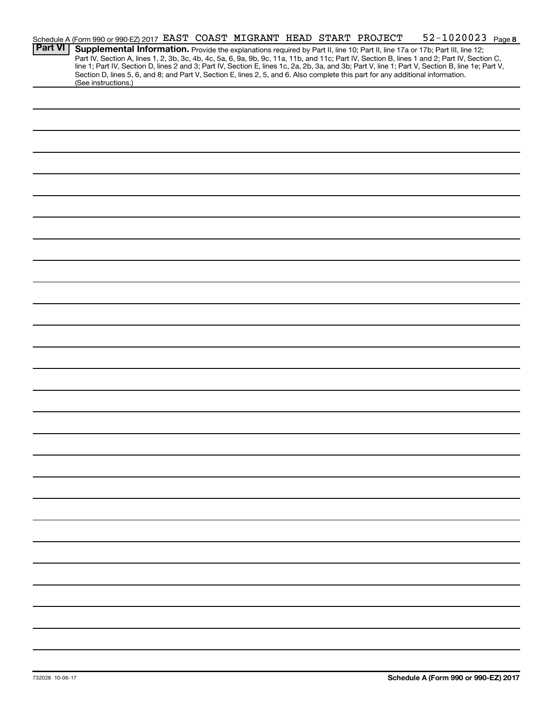|                | Schedule A (Form 990 or 990-EZ) 2017 EAST COAST MIGRANT HEAD START PROJECT |  |  |  |                                                                                                                                 | 52-1020023 Page 8                                                                                                                                                                                                                                                                                                                                                                                                                 |  |
|----------------|----------------------------------------------------------------------------|--|--|--|---------------------------------------------------------------------------------------------------------------------------------|-----------------------------------------------------------------------------------------------------------------------------------------------------------------------------------------------------------------------------------------------------------------------------------------------------------------------------------------------------------------------------------------------------------------------------------|--|
| <b>Part VI</b> |                                                                            |  |  |  |                                                                                                                                 | Supplemental Information. Provide the explanations required by Part II, line 10; Part II, line 17a or 17b; Part III, line 12;<br>Part IV, Section A, lines 1, 2, 3b, 3c, 4b, 4c, 5a, 6, 9a, 9b, 9c, 11a, 11b, and 11c; Part IV, Section B, lines 1 and 2; Part IV, Section C,<br>line 1; Part IV, Section D, lines 2 and 3; Part IV, Section E, lines 1c, 2a, 2b, 3a, and 3b; Part V, line 1; Part V, Section B, line 1e; Part V, |  |
|                | (See instructions.)                                                        |  |  |  | Section D, lines 5, 6, and 8; and Part V, Section E, lines 2, 5, and 6. Also complete this part for any additional information. |                                                                                                                                                                                                                                                                                                                                                                                                                                   |  |
|                |                                                                            |  |  |  |                                                                                                                                 |                                                                                                                                                                                                                                                                                                                                                                                                                                   |  |
|                |                                                                            |  |  |  |                                                                                                                                 |                                                                                                                                                                                                                                                                                                                                                                                                                                   |  |
|                |                                                                            |  |  |  |                                                                                                                                 |                                                                                                                                                                                                                                                                                                                                                                                                                                   |  |
|                |                                                                            |  |  |  |                                                                                                                                 |                                                                                                                                                                                                                                                                                                                                                                                                                                   |  |
|                |                                                                            |  |  |  |                                                                                                                                 |                                                                                                                                                                                                                                                                                                                                                                                                                                   |  |
|                |                                                                            |  |  |  |                                                                                                                                 |                                                                                                                                                                                                                                                                                                                                                                                                                                   |  |
|                |                                                                            |  |  |  |                                                                                                                                 |                                                                                                                                                                                                                                                                                                                                                                                                                                   |  |
|                |                                                                            |  |  |  |                                                                                                                                 |                                                                                                                                                                                                                                                                                                                                                                                                                                   |  |
|                |                                                                            |  |  |  |                                                                                                                                 |                                                                                                                                                                                                                                                                                                                                                                                                                                   |  |
|                |                                                                            |  |  |  |                                                                                                                                 |                                                                                                                                                                                                                                                                                                                                                                                                                                   |  |
|                |                                                                            |  |  |  |                                                                                                                                 |                                                                                                                                                                                                                                                                                                                                                                                                                                   |  |
|                |                                                                            |  |  |  |                                                                                                                                 |                                                                                                                                                                                                                                                                                                                                                                                                                                   |  |
|                |                                                                            |  |  |  |                                                                                                                                 |                                                                                                                                                                                                                                                                                                                                                                                                                                   |  |
|                |                                                                            |  |  |  |                                                                                                                                 |                                                                                                                                                                                                                                                                                                                                                                                                                                   |  |
|                |                                                                            |  |  |  |                                                                                                                                 |                                                                                                                                                                                                                                                                                                                                                                                                                                   |  |
|                |                                                                            |  |  |  |                                                                                                                                 |                                                                                                                                                                                                                                                                                                                                                                                                                                   |  |
|                |                                                                            |  |  |  |                                                                                                                                 |                                                                                                                                                                                                                                                                                                                                                                                                                                   |  |
|                |                                                                            |  |  |  |                                                                                                                                 |                                                                                                                                                                                                                                                                                                                                                                                                                                   |  |
|                |                                                                            |  |  |  |                                                                                                                                 |                                                                                                                                                                                                                                                                                                                                                                                                                                   |  |
|                |                                                                            |  |  |  |                                                                                                                                 |                                                                                                                                                                                                                                                                                                                                                                                                                                   |  |
|                |                                                                            |  |  |  |                                                                                                                                 |                                                                                                                                                                                                                                                                                                                                                                                                                                   |  |
|                |                                                                            |  |  |  |                                                                                                                                 |                                                                                                                                                                                                                                                                                                                                                                                                                                   |  |
|                |                                                                            |  |  |  |                                                                                                                                 |                                                                                                                                                                                                                                                                                                                                                                                                                                   |  |
|                |                                                                            |  |  |  |                                                                                                                                 |                                                                                                                                                                                                                                                                                                                                                                                                                                   |  |
|                |                                                                            |  |  |  |                                                                                                                                 |                                                                                                                                                                                                                                                                                                                                                                                                                                   |  |
|                |                                                                            |  |  |  |                                                                                                                                 |                                                                                                                                                                                                                                                                                                                                                                                                                                   |  |
|                |                                                                            |  |  |  |                                                                                                                                 |                                                                                                                                                                                                                                                                                                                                                                                                                                   |  |
|                |                                                                            |  |  |  |                                                                                                                                 |                                                                                                                                                                                                                                                                                                                                                                                                                                   |  |
|                |                                                                            |  |  |  |                                                                                                                                 |                                                                                                                                                                                                                                                                                                                                                                                                                                   |  |
|                |                                                                            |  |  |  |                                                                                                                                 |                                                                                                                                                                                                                                                                                                                                                                                                                                   |  |
|                |                                                                            |  |  |  |                                                                                                                                 |                                                                                                                                                                                                                                                                                                                                                                                                                                   |  |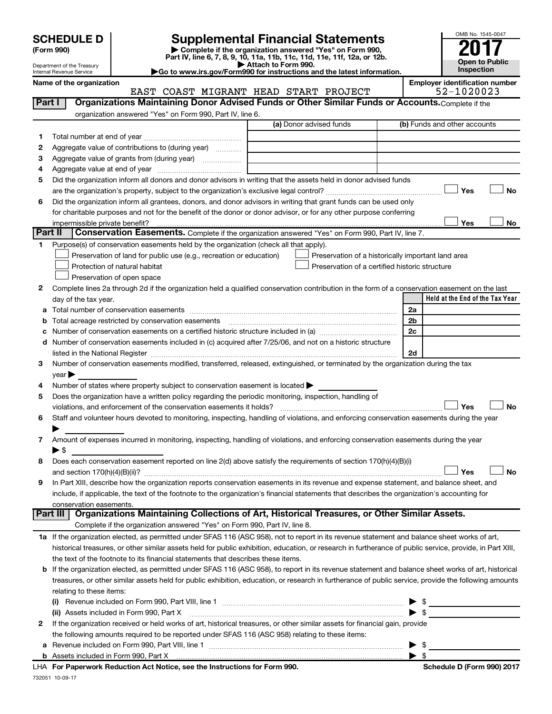| <b>SCHEDULE D</b> |  |
|-------------------|--|
|-------------------|--|

Department of the Treasury Internal Revenue Service

# **SCHEDULE D Supplemental Financial Statements**<br> **Form 990 2017**<br> **Part IV** line 6.7.8.9.10, 11a, 11b, 11d, 11d, 11d, 11d, 11d, 12a, 0r, 12b

**(Form 990) | Complete if the organization answered "Yes" on Form 990, Part IV, line 6, 7, 8, 9, 10, 11a, 11b, 11c, 11d, 11e, 11f, 12a, or 12b.**

**| Attach to Form 990. |Go to www.irs.gov/Form990 for instructions and the latest information.**



Name of the organization<br>**EAST COAST MIGRANT HEAD START PROJECT** 52-1020023 EAST COAST MIGRANT HEAD START PROJECT

| Part I         | Organizations Maintaining Donor Advised Funds or Other Similar Funds or Accounts. Complete if the                                                         |                                                |                                                    |
|----------------|-----------------------------------------------------------------------------------------------------------------------------------------------------------|------------------------------------------------|----------------------------------------------------|
|                | organization answered "Yes" on Form 990, Part IV, line 6.                                                                                                 |                                                |                                                    |
|                |                                                                                                                                                           | (a) Donor advised funds                        | (b) Funds and other accounts                       |
| 1              |                                                                                                                                                           |                                                |                                                    |
| 2              | Aggregate value of contributions to (during year)                                                                                                         |                                                |                                                    |
| з              | Aggregate value of grants from (during year)                                                                                                              |                                                |                                                    |
| 4              |                                                                                                                                                           |                                                |                                                    |
| 5              | Did the organization inform all donors and donor advisors in writing that the assets held in donor advised funds                                          |                                                |                                                    |
|                |                                                                                                                                                           |                                                | Yes<br>No                                          |
| 6              | Did the organization inform all grantees, donors, and donor advisors in writing that grant funds can be used only                                         |                                                |                                                    |
|                | for charitable purposes and not for the benefit of the donor or donor advisor, or for any other purpose conferring                                        |                                                |                                                    |
|                | impermissible private benefit?                                                                                                                            |                                                | Yes<br>No                                          |
| <b>Part II</b> | Conservation Easements. Complete if the organization answered "Yes" on Form 990, Part IV, line 7.                                                         |                                                |                                                    |
| 1              | Purpose(s) of conservation easements held by the organization (check all that apply).                                                                     |                                                |                                                    |
|                | Preservation of land for public use (e.g., recreation or education)                                                                                       |                                                | Preservation of a historically important land area |
|                | Protection of natural habitat                                                                                                                             | Preservation of a certified historic structure |                                                    |
|                | Preservation of open space                                                                                                                                |                                                |                                                    |
| 2              | Complete lines 2a through 2d if the organization held a qualified conservation contribution in the form of a conservation easement on the last            |                                                |                                                    |
|                | day of the tax year.                                                                                                                                      |                                                | Held at the End of the Tax Year                    |
|                |                                                                                                                                                           |                                                | 2a                                                 |
|                |                                                                                                                                                           |                                                | 2 <sub>b</sub>                                     |
|                | Number of conservation easements on a certified historic structure included in (a) manufacture included in (a)                                            |                                                | 2c                                                 |
|                | Number of conservation easements included in (c) acquired after 7/25/06, and not on a historic structure                                                  |                                                |                                                    |
|                |                                                                                                                                                           |                                                | 2d                                                 |
| З              | Number of conservation easements modified, transferred, released, extinguished, or terminated by the organization during the tax                          |                                                |                                                    |
|                | vear                                                                                                                                                      |                                                |                                                    |
| 4              | Number of states where property subject to conservation easement is located >                                                                             |                                                |                                                    |
| 5              | Does the organization have a written policy regarding the periodic monitoring, inspection, handling of                                                    |                                                |                                                    |
|                | violations, and enforcement of the conservation easements it holds?                                                                                       |                                                | Yes<br><b>No</b>                                   |
| 6              | Staff and volunteer hours devoted to monitoring, inspecting, handling of violations, and enforcing conservation easements during the year                 |                                                |                                                    |
|                | Amount of expenses incurred in monitoring, inspecting, handling of violations, and enforcing conservation easements during the year                       |                                                |                                                    |
| 7              | ► \$                                                                                                                                                      |                                                |                                                    |
| 8              | Does each conservation easement reported on line 2(d) above satisfy the requirements of section 170(h)(4)(B)(i)                                           |                                                |                                                    |
|                |                                                                                                                                                           |                                                | <b>No</b><br>Yes                                   |
| 9              | In Part XIII, describe how the organization reports conservation easements in its revenue and expense statement, and balance sheet, and                   |                                                |                                                    |
|                | include, if applicable, the text of the footnote to the organization's financial statements that describes the organization's accounting for              |                                                |                                                    |
|                | conservation easements.                                                                                                                                   |                                                |                                                    |
|                | Organizations Maintaining Collections of Art, Historical Treasures, or Other Similar Assets.<br>  Part III                                                |                                                |                                                    |
|                | Complete if the organization answered "Yes" on Form 990, Part IV, line 8.                                                                                 |                                                |                                                    |
|                | 1a If the organization elected, as permitted under SFAS 116 (ASC 958), not to report in its revenue statement and balance sheet works of art,             |                                                |                                                    |
|                | historical treasures, or other similar assets held for public exhibition, education, or research in furtherance of public service, provide, in Part XIII, |                                                |                                                    |
|                | the text of the footnote to its financial statements that describes these items.                                                                          |                                                |                                                    |
| b              | If the organization elected, as permitted under SFAS 116 (ASC 958), to report in its revenue statement and balance sheet works of art, historical         |                                                |                                                    |
|                | treasures, or other similar assets held for public exhibition, education, or research in furtherance of public service, provide the following amounts     |                                                |                                                    |
|                | relating to these items:                                                                                                                                  |                                                |                                                    |
|                |                                                                                                                                                           |                                                | \$                                                 |
|                | (ii) Assets included in Form 990, Part X                                                                                                                  |                                                | $\bullet$ \$                                       |
| 2              | If the organization received or held works of art, historical treasures, or other similar assets for financial gain, provide                              |                                                |                                                    |
|                | the following amounts required to be reported under SFAS 116 (ASC 958) relating to these items:                                                           |                                                |                                                    |
| а              |                                                                                                                                                           |                                                | - \$<br>▶                                          |
|                |                                                                                                                                                           |                                                | $\blacktriangleright$ s                            |
|                |                                                                                                                                                           |                                                |                                                    |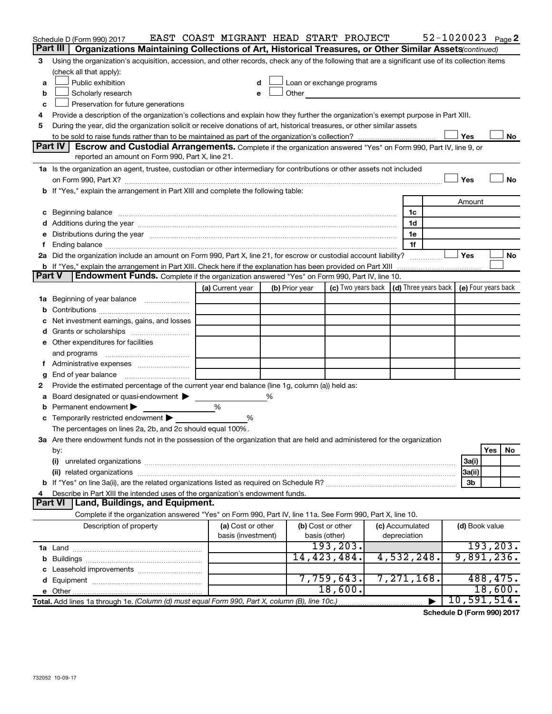|               | Schedule D (Form 990) 2017                                                                                                                                                                                                     | EAST COAST MIGRANT HEAD START PROJECT |   |                   |                                                                                                                                                                                                                                |  |                                                 |  |                     | 52-1020023 Page 2 |  |
|---------------|--------------------------------------------------------------------------------------------------------------------------------------------------------------------------------------------------------------------------------|---------------------------------------|---|-------------------|--------------------------------------------------------------------------------------------------------------------------------------------------------------------------------------------------------------------------------|--|-------------------------------------------------|--|---------------------|-------------------|--|
|               | Part III<br>Organizations Maintaining Collections of Art, Historical Treasures, or Other Similar Assets (continued)                                                                                                            |                                       |   |                   |                                                                                                                                                                                                                                |  |                                                 |  |                     |                   |  |
| 3             | Using the organization's acquisition, accession, and other records, check any of the following that are a significant use of its collection items                                                                              |                                       |   |                   |                                                                                                                                                                                                                                |  |                                                 |  |                     |                   |  |
|               | (check all that apply):                                                                                                                                                                                                        |                                       |   |                   |                                                                                                                                                                                                                                |  |                                                 |  |                     |                   |  |
| a             | Public exhibition                                                                                                                                                                                                              | d                                     |   |                   | Loan or exchange programs                                                                                                                                                                                                      |  |                                                 |  |                     |                   |  |
| b             | Scholarly research                                                                                                                                                                                                             | e                                     |   |                   | Other and the control of the control of the control of the control of the control of the control of the control of the control of the control of the control of the control of the control of the control of the control of th |  |                                                 |  |                     |                   |  |
| c             | Preservation for future generations                                                                                                                                                                                            |                                       |   |                   |                                                                                                                                                                                                                                |  |                                                 |  |                     |                   |  |
| 4             | Provide a description of the organization's collections and explain how they further the organization's exempt purpose in Part XIII.                                                                                           |                                       |   |                   |                                                                                                                                                                                                                                |  |                                                 |  |                     |                   |  |
| 5             | During the year, did the organization solicit or receive donations of art, historical treasures, or other similar assets                                                                                                       |                                       |   |                   |                                                                                                                                                                                                                                |  |                                                 |  |                     |                   |  |
|               |                                                                                                                                                                                                                                |                                       |   |                   |                                                                                                                                                                                                                                |  |                                                 |  | Yes                 | No                |  |
|               | <b>Part IV</b><br>Escrow and Custodial Arrangements. Complete if the organization answered "Yes" on Form 990, Part IV, line 9, or                                                                                              |                                       |   |                   |                                                                                                                                                                                                                                |  |                                                 |  |                     |                   |  |
|               | reported an amount on Form 990, Part X, line 21.                                                                                                                                                                               |                                       |   |                   |                                                                                                                                                                                                                                |  |                                                 |  |                     |                   |  |
|               | 1a Is the organization an agent, trustee, custodian or other intermediary for contributions or other assets not included                                                                                                       |                                       |   |                   |                                                                                                                                                                                                                                |  |                                                 |  |                     |                   |  |
|               |                                                                                                                                                                                                                                |                                       |   |                   |                                                                                                                                                                                                                                |  |                                                 |  | Yes                 | <b>No</b>         |  |
|               | b If "Yes," explain the arrangement in Part XIII and complete the following table:                                                                                                                                             |                                       |   |                   |                                                                                                                                                                                                                                |  |                                                 |  |                     |                   |  |
|               |                                                                                                                                                                                                                                |                                       |   |                   |                                                                                                                                                                                                                                |  |                                                 |  | Amount              |                   |  |
|               | c Beginning balance measurements and the contract of the contract of the contract of the contract of the contract of the contract of the contract of the contract of the contract of the contract of the contract of the contr |                                       |   |                   |                                                                                                                                                                                                                                |  | 1c                                              |  |                     |                   |  |
|               |                                                                                                                                                                                                                                |                                       |   |                   |                                                                                                                                                                                                                                |  | 1d                                              |  |                     |                   |  |
|               | Distributions during the year manufactured and an account of the year manufactured and the year manufactured and the year manufactured and the year manufactured and the year manufactured and the year manufactured and the y |                                       |   |                   |                                                                                                                                                                                                                                |  | 1e                                              |  |                     |                   |  |
|               |                                                                                                                                                                                                                                |                                       |   |                   |                                                                                                                                                                                                                                |  | 1f                                              |  |                     |                   |  |
|               | 2a Did the organization include an amount on Form 990, Part X, line 21, for escrow or custodial account liability?                                                                                                             |                                       |   |                   |                                                                                                                                                                                                                                |  |                                                 |  | Yes                 | No                |  |
| <b>Part V</b> | <b>b</b> If "Yes," explain the arrangement in Part XIII. Check here if the explanation has been provided on Part XIII<br>Endowment Funds. Complete if the organization answered "Yes" on Form 990, Part IV, line 10.           |                                       |   |                   |                                                                                                                                                                                                                                |  |                                                 |  |                     |                   |  |
|               |                                                                                                                                                                                                                                | (a) Current year                      |   |                   |                                                                                                                                                                                                                                |  | (c) Two years back $ $ (d) Three years back $ $ |  | (e) Four years back |                   |  |
|               |                                                                                                                                                                                                                                |                                       |   | (b) Prior year    |                                                                                                                                                                                                                                |  |                                                 |  |                     |                   |  |
| 1а<br>b       | Beginning of year balance                                                                                                                                                                                                      |                                       |   |                   |                                                                                                                                                                                                                                |  |                                                 |  |                     |                   |  |
|               | Net investment earnings, gains, and losses                                                                                                                                                                                     |                                       |   |                   |                                                                                                                                                                                                                                |  |                                                 |  |                     |                   |  |
|               |                                                                                                                                                                                                                                |                                       |   |                   |                                                                                                                                                                                                                                |  |                                                 |  |                     |                   |  |
|               | e Other expenditures for facilities                                                                                                                                                                                            |                                       |   |                   |                                                                                                                                                                                                                                |  |                                                 |  |                     |                   |  |
|               | and programs                                                                                                                                                                                                                   |                                       |   |                   |                                                                                                                                                                                                                                |  |                                                 |  |                     |                   |  |
|               |                                                                                                                                                                                                                                |                                       |   |                   |                                                                                                                                                                                                                                |  |                                                 |  |                     |                   |  |
| g             | End of year balance                                                                                                                                                                                                            |                                       |   |                   |                                                                                                                                                                                                                                |  |                                                 |  |                     |                   |  |
| 2             | Provide the estimated percentage of the current year end balance (line 1g, column (a)) held as:                                                                                                                                |                                       |   |                   |                                                                                                                                                                                                                                |  |                                                 |  |                     |                   |  |
| а             | Board designated or quasi-endowment                                                                                                                                                                                            |                                       | ℅ |                   |                                                                                                                                                                                                                                |  |                                                 |  |                     |                   |  |
|               | Permanent endowment                                                                                                                                                                                                            | %                                     |   |                   |                                                                                                                                                                                                                                |  |                                                 |  |                     |                   |  |
|               | <b>c</b> Temporarily restricted endowment $\blacktriangleright$                                                                                                                                                                | %                                     |   |                   |                                                                                                                                                                                                                                |  |                                                 |  |                     |                   |  |
|               | The percentages on lines 2a, 2b, and 2c should equal 100%.                                                                                                                                                                     |                                       |   |                   |                                                                                                                                                                                                                                |  |                                                 |  |                     |                   |  |
|               | 3a Are there endowment funds not in the possession of the organization that are held and administered for the organization                                                                                                     |                                       |   |                   |                                                                                                                                                                                                                                |  |                                                 |  |                     |                   |  |
|               | by:                                                                                                                                                                                                                            |                                       |   |                   |                                                                                                                                                                                                                                |  |                                                 |  |                     | Yes<br>No         |  |
|               | (i)                                                                                                                                                                                                                            |                                       |   |                   |                                                                                                                                                                                                                                |  |                                                 |  | 3a(i)               |                   |  |
|               | (ii) related organizations                                                                                                                                                                                                     |                                       |   |                   |                                                                                                                                                                                                                                |  |                                                 |  | 3a(ii)              |                   |  |
|               |                                                                                                                                                                                                                                |                                       |   |                   |                                                                                                                                                                                                                                |  |                                                 |  | 3b                  |                   |  |
|               | Describe in Part XIII the intended uses of the organization's endowment funds.                                                                                                                                                 |                                       |   |                   |                                                                                                                                                                                                                                |  |                                                 |  |                     |                   |  |
|               | Land, Buildings, and Equipment.<br><b>Part VI</b>                                                                                                                                                                              |                                       |   |                   |                                                                                                                                                                                                                                |  |                                                 |  |                     |                   |  |
|               | Complete if the organization answered "Yes" on Form 990, Part IV, line 11a. See Form 990, Part X, line 10.                                                                                                                     |                                       |   |                   |                                                                                                                                                                                                                                |  |                                                 |  |                     |                   |  |
|               | Description of property                                                                                                                                                                                                        | (a) Cost or other                     |   | (b) Cost or other |                                                                                                                                                                                                                                |  | (c) Accumulated                                 |  | (d) Book value      |                   |  |
|               |                                                                                                                                                                                                                                | basis (investment)                    |   | basis (other)     |                                                                                                                                                                                                                                |  | depreciation                                    |  |                     |                   |  |
|               |                                                                                                                                                                                                                                |                                       |   |                   | 193, 203.                                                                                                                                                                                                                      |  |                                                 |  |                     | 193, 203.         |  |
|               |                                                                                                                                                                                                                                |                                       |   |                   | 14,423,484.                                                                                                                                                                                                                    |  | 4,532,248.                                      |  |                     | 9,891,236.        |  |
|               |                                                                                                                                                                                                                                |                                       |   |                   |                                                                                                                                                                                                                                |  |                                                 |  |                     |                   |  |
|               |                                                                                                                                                                                                                                |                                       |   |                   | 7,759,643.                                                                                                                                                                                                                     |  | 7,271,168.                                      |  |                     | 488, 475.         |  |
|               |                                                                                                                                                                                                                                |                                       |   |                   | 18,600.                                                                                                                                                                                                                        |  |                                                 |  |                     | 18,600.           |  |
|               | Total. Add lines 1a through 1e. (Column (d) must equal Form 990, Part X, column (B), line 10c.)                                                                                                                                |                                       |   |                   |                                                                                                                                                                                                                                |  |                                                 |  |                     | 10, 591, 514.     |  |

**Schedule D (Form 990) 2017**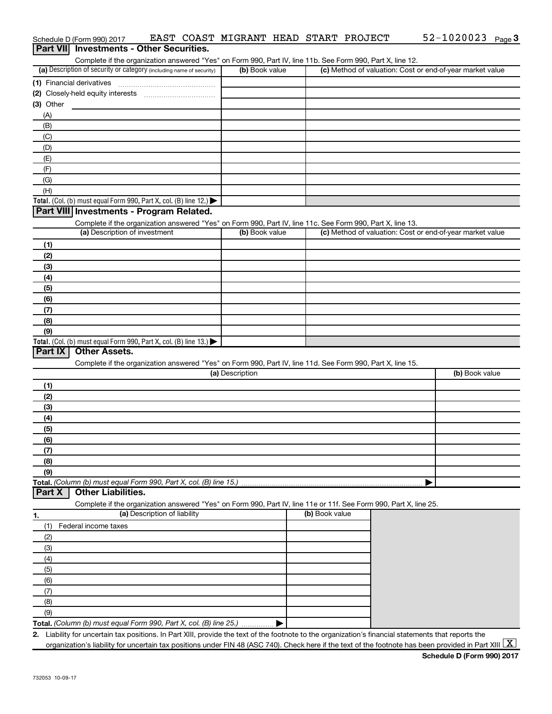| Part VII Investments - Other Securities. |                                                                                                                                                                                    |                 |                |                                                           |
|------------------------------------------|------------------------------------------------------------------------------------------------------------------------------------------------------------------------------------|-----------------|----------------|-----------------------------------------------------------|
|                                          | Complete if the organization answered "Yes" on Form 990, Part IV, line 11b. See Form 990, Part X, line 12.<br>(a) Description of security or category (including name of security) | (b) Book value  |                |                                                           |
|                                          |                                                                                                                                                                                    |                 |                | (c) Method of valuation: Cost or end-of-year market value |
|                                          | (1) Financial derivatives                                                                                                                                                          |                 |                |                                                           |
|                                          |                                                                                                                                                                                    |                 |                |                                                           |
| $(3)$ Other                              |                                                                                                                                                                                    |                 |                |                                                           |
| (A)                                      |                                                                                                                                                                                    |                 |                |                                                           |
| (B)                                      |                                                                                                                                                                                    |                 |                |                                                           |
| (C)                                      |                                                                                                                                                                                    |                 |                |                                                           |
| (D)                                      |                                                                                                                                                                                    |                 |                |                                                           |
| (E)                                      |                                                                                                                                                                                    |                 |                |                                                           |
| (F)                                      |                                                                                                                                                                                    |                 |                |                                                           |
| (G)                                      |                                                                                                                                                                                    |                 |                |                                                           |
| (H)                                      | Total. (Col. (b) must equal Form 990, Part X, col. (B) line 12.)                                                                                                                   |                 |                |                                                           |
|                                          | Part VIII Investments - Program Related.                                                                                                                                           |                 |                |                                                           |
|                                          |                                                                                                                                                                                    |                 |                |                                                           |
|                                          | Complete if the organization answered "Yes" on Form 990, Part IV, line 11c. See Form 990, Part X, line 13.<br>(a) Description of investment                                        | (b) Book value  |                | (c) Method of valuation: Cost or end-of-year market value |
|                                          |                                                                                                                                                                                    |                 |                |                                                           |
| (1)<br>(2)                               |                                                                                                                                                                                    |                 |                |                                                           |
|                                          |                                                                                                                                                                                    |                 |                |                                                           |
| (3)                                      |                                                                                                                                                                                    |                 |                |                                                           |
| (4)                                      |                                                                                                                                                                                    |                 |                |                                                           |
| (5)<br>(6)                               |                                                                                                                                                                                    |                 |                |                                                           |
|                                          |                                                                                                                                                                                    |                 |                |                                                           |
|                                          |                                                                                                                                                                                    |                 |                |                                                           |
| (7)                                      |                                                                                                                                                                                    |                 |                |                                                           |
| (8)                                      |                                                                                                                                                                                    |                 |                |                                                           |
| (9)                                      |                                                                                                                                                                                    |                 |                |                                                           |
|                                          | Total. (Col. (b) must equal Form 990, Part X, col. (B) line 13.)                                                                                                                   |                 |                |                                                           |
| <b>Part IX</b>                           | <b>Other Assets.</b>                                                                                                                                                               |                 |                |                                                           |
|                                          | Complete if the organization answered "Yes" on Form 990, Part IV, line 11d. See Form 990, Part X, line 15.                                                                         | (a) Description |                | (b) Book value                                            |
|                                          |                                                                                                                                                                                    |                 |                |                                                           |
| (1)                                      |                                                                                                                                                                                    |                 |                |                                                           |
| (2)                                      |                                                                                                                                                                                    |                 |                |                                                           |
| (3)                                      |                                                                                                                                                                                    |                 |                |                                                           |
| (4)                                      |                                                                                                                                                                                    |                 |                |                                                           |
| (5)                                      |                                                                                                                                                                                    |                 |                |                                                           |
| (6)                                      |                                                                                                                                                                                    |                 |                |                                                           |
| (7)<br>(8)                               |                                                                                                                                                                                    |                 |                |                                                           |
| (9)                                      |                                                                                                                                                                                    |                 |                |                                                           |
|                                          | Total. (Column (b) must equal Form 990, Part X, col. (B) line 15.)                                                                                                                 |                 |                |                                                           |
|                                          | <b>Other Liabilities.</b>                                                                                                                                                          |                 |                |                                                           |
|                                          | Complete if the organization answered "Yes" on Form 990, Part IV, line 11e or 11f. See Form 990, Part X, line 25.                                                                  |                 |                |                                                           |
|                                          | (a) Description of liability                                                                                                                                                       |                 | (b) Book value |                                                           |
| (1)                                      | Federal income taxes                                                                                                                                                               |                 |                |                                                           |
| (2)                                      |                                                                                                                                                                                    |                 |                |                                                           |
| (3)                                      |                                                                                                                                                                                    |                 |                |                                                           |
| (4)                                      |                                                                                                                                                                                    |                 |                |                                                           |
| (5)                                      |                                                                                                                                                                                    |                 |                |                                                           |
| (6)                                      |                                                                                                                                                                                    |                 |                |                                                           |
| (7)                                      |                                                                                                                                                                                    |                 |                |                                                           |
| Part X<br>(8)                            |                                                                                                                                                                                    |                 |                |                                                           |
| (9)                                      |                                                                                                                                                                                    |                 |                |                                                           |

Schedule D (Form 990) 2017 EAST COAST MIGRANT HEAD START PROJECT 52-1020023 Page

52-1020023 Page 3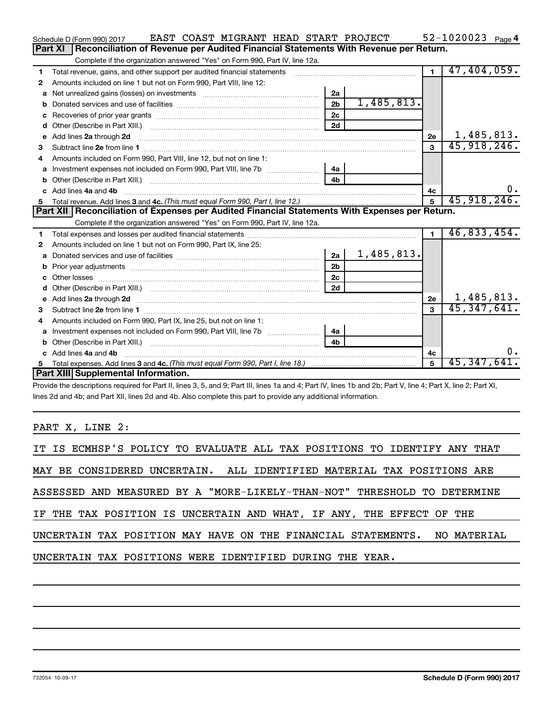|    | EAST COAST MIGRANT HEAD START PROJECT<br>Schedule D (Form 990) 2017                                                                                                                                                            |                |            |                | $52 - 1020023$ Page 4 |
|----|--------------------------------------------------------------------------------------------------------------------------------------------------------------------------------------------------------------------------------|----------------|------------|----------------|-----------------------|
|    | Part XI<br>Reconciliation of Revenue per Audited Financial Statements With Revenue per Return.                                                                                                                                 |                |            |                |                       |
|    | Complete if the organization answered "Yes" on Form 990, Part IV, line 12a.                                                                                                                                                    |                |            |                |                       |
| 1  | Total revenue, gains, and other support per audited financial statements                                                                                                                                                       |                |            | $\blacksquare$ | 47,404,059.           |
| 2  | Amounts included on line 1 but not on Form 990, Part VIII, line 12:                                                                                                                                                            |                |            |                |                       |
| a  |                                                                                                                                                                                                                                | 2a             |            |                |                       |
|    |                                                                                                                                                                                                                                | 2 <sub>b</sub> | 1,485,813. |                |                       |
|    |                                                                                                                                                                                                                                | 2c             |            |                |                       |
| d  |                                                                                                                                                                                                                                | 2d             |            |                |                       |
| e  | Add lines 2a through 2d                                                                                                                                                                                                        |                |            | 2e             | 1,485,813.            |
| 3  |                                                                                                                                                                                                                                |                |            | $\mathbf{3}$   | 45,918,246.           |
| 4  | Amounts included on Form 990. Part VIII. line 12, but not on line 1:                                                                                                                                                           |                |            |                |                       |
|    | Investment expenses not included on Form 990, Part VIII, line 7b [14a]                                                                                                                                                         |                |            |                |                       |
|    |                                                                                                                                                                                                                                | 4 <sub>b</sub> |            |                |                       |
| c. | Add lines 4a and 4b                                                                                                                                                                                                            |                |            | 4с             |                       |
|    |                                                                                                                                                                                                                                |                |            | $\overline{5}$ | 45,918,246.           |
|    |                                                                                                                                                                                                                                |                |            |                |                       |
|    | Part XII Reconciliation of Expenses per Audited Financial Statements With Expenses per Return.                                                                                                                                 |                |            |                |                       |
|    | Complete if the organization answered "Yes" on Form 990, Part IV, line 12a.                                                                                                                                                    |                |            |                |                       |
| 1  |                                                                                                                                                                                                                                |                |            | $\blacksquare$ | 46,833,454.           |
| 2  | Amounts included on line 1 but not on Form 990, Part IX, line 25:                                                                                                                                                              |                |            |                |                       |
| a  |                                                                                                                                                                                                                                | 2a             | 1,485,813. |                |                       |
| b  |                                                                                                                                                                                                                                | 2 <sub>b</sub> |            |                |                       |
|    |                                                                                                                                                                                                                                | 2 <sub>c</sub> |            |                |                       |
| d  |                                                                                                                                                                                                                                | 2d             |            |                |                       |
|    | e Add lines 2a through 2d [11] manual contract and a set of the contract of the contract of the contract of the contract of the contract of the contract of the contract of the contract of the contract of the contract of th |                |            | 2e             | 1,485,813.            |
| з  |                                                                                                                                                                                                                                |                |            | $\mathbf{a}$   | 45,347,641.           |
| 4  | Amounts included on Form 990, Part IX, line 25, but not on line 1:                                                                                                                                                             |                |            |                |                       |
| a  |                                                                                                                                                                                                                                | 4a             |            |                |                       |
|    |                                                                                                                                                                                                                                | 4 <sub>b</sub> |            |                |                       |
|    | c Add lines 4a and 4b                                                                                                                                                                                                          |                |            | 4c             | υ.                    |
|    | Part XIII Supplemental Information.                                                                                                                                                                                            |                |            | 5              | 45,347,641.           |

Provide the descriptions required for Part II, lines 3, 5, and 9; Part III, lines 1a and 4; Part IV, lines 1b and 2b; Part V, line 4; Part X, line 2; Part XI, lines 2d and 4b; and Part XII, lines 2d and 4b. Also complete this part to provide any additional information.

PART X, LINE 2:

|  |  |  |  |                                                                        |  |  |  |  |  | IT IS ECMHSP'S POLICY TO EVALUATE ALL TAX POSITIONS TO IDENTIFY ANY THAT |  |
|--|--|--|--|------------------------------------------------------------------------|--|--|--|--|--|--------------------------------------------------------------------------|--|
|  |  |  |  | MAY BE CONSIDERED UNCERTAIN. ALL IDENTIFIED MATERIAL TAX POSITIONS ARE |  |  |  |  |  |                                                                          |  |
|  |  |  |  |                                                                        |  |  |  |  |  | ASSESSED AND MEASURED BY A "MORE-LIKELY-THAN-NOT" THRESHOLD TO DETERMINE |  |
|  |  |  |  | IF THE TAX POSITION IS UNCERTAIN AND WHAT, IF ANY, THE EFFECT OF THE   |  |  |  |  |  |                                                                          |  |
|  |  |  |  |                                                                        |  |  |  |  |  | UNCERTAIN TAX POSITION MAY HAVE ON THE FINANCIAL STATEMENTS. NO MATERIAL |  |
|  |  |  |  | UNCERTAIN TAX POSITIONS WERE IDENTIFIED DURING THE YEAR.               |  |  |  |  |  |                                                                          |  |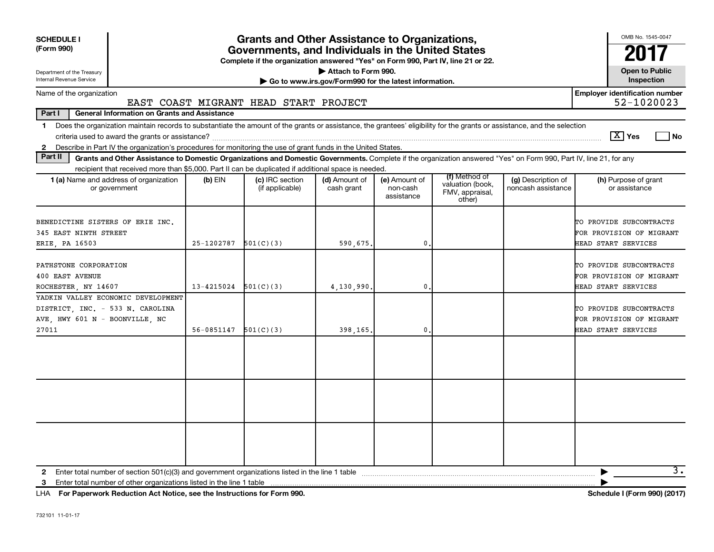| <b>SCHEDULE I</b><br>(Form 990)<br>Department of the Treasury<br>Internal Revenue Service                                                                                                                                                                                                                  |            | Grants and Other Assistance to Organizations,<br>Governments, and Individuals in the United States<br>Complete if the organization answered "Yes" on Form 990, Part IV, line 21 or 22. | Attach to Form 990.                                   |                                         |                                                                            |                                          | OMB No. 1545-0047<br>201<br><b>Open to Public</b><br>Inspection            |
|------------------------------------------------------------------------------------------------------------------------------------------------------------------------------------------------------------------------------------------------------------------------------------------------------------|------------|----------------------------------------------------------------------------------------------------------------------------------------------------------------------------------------|-------------------------------------------------------|-----------------------------------------|----------------------------------------------------------------------------|------------------------------------------|----------------------------------------------------------------------------|
|                                                                                                                                                                                                                                                                                                            |            |                                                                                                                                                                                        | Go to www.irs.gov/Form990 for the latest information. |                                         |                                                                            |                                          |                                                                            |
| Name of the organization                                                                                                                                                                                                                                                                                   |            | EAST COAST MIGRANT HEAD START PROJECT                                                                                                                                                  |                                                       |                                         |                                                                            |                                          | <b>Employer identification number</b><br>52-1020023                        |
| Part I<br><b>General Information on Grants and Assistance</b>                                                                                                                                                                                                                                              |            |                                                                                                                                                                                        |                                                       |                                         |                                                                            |                                          |                                                                            |
| Does the organization maintain records to substantiate the amount of the grants or assistance, the grantees' eligibility for the grants or assistance, and the selection<br>$\mathbf 1$<br>2 Describe in Part IV the organization's procedures for monitoring the use of grant funds in the United States. |            |                                                                                                                                                                                        |                                                       |                                         |                                                                            |                                          | $ \mathbf{X} $ Yes<br>l No                                                 |
| Part II<br>Grants and Other Assistance to Domestic Organizations and Domestic Governments. Complete if the organization answered "Yes" on Form 990, Part IV, line 21, for any                                                                                                                              |            |                                                                                                                                                                                        |                                                       |                                         |                                                                            |                                          |                                                                            |
| recipient that received more than \$5,000. Part II can be duplicated if additional space is needed.                                                                                                                                                                                                        |            |                                                                                                                                                                                        |                                                       |                                         |                                                                            |                                          |                                                                            |
| 1 (a) Name and address of organization<br>or government                                                                                                                                                                                                                                                    | $(b)$ EIN  | (c) IRC section<br>(if applicable)                                                                                                                                                     | (d) Amount of<br>cash grant                           | (e) Amount of<br>non-cash<br>assistance | (f) Method of<br>valuation (book,<br>FMV, appraisal,<br>other)             | (g) Description of<br>noncash assistance | (h) Purpose of grant<br>or assistance                                      |
| BENEDICTINE SISTERS OF ERIE INC.<br>345 EAST NINTH STREET<br>ERIE, PA 16503                                                                                                                                                                                                                                | 25-1202787 | 501(C)(3)                                                                                                                                                                              | 590,675.<br>$\mathbf 0$ .                             |                                         | TO PROVIDE SUBCONTRACTS<br>FOR PROVISION OF MIGRANT<br>HEAD START SERVICES |                                          |                                                                            |
| PATHSTONE CORPORATION<br><b>400 EAST AVENUE</b><br>ROCHESTER, NY 14607                                                                                                                                                                                                                                     | 13-4215024 | 501(C)(3)                                                                                                                                                                              | 4,130,990.                                            | $\mathbf{0}$                            |                                                                            |                                          | TO PROVIDE SUBCONTRACTS<br>FOR PROVISION OF MIGRANT<br>HEAD START SERVICES |
| YADKIN VALLEY ECONOMIC DEVELOPMENT<br>DISTRICT, INC. - 533 N. CAROLINA<br>AVE, HWY 601 N - BOONVILLE, NC                                                                                                                                                                                                   |            |                                                                                                                                                                                        |                                                       |                                         |                                                                            |                                          | TO PROVIDE SUBCONTRACTS<br>FOR PROVISION OF MIGRANT                        |
| 27011                                                                                                                                                                                                                                                                                                      | 56-0851147 | 501(C)(3)                                                                                                                                                                              | 398,165.                                              | $\mathbf 0$ .                           |                                                                            |                                          | HEAD START SERVICES                                                        |
|                                                                                                                                                                                                                                                                                                            |            |                                                                                                                                                                                        |                                                       |                                         |                                                                            |                                          |                                                                            |
|                                                                                                                                                                                                                                                                                                            |            |                                                                                                                                                                                        |                                                       |                                         |                                                                            |                                          |                                                                            |
| Enter total number of section 501(c)(3) and government organizations listed in the line 1 table<br>2<br>Enter total number of other organizations listed in the line 1 table<br>3                                                                                                                          |            |                                                                                                                                                                                        |                                                       |                                         |                                                                            |                                          | $\overline{3}$ .                                                           |

**For Paperwork Reduction Act Notice, see the Instructions for Form 990. Schedule I (Form 990) (2017)** LHA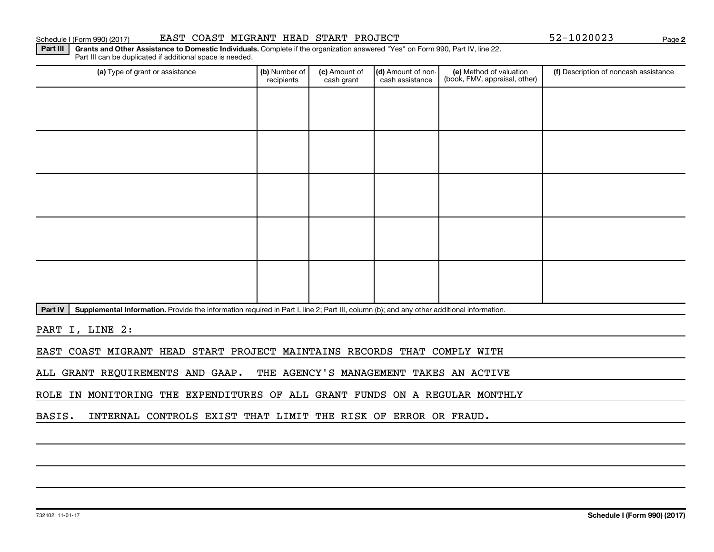## Schedule I (Form 990) (2017) BAST COAST MIGRANT HEAD START PROJECT 52-1020023 Page

**2**

Part III | Grants and Other Assistance to Domestic Individuals. Complete if the organization answered "Yes" on Form 990, Part IV, line 22. Part III can be duplicated if additional space is needed.

| (a) Type of grant or assistance | (b) Number of<br>recipients | (c) Amount of<br>cash grant | (d) Amount of non-<br>cash assistance | (e) Method of valuation<br>(book, FMV, appraisal, other) | (f) Description of noncash assistance |
|---------------------------------|-----------------------------|-----------------------------|---------------------------------------|----------------------------------------------------------|---------------------------------------|
|                                 |                             |                             |                                       |                                                          |                                       |
|                                 |                             |                             |                                       |                                                          |                                       |
|                                 |                             |                             |                                       |                                                          |                                       |
|                                 |                             |                             |                                       |                                                          |                                       |
|                                 |                             |                             |                                       |                                                          |                                       |
|                                 |                             |                             |                                       |                                                          |                                       |
|                                 |                             |                             |                                       |                                                          |                                       |
|                                 |                             |                             |                                       |                                                          |                                       |
|                                 |                             |                             |                                       |                                                          |                                       |
|                                 |                             |                             |                                       |                                                          |                                       |

Part IV | Supplemental Information. Provide the information required in Part I, line 2; Part III, column (b); and any other additional information.

PART I, LINE 2:

EAST COAST MIGRANT HEAD START PROJECT MAINTAINS RECORDS THAT COMPLY WITH

ALL GRANT REQUIREMENTS AND GAAP. THE AGENCY'S MANAGEMENT TAKES AN ACTIVE

ROLE IN MONITORING THE EXPENDITURES OF ALL GRANT FUNDS ON A REGULAR MONTHLY

BASIS. INTERNAL CONTROLS EXIST THAT LIMIT THE RISK OF ERROR OR FRAUD.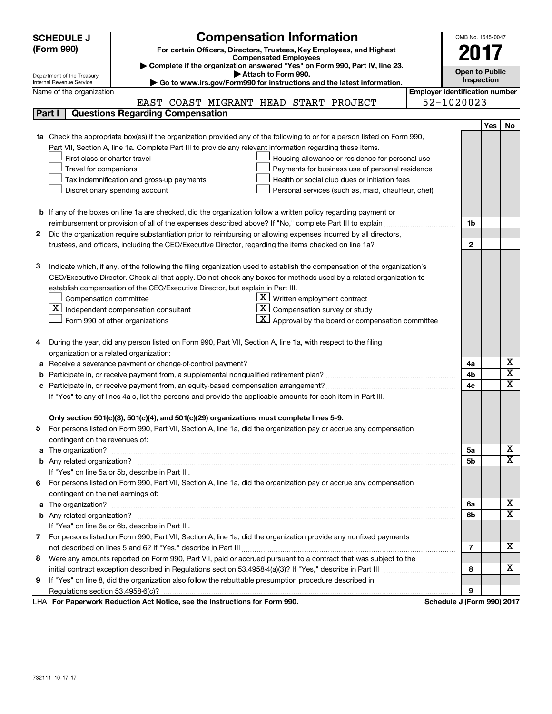| (Form 990)<br>For certain Officers, Directors, Trustees, Key Employees, and Highest<br><b>Compensated Employees</b><br>Complete if the organization answered "Yes" on Form 990, Part IV, line 23.<br><b>Open to Public</b><br>Attach to Form 990.<br>Department of the Treasury<br>Inspection<br>Internal Revenue Service<br>Go to www.irs.gov/Form990 for instructions and the latest information.<br><b>Employer identification number</b><br>Name of the organization<br>52-1020023<br>EAST COAST MIGRANT HEAD START PROJECT<br><b>Questions Regarding Compensation</b><br>Part I<br>Yes<br>No.<br>Check the appropriate box(es) if the organization provided any of the following to or for a person listed on Form 990,<br>1a<br>Part VII, Section A, line 1a. Complete Part III to provide any relevant information regarding these items.<br>First-class or charter travel<br>Housing allowance or residence for personal use<br>Travel for companions<br>Payments for business use of personal residence<br>Tax indemnification and gross-up payments<br>Health or social club dues or initiation fees<br>Discretionary spending account<br>Personal services (such as, maid, chauffeur, chef)<br><b>b</b> If any of the boxes on line 1a are checked, did the organization follow a written policy regarding payment or<br>1b<br>Did the organization require substantiation prior to reimbursing or allowing expenses incurred by all directors,<br>2<br>$\mathbf{2}$<br>Indicate which, if any, of the following the filing organization used to establish the compensation of the organization's<br>3<br>CEO/Executive Director. Check all that apply. Do not check any boxes for methods used by a related organization to<br>establish compensation of the CEO/Executive Director, but explain in Part III.<br>$\underline{\mathbf{X}}$ Written employment contract<br>Compensation committee<br>$\lfloor \underline{x} \rfloor$ Independent compensation consultant<br>$ \mathbf{X} $ Compensation survey or study<br>$\underline{\textbf{X}}$ Approval by the board or compensation committee<br>Form 990 of other organizations<br>During the year, did any person listed on Form 990, Part VII, Section A, line 1a, with respect to the filing<br>4<br>organization or a related organization:<br>х<br>Receive a severance payment or change-of-control payment?<br>4a<br>а<br>$\overline{\textbf{x}}$<br>4b<br>b<br>$\overline{\text{x}}$<br>4c<br>с<br>If "Yes" to any of lines 4a-c, list the persons and provide the applicable amounts for each item in Part III.<br>Only section 501(c)(3), 501(c)(4), and 501(c)(29) organizations must complete lines 5-9.<br>For persons listed on Form 990, Part VII, Section A, line 1a, did the organization pay or accrue any compensation<br>contingent on the revenues of:<br>X.<br>5а<br>X<br>5b<br>If "Yes" on line 5a or 5b, describe in Part III.<br>For persons listed on Form 990, Part VII, Section A, line 1a, did the organization pay or accrue any compensation<br>6.<br>contingent on the net earnings of:<br>x<br>6a<br>$\overline{\texttt{x}}$<br>6b<br>If "Yes" on line 6a or 6b, describe in Part III.<br>7 For persons listed on Form 990, Part VII, Section A, line 1a, did the organization provide any nonfixed payments<br>x.<br>7<br>Were any amounts reported on Form 990, Part VII, paid or accrued pursuant to a contract that was subject to the<br>8<br>x.<br>8<br>If "Yes" on line 8, did the organization also follow the rebuttable presumption procedure described in<br>9<br>9<br>LHA For Paperwork Reduction Act Notice, see the Instructions for Form 990.<br>Schedule J (Form 990) 2017 | <b>Compensation Information</b><br><b>SCHEDULE J</b> |  |  | OMB No. 1545-0047 |  |
|---------------------------------------------------------------------------------------------------------------------------------------------------------------------------------------------------------------------------------------------------------------------------------------------------------------------------------------------------------------------------------------------------------------------------------------------------------------------------------------------------------------------------------------------------------------------------------------------------------------------------------------------------------------------------------------------------------------------------------------------------------------------------------------------------------------------------------------------------------------------------------------------------------------------------------------------------------------------------------------------------------------------------------------------------------------------------------------------------------------------------------------------------------------------------------------------------------------------------------------------------------------------------------------------------------------------------------------------------------------------------------------------------------------------------------------------------------------------------------------------------------------------------------------------------------------------------------------------------------------------------------------------------------------------------------------------------------------------------------------------------------------------------------------------------------------------------------------------------------------------------------------------------------------------------------------------------------------------------------------------------------------------------------------------------------------------------------------------------------------------------------------------------------------------------------------------------------------------------------------------------------------------------------------------------------------------------------------------------------------------------------------------------------------------------------------------------------------------------------------------------------------------------------------------------------------------------------------------------------------------------------------------------------------------------------------------------------------------------------------------------------------------------------------------------------------------------------------------------------------------------------------------------------------------------------------------------------------------------------------------------------------------------------------------------------------------------------------------------------------------------------------------------------------------------------------------------------------------------------------------------------------------------------------------------------------------------------------------------------------------------------------------------------------------------------------------------------------------------------------------------------------------------------------------------------------------------------------------------------------------------------------------------------------------------------------------|------------------------------------------------------|--|--|-------------------|--|
|                                                                                                                                                                                                                                                                                                                                                                                                                                                                                                                                                                                                                                                                                                                                                                                                                                                                                                                                                                                                                                                                                                                                                                                                                                                                                                                                                                                                                                                                                                                                                                                                                                                                                                                                                                                                                                                                                                                                                                                                                                                                                                                                                                                                                                                                                                                                                                                                                                                                                                                                                                                                                                                                                                                                                                                                                                                                                                                                                                                                                                                                                                                                                                                                                                                                                                                                                                                                                                                                                                                                                                                                                                                                                             |                                                      |  |  |                   |  |
|                                                                                                                                                                                                                                                                                                                                                                                                                                                                                                                                                                                                                                                                                                                                                                                                                                                                                                                                                                                                                                                                                                                                                                                                                                                                                                                                                                                                                                                                                                                                                                                                                                                                                                                                                                                                                                                                                                                                                                                                                                                                                                                                                                                                                                                                                                                                                                                                                                                                                                                                                                                                                                                                                                                                                                                                                                                                                                                                                                                                                                                                                                                                                                                                                                                                                                                                                                                                                                                                                                                                                                                                                                                                                             |                                                      |  |  |                   |  |
|                                                                                                                                                                                                                                                                                                                                                                                                                                                                                                                                                                                                                                                                                                                                                                                                                                                                                                                                                                                                                                                                                                                                                                                                                                                                                                                                                                                                                                                                                                                                                                                                                                                                                                                                                                                                                                                                                                                                                                                                                                                                                                                                                                                                                                                                                                                                                                                                                                                                                                                                                                                                                                                                                                                                                                                                                                                                                                                                                                                                                                                                                                                                                                                                                                                                                                                                                                                                                                                                                                                                                                                                                                                                                             |                                                      |  |  |                   |  |
|                                                                                                                                                                                                                                                                                                                                                                                                                                                                                                                                                                                                                                                                                                                                                                                                                                                                                                                                                                                                                                                                                                                                                                                                                                                                                                                                                                                                                                                                                                                                                                                                                                                                                                                                                                                                                                                                                                                                                                                                                                                                                                                                                                                                                                                                                                                                                                                                                                                                                                                                                                                                                                                                                                                                                                                                                                                                                                                                                                                                                                                                                                                                                                                                                                                                                                                                                                                                                                                                                                                                                                                                                                                                                             |                                                      |  |  |                   |  |
|                                                                                                                                                                                                                                                                                                                                                                                                                                                                                                                                                                                                                                                                                                                                                                                                                                                                                                                                                                                                                                                                                                                                                                                                                                                                                                                                                                                                                                                                                                                                                                                                                                                                                                                                                                                                                                                                                                                                                                                                                                                                                                                                                                                                                                                                                                                                                                                                                                                                                                                                                                                                                                                                                                                                                                                                                                                                                                                                                                                                                                                                                                                                                                                                                                                                                                                                                                                                                                                                                                                                                                                                                                                                                             |                                                      |  |  |                   |  |
|                                                                                                                                                                                                                                                                                                                                                                                                                                                                                                                                                                                                                                                                                                                                                                                                                                                                                                                                                                                                                                                                                                                                                                                                                                                                                                                                                                                                                                                                                                                                                                                                                                                                                                                                                                                                                                                                                                                                                                                                                                                                                                                                                                                                                                                                                                                                                                                                                                                                                                                                                                                                                                                                                                                                                                                                                                                                                                                                                                                                                                                                                                                                                                                                                                                                                                                                                                                                                                                                                                                                                                                                                                                                                             |                                                      |  |  |                   |  |
|                                                                                                                                                                                                                                                                                                                                                                                                                                                                                                                                                                                                                                                                                                                                                                                                                                                                                                                                                                                                                                                                                                                                                                                                                                                                                                                                                                                                                                                                                                                                                                                                                                                                                                                                                                                                                                                                                                                                                                                                                                                                                                                                                                                                                                                                                                                                                                                                                                                                                                                                                                                                                                                                                                                                                                                                                                                                                                                                                                                                                                                                                                                                                                                                                                                                                                                                                                                                                                                                                                                                                                                                                                                                                             |                                                      |  |  |                   |  |
|                                                                                                                                                                                                                                                                                                                                                                                                                                                                                                                                                                                                                                                                                                                                                                                                                                                                                                                                                                                                                                                                                                                                                                                                                                                                                                                                                                                                                                                                                                                                                                                                                                                                                                                                                                                                                                                                                                                                                                                                                                                                                                                                                                                                                                                                                                                                                                                                                                                                                                                                                                                                                                                                                                                                                                                                                                                                                                                                                                                                                                                                                                                                                                                                                                                                                                                                                                                                                                                                                                                                                                                                                                                                                             |                                                      |  |  |                   |  |
|                                                                                                                                                                                                                                                                                                                                                                                                                                                                                                                                                                                                                                                                                                                                                                                                                                                                                                                                                                                                                                                                                                                                                                                                                                                                                                                                                                                                                                                                                                                                                                                                                                                                                                                                                                                                                                                                                                                                                                                                                                                                                                                                                                                                                                                                                                                                                                                                                                                                                                                                                                                                                                                                                                                                                                                                                                                                                                                                                                                                                                                                                                                                                                                                                                                                                                                                                                                                                                                                                                                                                                                                                                                                                             |                                                      |  |  |                   |  |
|                                                                                                                                                                                                                                                                                                                                                                                                                                                                                                                                                                                                                                                                                                                                                                                                                                                                                                                                                                                                                                                                                                                                                                                                                                                                                                                                                                                                                                                                                                                                                                                                                                                                                                                                                                                                                                                                                                                                                                                                                                                                                                                                                                                                                                                                                                                                                                                                                                                                                                                                                                                                                                                                                                                                                                                                                                                                                                                                                                                                                                                                                                                                                                                                                                                                                                                                                                                                                                                                                                                                                                                                                                                                                             |                                                      |  |  |                   |  |
|                                                                                                                                                                                                                                                                                                                                                                                                                                                                                                                                                                                                                                                                                                                                                                                                                                                                                                                                                                                                                                                                                                                                                                                                                                                                                                                                                                                                                                                                                                                                                                                                                                                                                                                                                                                                                                                                                                                                                                                                                                                                                                                                                                                                                                                                                                                                                                                                                                                                                                                                                                                                                                                                                                                                                                                                                                                                                                                                                                                                                                                                                                                                                                                                                                                                                                                                                                                                                                                                                                                                                                                                                                                                                             |                                                      |  |  |                   |  |
|                                                                                                                                                                                                                                                                                                                                                                                                                                                                                                                                                                                                                                                                                                                                                                                                                                                                                                                                                                                                                                                                                                                                                                                                                                                                                                                                                                                                                                                                                                                                                                                                                                                                                                                                                                                                                                                                                                                                                                                                                                                                                                                                                                                                                                                                                                                                                                                                                                                                                                                                                                                                                                                                                                                                                                                                                                                                                                                                                                                                                                                                                                                                                                                                                                                                                                                                                                                                                                                                                                                                                                                                                                                                                             |                                                      |  |  |                   |  |
|                                                                                                                                                                                                                                                                                                                                                                                                                                                                                                                                                                                                                                                                                                                                                                                                                                                                                                                                                                                                                                                                                                                                                                                                                                                                                                                                                                                                                                                                                                                                                                                                                                                                                                                                                                                                                                                                                                                                                                                                                                                                                                                                                                                                                                                                                                                                                                                                                                                                                                                                                                                                                                                                                                                                                                                                                                                                                                                                                                                                                                                                                                                                                                                                                                                                                                                                                                                                                                                                                                                                                                                                                                                                                             |                                                      |  |  |                   |  |
|                                                                                                                                                                                                                                                                                                                                                                                                                                                                                                                                                                                                                                                                                                                                                                                                                                                                                                                                                                                                                                                                                                                                                                                                                                                                                                                                                                                                                                                                                                                                                                                                                                                                                                                                                                                                                                                                                                                                                                                                                                                                                                                                                                                                                                                                                                                                                                                                                                                                                                                                                                                                                                                                                                                                                                                                                                                                                                                                                                                                                                                                                                                                                                                                                                                                                                                                                                                                                                                                                                                                                                                                                                                                                             |                                                      |  |  |                   |  |
|                                                                                                                                                                                                                                                                                                                                                                                                                                                                                                                                                                                                                                                                                                                                                                                                                                                                                                                                                                                                                                                                                                                                                                                                                                                                                                                                                                                                                                                                                                                                                                                                                                                                                                                                                                                                                                                                                                                                                                                                                                                                                                                                                                                                                                                                                                                                                                                                                                                                                                                                                                                                                                                                                                                                                                                                                                                                                                                                                                                                                                                                                                                                                                                                                                                                                                                                                                                                                                                                                                                                                                                                                                                                                             |                                                      |  |  |                   |  |
|                                                                                                                                                                                                                                                                                                                                                                                                                                                                                                                                                                                                                                                                                                                                                                                                                                                                                                                                                                                                                                                                                                                                                                                                                                                                                                                                                                                                                                                                                                                                                                                                                                                                                                                                                                                                                                                                                                                                                                                                                                                                                                                                                                                                                                                                                                                                                                                                                                                                                                                                                                                                                                                                                                                                                                                                                                                                                                                                                                                                                                                                                                                                                                                                                                                                                                                                                                                                                                                                                                                                                                                                                                                                                             |                                                      |  |  |                   |  |
|                                                                                                                                                                                                                                                                                                                                                                                                                                                                                                                                                                                                                                                                                                                                                                                                                                                                                                                                                                                                                                                                                                                                                                                                                                                                                                                                                                                                                                                                                                                                                                                                                                                                                                                                                                                                                                                                                                                                                                                                                                                                                                                                                                                                                                                                                                                                                                                                                                                                                                                                                                                                                                                                                                                                                                                                                                                                                                                                                                                                                                                                                                                                                                                                                                                                                                                                                                                                                                                                                                                                                                                                                                                                                             |                                                      |  |  |                   |  |
|                                                                                                                                                                                                                                                                                                                                                                                                                                                                                                                                                                                                                                                                                                                                                                                                                                                                                                                                                                                                                                                                                                                                                                                                                                                                                                                                                                                                                                                                                                                                                                                                                                                                                                                                                                                                                                                                                                                                                                                                                                                                                                                                                                                                                                                                                                                                                                                                                                                                                                                                                                                                                                                                                                                                                                                                                                                                                                                                                                                                                                                                                                                                                                                                                                                                                                                                                                                                                                                                                                                                                                                                                                                                                             |                                                      |  |  |                   |  |
|                                                                                                                                                                                                                                                                                                                                                                                                                                                                                                                                                                                                                                                                                                                                                                                                                                                                                                                                                                                                                                                                                                                                                                                                                                                                                                                                                                                                                                                                                                                                                                                                                                                                                                                                                                                                                                                                                                                                                                                                                                                                                                                                                                                                                                                                                                                                                                                                                                                                                                                                                                                                                                                                                                                                                                                                                                                                                                                                                                                                                                                                                                                                                                                                                                                                                                                                                                                                                                                                                                                                                                                                                                                                                             |                                                      |  |  |                   |  |
|                                                                                                                                                                                                                                                                                                                                                                                                                                                                                                                                                                                                                                                                                                                                                                                                                                                                                                                                                                                                                                                                                                                                                                                                                                                                                                                                                                                                                                                                                                                                                                                                                                                                                                                                                                                                                                                                                                                                                                                                                                                                                                                                                                                                                                                                                                                                                                                                                                                                                                                                                                                                                                                                                                                                                                                                                                                                                                                                                                                                                                                                                                                                                                                                                                                                                                                                                                                                                                                                                                                                                                                                                                                                                             |                                                      |  |  |                   |  |
|                                                                                                                                                                                                                                                                                                                                                                                                                                                                                                                                                                                                                                                                                                                                                                                                                                                                                                                                                                                                                                                                                                                                                                                                                                                                                                                                                                                                                                                                                                                                                                                                                                                                                                                                                                                                                                                                                                                                                                                                                                                                                                                                                                                                                                                                                                                                                                                                                                                                                                                                                                                                                                                                                                                                                                                                                                                                                                                                                                                                                                                                                                                                                                                                                                                                                                                                                                                                                                                                                                                                                                                                                                                                                             |                                                      |  |  |                   |  |
|                                                                                                                                                                                                                                                                                                                                                                                                                                                                                                                                                                                                                                                                                                                                                                                                                                                                                                                                                                                                                                                                                                                                                                                                                                                                                                                                                                                                                                                                                                                                                                                                                                                                                                                                                                                                                                                                                                                                                                                                                                                                                                                                                                                                                                                                                                                                                                                                                                                                                                                                                                                                                                                                                                                                                                                                                                                                                                                                                                                                                                                                                                                                                                                                                                                                                                                                                                                                                                                                                                                                                                                                                                                                                             |                                                      |  |  |                   |  |
|                                                                                                                                                                                                                                                                                                                                                                                                                                                                                                                                                                                                                                                                                                                                                                                                                                                                                                                                                                                                                                                                                                                                                                                                                                                                                                                                                                                                                                                                                                                                                                                                                                                                                                                                                                                                                                                                                                                                                                                                                                                                                                                                                                                                                                                                                                                                                                                                                                                                                                                                                                                                                                                                                                                                                                                                                                                                                                                                                                                                                                                                                                                                                                                                                                                                                                                                                                                                                                                                                                                                                                                                                                                                                             |                                                      |  |  |                   |  |
|                                                                                                                                                                                                                                                                                                                                                                                                                                                                                                                                                                                                                                                                                                                                                                                                                                                                                                                                                                                                                                                                                                                                                                                                                                                                                                                                                                                                                                                                                                                                                                                                                                                                                                                                                                                                                                                                                                                                                                                                                                                                                                                                                                                                                                                                                                                                                                                                                                                                                                                                                                                                                                                                                                                                                                                                                                                                                                                                                                                                                                                                                                                                                                                                                                                                                                                                                                                                                                                                                                                                                                                                                                                                                             |                                                      |  |  |                   |  |
|                                                                                                                                                                                                                                                                                                                                                                                                                                                                                                                                                                                                                                                                                                                                                                                                                                                                                                                                                                                                                                                                                                                                                                                                                                                                                                                                                                                                                                                                                                                                                                                                                                                                                                                                                                                                                                                                                                                                                                                                                                                                                                                                                                                                                                                                                                                                                                                                                                                                                                                                                                                                                                                                                                                                                                                                                                                                                                                                                                                                                                                                                                                                                                                                                                                                                                                                                                                                                                                                                                                                                                                                                                                                                             |                                                      |  |  |                   |  |
|                                                                                                                                                                                                                                                                                                                                                                                                                                                                                                                                                                                                                                                                                                                                                                                                                                                                                                                                                                                                                                                                                                                                                                                                                                                                                                                                                                                                                                                                                                                                                                                                                                                                                                                                                                                                                                                                                                                                                                                                                                                                                                                                                                                                                                                                                                                                                                                                                                                                                                                                                                                                                                                                                                                                                                                                                                                                                                                                                                                                                                                                                                                                                                                                                                                                                                                                                                                                                                                                                                                                                                                                                                                                                             |                                                      |  |  |                   |  |
|                                                                                                                                                                                                                                                                                                                                                                                                                                                                                                                                                                                                                                                                                                                                                                                                                                                                                                                                                                                                                                                                                                                                                                                                                                                                                                                                                                                                                                                                                                                                                                                                                                                                                                                                                                                                                                                                                                                                                                                                                                                                                                                                                                                                                                                                                                                                                                                                                                                                                                                                                                                                                                                                                                                                                                                                                                                                                                                                                                                                                                                                                                                                                                                                                                                                                                                                                                                                                                                                                                                                                                                                                                                                                             |                                                      |  |  |                   |  |
|                                                                                                                                                                                                                                                                                                                                                                                                                                                                                                                                                                                                                                                                                                                                                                                                                                                                                                                                                                                                                                                                                                                                                                                                                                                                                                                                                                                                                                                                                                                                                                                                                                                                                                                                                                                                                                                                                                                                                                                                                                                                                                                                                                                                                                                                                                                                                                                                                                                                                                                                                                                                                                                                                                                                                                                                                                                                                                                                                                                                                                                                                                                                                                                                                                                                                                                                                                                                                                                                                                                                                                                                                                                                                             |                                                      |  |  |                   |  |
|                                                                                                                                                                                                                                                                                                                                                                                                                                                                                                                                                                                                                                                                                                                                                                                                                                                                                                                                                                                                                                                                                                                                                                                                                                                                                                                                                                                                                                                                                                                                                                                                                                                                                                                                                                                                                                                                                                                                                                                                                                                                                                                                                                                                                                                                                                                                                                                                                                                                                                                                                                                                                                                                                                                                                                                                                                                                                                                                                                                                                                                                                                                                                                                                                                                                                                                                                                                                                                                                                                                                                                                                                                                                                             |                                                      |  |  |                   |  |
|                                                                                                                                                                                                                                                                                                                                                                                                                                                                                                                                                                                                                                                                                                                                                                                                                                                                                                                                                                                                                                                                                                                                                                                                                                                                                                                                                                                                                                                                                                                                                                                                                                                                                                                                                                                                                                                                                                                                                                                                                                                                                                                                                                                                                                                                                                                                                                                                                                                                                                                                                                                                                                                                                                                                                                                                                                                                                                                                                                                                                                                                                                                                                                                                                                                                                                                                                                                                                                                                                                                                                                                                                                                                                             |                                                      |  |  |                   |  |
|                                                                                                                                                                                                                                                                                                                                                                                                                                                                                                                                                                                                                                                                                                                                                                                                                                                                                                                                                                                                                                                                                                                                                                                                                                                                                                                                                                                                                                                                                                                                                                                                                                                                                                                                                                                                                                                                                                                                                                                                                                                                                                                                                                                                                                                                                                                                                                                                                                                                                                                                                                                                                                                                                                                                                                                                                                                                                                                                                                                                                                                                                                                                                                                                                                                                                                                                                                                                                                                                                                                                                                                                                                                                                             |                                                      |  |  |                   |  |
|                                                                                                                                                                                                                                                                                                                                                                                                                                                                                                                                                                                                                                                                                                                                                                                                                                                                                                                                                                                                                                                                                                                                                                                                                                                                                                                                                                                                                                                                                                                                                                                                                                                                                                                                                                                                                                                                                                                                                                                                                                                                                                                                                                                                                                                                                                                                                                                                                                                                                                                                                                                                                                                                                                                                                                                                                                                                                                                                                                                                                                                                                                                                                                                                                                                                                                                                                                                                                                                                                                                                                                                                                                                                                             |                                                      |  |  |                   |  |
|                                                                                                                                                                                                                                                                                                                                                                                                                                                                                                                                                                                                                                                                                                                                                                                                                                                                                                                                                                                                                                                                                                                                                                                                                                                                                                                                                                                                                                                                                                                                                                                                                                                                                                                                                                                                                                                                                                                                                                                                                                                                                                                                                                                                                                                                                                                                                                                                                                                                                                                                                                                                                                                                                                                                                                                                                                                                                                                                                                                                                                                                                                                                                                                                                                                                                                                                                                                                                                                                                                                                                                                                                                                                                             |                                                      |  |  |                   |  |
|                                                                                                                                                                                                                                                                                                                                                                                                                                                                                                                                                                                                                                                                                                                                                                                                                                                                                                                                                                                                                                                                                                                                                                                                                                                                                                                                                                                                                                                                                                                                                                                                                                                                                                                                                                                                                                                                                                                                                                                                                                                                                                                                                                                                                                                                                                                                                                                                                                                                                                                                                                                                                                                                                                                                                                                                                                                                                                                                                                                                                                                                                                                                                                                                                                                                                                                                                                                                                                                                                                                                                                                                                                                                                             |                                                      |  |  |                   |  |
|                                                                                                                                                                                                                                                                                                                                                                                                                                                                                                                                                                                                                                                                                                                                                                                                                                                                                                                                                                                                                                                                                                                                                                                                                                                                                                                                                                                                                                                                                                                                                                                                                                                                                                                                                                                                                                                                                                                                                                                                                                                                                                                                                                                                                                                                                                                                                                                                                                                                                                                                                                                                                                                                                                                                                                                                                                                                                                                                                                                                                                                                                                                                                                                                                                                                                                                                                                                                                                                                                                                                                                                                                                                                                             |                                                      |  |  |                   |  |
|                                                                                                                                                                                                                                                                                                                                                                                                                                                                                                                                                                                                                                                                                                                                                                                                                                                                                                                                                                                                                                                                                                                                                                                                                                                                                                                                                                                                                                                                                                                                                                                                                                                                                                                                                                                                                                                                                                                                                                                                                                                                                                                                                                                                                                                                                                                                                                                                                                                                                                                                                                                                                                                                                                                                                                                                                                                                                                                                                                                                                                                                                                                                                                                                                                                                                                                                                                                                                                                                                                                                                                                                                                                                                             |                                                      |  |  |                   |  |
|                                                                                                                                                                                                                                                                                                                                                                                                                                                                                                                                                                                                                                                                                                                                                                                                                                                                                                                                                                                                                                                                                                                                                                                                                                                                                                                                                                                                                                                                                                                                                                                                                                                                                                                                                                                                                                                                                                                                                                                                                                                                                                                                                                                                                                                                                                                                                                                                                                                                                                                                                                                                                                                                                                                                                                                                                                                                                                                                                                                                                                                                                                                                                                                                                                                                                                                                                                                                                                                                                                                                                                                                                                                                                             |                                                      |  |  |                   |  |
|                                                                                                                                                                                                                                                                                                                                                                                                                                                                                                                                                                                                                                                                                                                                                                                                                                                                                                                                                                                                                                                                                                                                                                                                                                                                                                                                                                                                                                                                                                                                                                                                                                                                                                                                                                                                                                                                                                                                                                                                                                                                                                                                                                                                                                                                                                                                                                                                                                                                                                                                                                                                                                                                                                                                                                                                                                                                                                                                                                                                                                                                                                                                                                                                                                                                                                                                                                                                                                                                                                                                                                                                                                                                                             |                                                      |  |  |                   |  |
|                                                                                                                                                                                                                                                                                                                                                                                                                                                                                                                                                                                                                                                                                                                                                                                                                                                                                                                                                                                                                                                                                                                                                                                                                                                                                                                                                                                                                                                                                                                                                                                                                                                                                                                                                                                                                                                                                                                                                                                                                                                                                                                                                                                                                                                                                                                                                                                                                                                                                                                                                                                                                                                                                                                                                                                                                                                                                                                                                                                                                                                                                                                                                                                                                                                                                                                                                                                                                                                                                                                                                                                                                                                                                             |                                                      |  |  |                   |  |
|                                                                                                                                                                                                                                                                                                                                                                                                                                                                                                                                                                                                                                                                                                                                                                                                                                                                                                                                                                                                                                                                                                                                                                                                                                                                                                                                                                                                                                                                                                                                                                                                                                                                                                                                                                                                                                                                                                                                                                                                                                                                                                                                                                                                                                                                                                                                                                                                                                                                                                                                                                                                                                                                                                                                                                                                                                                                                                                                                                                                                                                                                                                                                                                                                                                                                                                                                                                                                                                                                                                                                                                                                                                                                             |                                                      |  |  |                   |  |
|                                                                                                                                                                                                                                                                                                                                                                                                                                                                                                                                                                                                                                                                                                                                                                                                                                                                                                                                                                                                                                                                                                                                                                                                                                                                                                                                                                                                                                                                                                                                                                                                                                                                                                                                                                                                                                                                                                                                                                                                                                                                                                                                                                                                                                                                                                                                                                                                                                                                                                                                                                                                                                                                                                                                                                                                                                                                                                                                                                                                                                                                                                                                                                                                                                                                                                                                                                                                                                                                                                                                                                                                                                                                                             |                                                      |  |  |                   |  |
|                                                                                                                                                                                                                                                                                                                                                                                                                                                                                                                                                                                                                                                                                                                                                                                                                                                                                                                                                                                                                                                                                                                                                                                                                                                                                                                                                                                                                                                                                                                                                                                                                                                                                                                                                                                                                                                                                                                                                                                                                                                                                                                                                                                                                                                                                                                                                                                                                                                                                                                                                                                                                                                                                                                                                                                                                                                                                                                                                                                                                                                                                                                                                                                                                                                                                                                                                                                                                                                                                                                                                                                                                                                                                             |                                                      |  |  |                   |  |
|                                                                                                                                                                                                                                                                                                                                                                                                                                                                                                                                                                                                                                                                                                                                                                                                                                                                                                                                                                                                                                                                                                                                                                                                                                                                                                                                                                                                                                                                                                                                                                                                                                                                                                                                                                                                                                                                                                                                                                                                                                                                                                                                                                                                                                                                                                                                                                                                                                                                                                                                                                                                                                                                                                                                                                                                                                                                                                                                                                                                                                                                                                                                                                                                                                                                                                                                                                                                                                                                                                                                                                                                                                                                                             |                                                      |  |  |                   |  |
|                                                                                                                                                                                                                                                                                                                                                                                                                                                                                                                                                                                                                                                                                                                                                                                                                                                                                                                                                                                                                                                                                                                                                                                                                                                                                                                                                                                                                                                                                                                                                                                                                                                                                                                                                                                                                                                                                                                                                                                                                                                                                                                                                                                                                                                                                                                                                                                                                                                                                                                                                                                                                                                                                                                                                                                                                                                                                                                                                                                                                                                                                                                                                                                                                                                                                                                                                                                                                                                                                                                                                                                                                                                                                             |                                                      |  |  |                   |  |
|                                                                                                                                                                                                                                                                                                                                                                                                                                                                                                                                                                                                                                                                                                                                                                                                                                                                                                                                                                                                                                                                                                                                                                                                                                                                                                                                                                                                                                                                                                                                                                                                                                                                                                                                                                                                                                                                                                                                                                                                                                                                                                                                                                                                                                                                                                                                                                                                                                                                                                                                                                                                                                                                                                                                                                                                                                                                                                                                                                                                                                                                                                                                                                                                                                                                                                                                                                                                                                                                                                                                                                                                                                                                                             |                                                      |  |  |                   |  |
|                                                                                                                                                                                                                                                                                                                                                                                                                                                                                                                                                                                                                                                                                                                                                                                                                                                                                                                                                                                                                                                                                                                                                                                                                                                                                                                                                                                                                                                                                                                                                                                                                                                                                                                                                                                                                                                                                                                                                                                                                                                                                                                                                                                                                                                                                                                                                                                                                                                                                                                                                                                                                                                                                                                                                                                                                                                                                                                                                                                                                                                                                                                                                                                                                                                                                                                                                                                                                                                                                                                                                                                                                                                                                             |                                                      |  |  |                   |  |
|                                                                                                                                                                                                                                                                                                                                                                                                                                                                                                                                                                                                                                                                                                                                                                                                                                                                                                                                                                                                                                                                                                                                                                                                                                                                                                                                                                                                                                                                                                                                                                                                                                                                                                                                                                                                                                                                                                                                                                                                                                                                                                                                                                                                                                                                                                                                                                                                                                                                                                                                                                                                                                                                                                                                                                                                                                                                                                                                                                                                                                                                                                                                                                                                                                                                                                                                                                                                                                                                                                                                                                                                                                                                                             |                                                      |  |  |                   |  |
|                                                                                                                                                                                                                                                                                                                                                                                                                                                                                                                                                                                                                                                                                                                                                                                                                                                                                                                                                                                                                                                                                                                                                                                                                                                                                                                                                                                                                                                                                                                                                                                                                                                                                                                                                                                                                                                                                                                                                                                                                                                                                                                                                                                                                                                                                                                                                                                                                                                                                                                                                                                                                                                                                                                                                                                                                                                                                                                                                                                                                                                                                                                                                                                                                                                                                                                                                                                                                                                                                                                                                                                                                                                                                             |                                                      |  |  |                   |  |
|                                                                                                                                                                                                                                                                                                                                                                                                                                                                                                                                                                                                                                                                                                                                                                                                                                                                                                                                                                                                                                                                                                                                                                                                                                                                                                                                                                                                                                                                                                                                                                                                                                                                                                                                                                                                                                                                                                                                                                                                                                                                                                                                                                                                                                                                                                                                                                                                                                                                                                                                                                                                                                                                                                                                                                                                                                                                                                                                                                                                                                                                                                                                                                                                                                                                                                                                                                                                                                                                                                                                                                                                                                                                                             |                                                      |  |  |                   |  |
|                                                                                                                                                                                                                                                                                                                                                                                                                                                                                                                                                                                                                                                                                                                                                                                                                                                                                                                                                                                                                                                                                                                                                                                                                                                                                                                                                                                                                                                                                                                                                                                                                                                                                                                                                                                                                                                                                                                                                                                                                                                                                                                                                                                                                                                                                                                                                                                                                                                                                                                                                                                                                                                                                                                                                                                                                                                                                                                                                                                                                                                                                                                                                                                                                                                                                                                                                                                                                                                                                                                                                                                                                                                                                             |                                                      |  |  |                   |  |
|                                                                                                                                                                                                                                                                                                                                                                                                                                                                                                                                                                                                                                                                                                                                                                                                                                                                                                                                                                                                                                                                                                                                                                                                                                                                                                                                                                                                                                                                                                                                                                                                                                                                                                                                                                                                                                                                                                                                                                                                                                                                                                                                                                                                                                                                                                                                                                                                                                                                                                                                                                                                                                                                                                                                                                                                                                                                                                                                                                                                                                                                                                                                                                                                                                                                                                                                                                                                                                                                                                                                                                                                                                                                                             |                                                      |  |  |                   |  |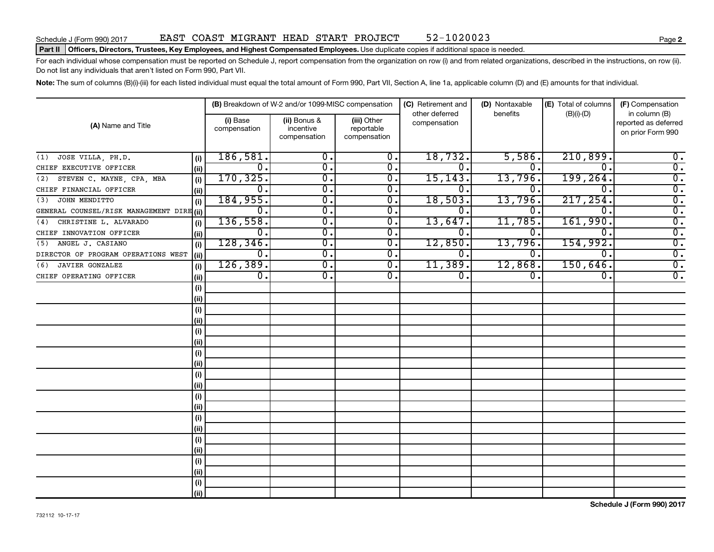### Part II | Officers, Directors, Trustees, Key Employees, and Highest Compensated Employees. Use duplicate copies if additional space is needed.

For each individual whose compensation must be reported on Schedule J, report compensation from the organization on row (i) and from related organizations, described in the instructions, on row (ii). Do not list any individuals that aren't listed on Form 990, Part VII.

Note: The sum of columns (B)(i)-(iii) for each listed individual must equal the total amount of Form 990, Part VII, Section A, line 1a, applicable column (D) and (E) amounts for that individual.

|                                           |      |                          | (B) Breakdown of W-2 and/or 1099-MISC compensation |                                           | (C) Retirement and             | (D) Nontaxable   | (E) Total of columns | (F) Compensation                                           |  |
|-------------------------------------------|------|--------------------------|----------------------------------------------------|-------------------------------------------|--------------------------------|------------------|----------------------|------------------------------------------------------------|--|
| (A) Name and Title                        |      | (i) Base<br>compensation | (ii) Bonus &<br>incentive<br>compensation          | (iii) Other<br>reportable<br>compensation | other deferred<br>compensation | benefits         | $(B)(i)-(D)$         | in column (B)<br>reported as deferred<br>on prior Form 990 |  |
| JOSE VILLA, PH.D.<br>(1)                  | (i)  | 186,581.                 | 0.                                                 | 0.                                        | 18,732.                        | 5,586.           | 210,899.             | $0$ .                                                      |  |
| CHIEF EXECUTIVE OFFICER                   | (ii) | 0.                       | $\mathbf 0$ .                                      | $\overline{0}$ .                          | о.                             | 0.               | Ω.                   | $\overline{0}$ .                                           |  |
| STEVEN C. MAYNE, CPA, MBA<br>(2)          | (i)  | 170, 325.                | $\overline{0}$                                     | Ο.                                        | 15, 143.                       | 13,796.          | 199, 264.            | $\overline{0}$ .                                           |  |
| CHIEF FINANCIAL OFFICER                   | (ii) | 0.                       | $\overline{0}$                                     | 0.                                        | 0.                             | 0.               | 0.                   | $\overline{0}$ .                                           |  |
| JOHN MENDITTO<br>(3)                      | (i)  | 184,955.                 | $\overline{0}$ .                                   | $\overline{0}$ .                          | 18,503.                        | 13,796.          | 217, 254.            | $\overline{0}$ .                                           |  |
| GENERAL COUNSEL/RISK MANAGEMENT DIRE (ii) |      | 0.                       | $\overline{0}$ .                                   | Ο.                                        | О.                             | 0.               | Ω.                   | $\overline{0}$ .                                           |  |
| CHRISTINE L. ALVARADO<br>(4)              | (i)  | 136,558.                 | $\overline{0}$ .                                   | Ο.                                        | 13,647.                        | 11,785.          | 161,990.             | $\overline{0}$ .                                           |  |
| CHIEF INNOVATION OFFICER                  | (ii) | 0.                       | $\overline{0}$ .                                   | 0.                                        | о.                             | 0.               | 0.                   | $\overline{0}$ .                                           |  |
| ANGEL J. CASIANO<br>(5)                   | (i)  | 128, 346.                | $\overline{0}$ .                                   | 0.                                        | 12,850.                        | 13,796.          | 154,992.             | $\overline{0}$ .                                           |  |
| DIRECTOR OF PROGRAM OPERATIONS WEST       | (ii) | 0.                       | σ.                                                 | $\overline{0}$ .                          | σ.                             | О.               | $\overline{0}$ .     | $\overline{0}$ .                                           |  |
| <b>JAVIER GONZALEZ</b><br>(6)             | (i)  | 126, 389.                | $\overline{0}$ .                                   | $\overline{0}$ .                          | 11,389.                        | 12,868.          | 150,646.             | $\overline{0}$ .                                           |  |
| CHIEF OPERATING OFFICER                   | (ii) | $\overline{0}$ .         | $\overline{0}$ .                                   | $\overline{0}$ .                          | $\overline{0}$ .               | $\overline{0}$ . | $\overline{0}$ .     | $\overline{0}$ .                                           |  |
|                                           | (i)  |                          |                                                    |                                           |                                |                  |                      |                                                            |  |
|                                           | (ii) |                          |                                                    |                                           |                                |                  |                      |                                                            |  |
|                                           | (i)  |                          |                                                    |                                           |                                |                  |                      |                                                            |  |
|                                           | (ii) |                          |                                                    |                                           |                                |                  |                      |                                                            |  |
|                                           | (i)  |                          |                                                    |                                           |                                |                  |                      |                                                            |  |
|                                           | (ii) |                          |                                                    |                                           |                                |                  |                      |                                                            |  |
|                                           | (i)  |                          |                                                    |                                           |                                |                  |                      |                                                            |  |
|                                           | (ii) |                          |                                                    |                                           |                                |                  |                      |                                                            |  |
|                                           | (i)  |                          |                                                    |                                           |                                |                  |                      |                                                            |  |
|                                           | (ii) |                          |                                                    |                                           |                                |                  |                      |                                                            |  |
|                                           | (i)  |                          |                                                    |                                           |                                |                  |                      |                                                            |  |
|                                           | (ii) |                          |                                                    |                                           |                                |                  |                      |                                                            |  |
|                                           | (i)  |                          |                                                    |                                           |                                |                  |                      |                                                            |  |
|                                           | (ii) |                          |                                                    |                                           |                                |                  |                      |                                                            |  |
|                                           | (i)  |                          |                                                    |                                           |                                |                  |                      |                                                            |  |
|                                           | (ii) |                          |                                                    |                                           |                                |                  |                      |                                                            |  |
|                                           | (i)  |                          |                                                    |                                           |                                |                  |                      |                                                            |  |
|                                           | (ii) |                          |                                                    |                                           |                                |                  |                      |                                                            |  |
|                                           | (i)  |                          |                                                    |                                           |                                |                  |                      |                                                            |  |
|                                           | (ii) |                          |                                                    |                                           |                                |                  |                      |                                                            |  |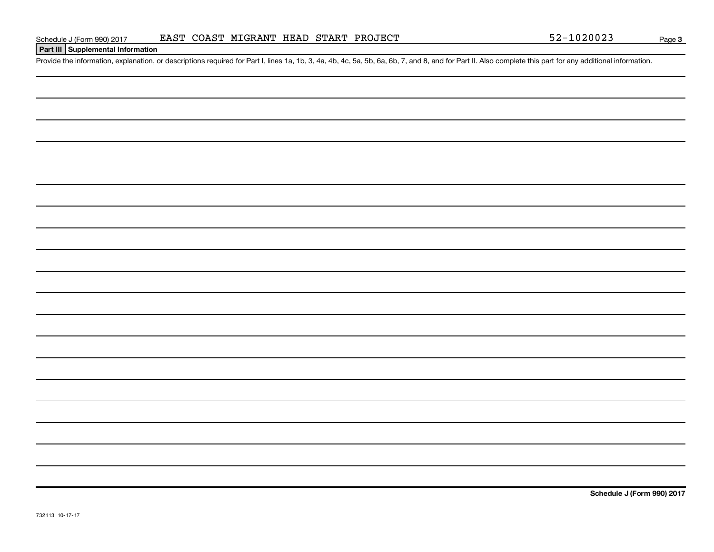## **Part III Supplemental Information**

Provide the information, explanation, or descriptions required for Part I, lines 1a, 1b, 3, 4a, 4b, 4c, 5a, 5b, 6a, 6b, 7, and 8, and for Part II. Also complete this part for any additional information.

**Schedule J (Form 990) 2017**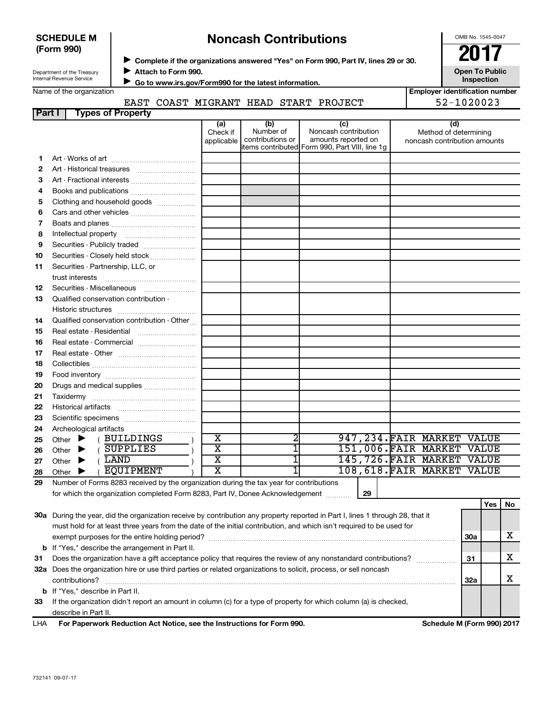| <b>SCHEDULE M</b> |  |
|-------------------|--|
| (Form 990)        |  |

# ◆ Complete if the organizations answered "Yes" on Form 990, Part IV, lines 29 or 30.<br>▶ Complete if the organizations answered "Yes" on Form 990, Part IV, lines 29 or 30. **Noncash Contributions**

OMB No. 1545-0047

**Employer identification number**

Department of the Treasury Internal Revenue Service

**Attach to Form 990.** J

**Open To Public Inspection**

Name of the organization

 **Go to www.irs.gov/Form990 for the latest information.** J

## EAST COAST MIGRANT HEAD START PROJECT 52-1020023

| <b>Part I</b> | <b>Types of Property</b>                        |                               |                                      |                                                                                                       |                                                              |
|---------------|-------------------------------------------------|-------------------------------|--------------------------------------|-------------------------------------------------------------------------------------------------------|--------------------------------------------------------------|
|               |                                                 | (a)<br>Check if<br>applicable | (b)<br>Number of<br>contributions or | (c)<br>Noncash contribution<br>amounts reported on<br>litems contributed Form 990, Part VIII, line 1g | (d)<br>Method of determining<br>noncash contribution amounts |
| 1             |                                                 |                               |                                      |                                                                                                       |                                                              |
| 2             |                                                 |                               |                                      |                                                                                                       |                                                              |
| З             | Art - Fractional interests                      |                               |                                      |                                                                                                       |                                                              |
| 4             |                                                 |                               |                                      |                                                                                                       |                                                              |
| 5             | Clothing and household goods                    |                               |                                      |                                                                                                       |                                                              |
| 6             | Cars and other vehicles                         |                               |                                      |                                                                                                       |                                                              |
| 7             |                                                 |                               |                                      |                                                                                                       |                                                              |
| 8             |                                                 |                               |                                      |                                                                                                       |                                                              |
| 9             | Securities - Publicly traded                    |                               |                                      |                                                                                                       |                                                              |
| 10            | Securities - Closely held stock                 |                               |                                      |                                                                                                       |                                                              |
| 11            | Securities - Partnership, LLC, or               |                               |                                      |                                                                                                       |                                                              |
|               |                                                 |                               |                                      |                                                                                                       |                                                              |
| 12            | Securities - Miscellaneous                      |                               |                                      |                                                                                                       |                                                              |
| 13            | Qualified conservation contribution -           |                               |                                      |                                                                                                       |                                                              |
|               |                                                 |                               |                                      |                                                                                                       |                                                              |
| 14            | Qualified conservation contribution - Other     |                               |                                      |                                                                                                       |                                                              |
| 15            | Real estate - Residential                       |                               |                                      |                                                                                                       |                                                              |
| 16            | Real estate - Commercial                        |                               |                                      |                                                                                                       |                                                              |
| 17            |                                                 |                               |                                      |                                                                                                       |                                                              |
| 18            |                                                 |                               |                                      |                                                                                                       |                                                              |
| 19            |                                                 |                               |                                      |                                                                                                       |                                                              |
| 20            |                                                 |                               |                                      |                                                                                                       |                                                              |
| 21            |                                                 |                               |                                      |                                                                                                       |                                                              |
| 22            |                                                 |                               |                                      |                                                                                                       |                                                              |
| 23            |                                                 |                               |                                      |                                                                                                       |                                                              |
| 24            |                                                 |                               |                                      |                                                                                                       |                                                              |
| 25            | (BUILDINGS<br>Other $\blacktriangleright$       | X                             | 2                                    |                                                                                                       | 947, 234. FAIR MARKET VALUE                                  |
| 26            | <b>SUPPLIES</b><br>Other $\blacktriangleright$  | $\overline{\text{x}}$         | ī                                    |                                                                                                       | 151,006. FAIR MARKET VALUE                                   |
| 27            | LAND<br>Other $\blacktriangleright$             | $\overline{\mathtt{x}}$       | ī                                    |                                                                                                       | 145,726. FAIR MARKET VALUE                                   |
| 28            | <b>EQUIPMENT</b><br>Other $\blacktriangleright$ | $\overline{\text{x}}$         |                                      |                                                                                                       | 108,618. FAIR MARKET VALUE                                   |

**29** Number of Forms 8283 received by the organization during the tax year for contributions for which the organization completed Form 8283, Part IV, Donee Acknowledgement ............

**29**

|     |                                                                                                                            |     | Yes | No. |
|-----|----------------------------------------------------------------------------------------------------------------------------|-----|-----|-----|
| 30a | During the year, did the organization receive by contribution any property reported in Part I, lines 1 through 28, that it |     |     |     |
|     | must hold for at least three years from the date of the initial contribution, and which isn't required to be used for      |     |     |     |
|     |                                                                                                                            | 30a |     |     |
|     | <b>b</b> If "Yes," describe the arrangement in Part II.                                                                    |     |     |     |
| 31  | Does the organization have a gift acceptance policy that requires the review of any nonstandard contributions?             | 31  |     | х   |
| 32a | Does the organization hire or use third parties or related organizations to solicit, process, or sell noncash              |     |     |     |
|     | contributions?                                                                                                             | 32a |     |     |
|     | <b>b</b> If "Yes," describe in Part II.                                                                                    |     |     |     |
| 33  | If the organization didn't report an amount in column (c) for a type of property for which column (a) is checked,          |     |     |     |
|     | describe in Part II.                                                                                                       |     |     |     |
| .   | E. B. B. C. C. C. C. B. J. C. L. C. A. L. H. L. C. C. C. H. C. L. L. L. C. C. C. E. C. BOO<br><u>A.L.J.J.J.J.J.AQONAA</u>  |     |     |     |

**For Paperwork Reduction Act Notice, see the Instructions for Form 990. Schedule M (Form 990) 2017** LHA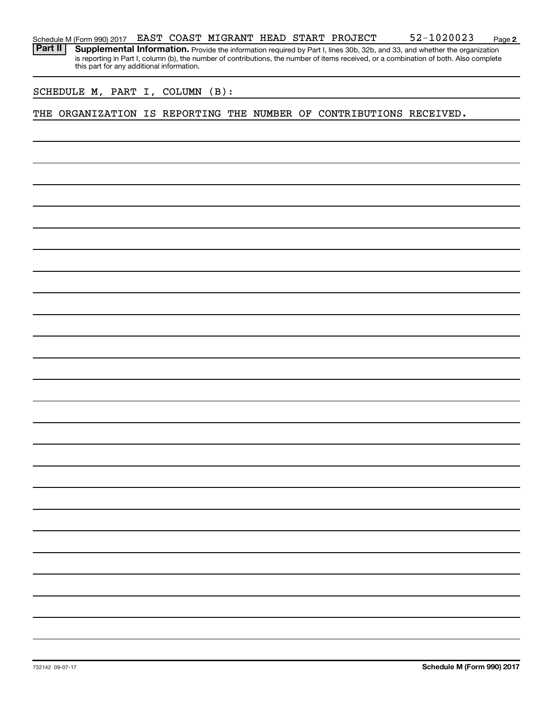Part II | Supplemental Information. Provide the information required by Part I, lines 30b, 32b, and 33, and whether the organization is reporting in Part I, column (b), the number of contributions, the number of items received, or a combination of both. Also complete this part for any additional information.

SCHEDULE M, PART I, COLUMN (B):

THE ORGANIZATION IS REPORTING THE NUMBER OF CONTRIBUTIONS RECEIVED.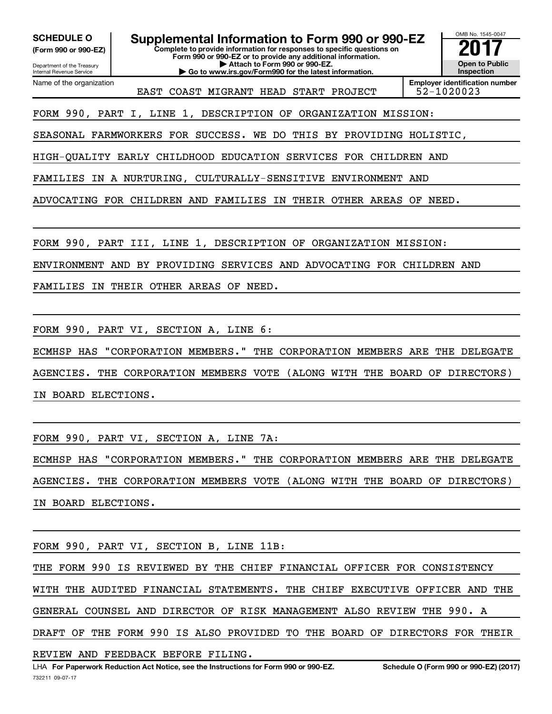**(Form 990 or 990-EZ)**

Department of the Treasury

**SCHEDULE O Supplemental Information to Form 990 or 990-EZ 2017**<br>(Form 990 or 990-EZ) Complete to provide information for responses to specific questions on

**Complete to provide information for responses to specific questions on Form 990 or 990-EZ or to provide any additional information.**

**| Attach to Form 990 or 990-EZ. | Go to www.irs.gov/Form990 for the latest information.**



Internal Revenue Service Name of the organization

EAST COAST MIGRANT HEAD START PROJECT 52-1020023

**Employer identification number**

FORM 990, PART I, LINE 1, DESCRIPTION OF ORGANIZATION MISSION:

SEASONAL FARMWORKERS FOR SUCCESS. WE DO THIS BY PROVIDING HOLISTIC,

HIGH-QUALITY EARLY CHILDHOOD EDUCATION SERVICES FOR CHILDREN AND

FAMILIES IN A NURTURING, CULTURALLY-SENSITIVE ENVIRONMENT AND

ADVOCATING FOR CHILDREN AND FAMILIES IN THEIR OTHER AREAS OF NEED.

FORM 990, PART III, LINE 1, DESCRIPTION OF ORGANIZATION MISSION:

ENVIRONMENT AND BY PROVIDING SERVICES AND ADVOCATING FOR CHILDREN AND

FAMILIES IN THEIR OTHER AREAS OF NEED.

FORM 990, PART VI, SECTION A, LINE 6:

ECMHSP HAS "CORPORATION MEMBERS." THE CORPORATION MEMBERS ARE THE DELEGATE AGENCIES. THE CORPORATION MEMBERS VOTE (ALONG WITH THE BOARD OF DIRECTORS) IN BOARD ELECTIONS.

FORM 990, PART VI, SECTION A, LINE 7A:

ECMHSP HAS "CORPORATION MEMBERS." THE CORPORATION MEMBERS ARE THE DELEGATE AGENCIES. THE CORPORATION MEMBERS VOTE (ALONG WITH THE BOARD OF DIRECTORS) IN BOARD ELECTIONS.

FORM 990, PART VI, SECTION B, LINE 11B:

THE FORM 990 IS REVIEWED BY THE CHIEF FINANCIAL OFFICER FOR CONSISTENCY WITH THE AUDITED FINANCIAL STATEMENTS. THE CHIEF EXECUTIVE OFFICER AND THE GENERAL COUNSEL AND DIRECTOR OF RISK MANAGEMENT ALSO REVIEW THE 990. A DRAFT OF THE FORM 990 IS ALSO PROVIDED TO THE BOARD OF DIRECTORS FOR THEIR

REVIEW AND FEEDBACK BEFORE FILING.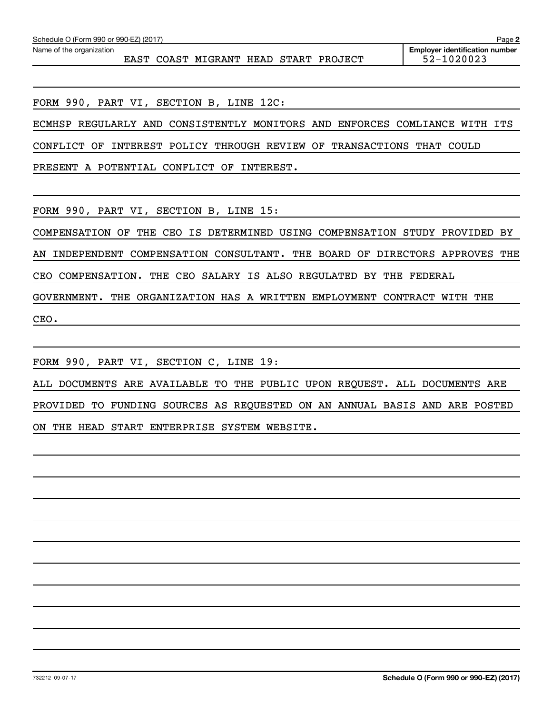EAST COAST MIGRANT HEAD START PROJECT 52-1020023

FORM 990, PART VI, SECTION B, LINE 12C:

ECMHSP REGULARLY AND CONSISTENTLY MONITORS AND ENFORCES COMLIANCE WITH ITS

CONFLICT OF INTEREST POLICY THROUGH REVIEW OF TRANSACTIONS THAT COULD

PRESENT A POTENTIAL CONFLICT OF INTEREST.

FORM 990, PART VI, SECTION B, LINE 15:

COMPENSATION OF THE CEO IS DETERMINED USING COMPENSATION STUDY PROVIDED BY AN INDEPENDENT COMPENSATION CONSULTANT. THE BOARD OF DIRECTORS APPROVES THE

CEO COMPENSATION. THE CEO SALARY IS ALSO REGULATED BY THE FEDERAL

GOVERNMENT. THE ORGANIZATION HAS A WRITTEN EMPLOYMENT CONTRACT WITH THE CEO.

FORM 990, PART VI, SECTION C, LINE 19:

ALL DOCUMENTS ARE AVAILABLE TO THE PUBLIC UPON REQUEST. ALL DOCUMENTS ARE PROVIDED TO FUNDING SOURCES AS REQUESTED ON AN ANNUAL BASIS AND ARE POSTED ON THE HEAD START ENTERPRISE SYSTEM WEBSITE.